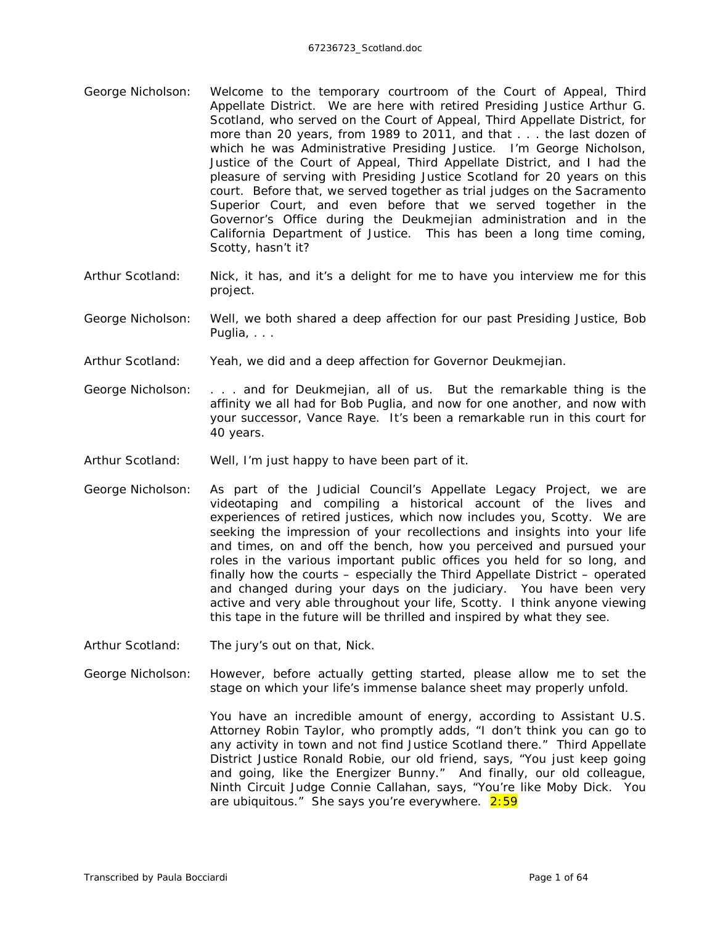- George Nicholson: Welcome to the temporary courtroom of the Court of Appeal, Third Appellate District. We are here with retired Presiding Justice Arthur G. Scotland, who served on the Court of Appeal, Third Appellate District, for more than 20 years, from 1989 to 2011, and that . . . the last dozen of which he was Administrative Presiding Justice. I'm George Nicholson, Justice of the Court of Appeal, Third Appellate District, and I had the pleasure of serving with Presiding Justice Scotland for 20 years on this court. Before that, we served together as trial judges on the Sacramento Superior Court, and even before that we served together in the Governor's Office during the Deukmejian administration and in the California Department of Justice. This has been a long time coming, Scotty, hasn't it?
- Arthur Scotland: Nick, it has, and it's a delight for me to have you interview me for this project.
- George Nicholson: Well, we both shared a deep affection for our past Presiding Justice, Bob Puglia, . . .
- Arthur Scotland: Yeah, we did and a deep affection for Governor Deukmejian.
- George Nicholson: . . . and for Deukmejian, all of us. But the remarkable thing is the affinity we all had for Bob Puglia, and now for one another, and now with your successor, Vance Raye. It's been a remarkable run in this court for 40 years.
- Arthur Scotland: Well, I'm just happy to have been part of it.
- George Nicholson: As part of the Judicial Council's Appellate Legacy Project, we are videotaping and compiling a historical account of the lives and experiences of retired justices, which now includes you, Scotty. We are seeking the impression of your recollections and insights into your life and times, on and off the bench, how you perceived and pursued your roles in the various important public offices you held for so long, and finally how the courts – especially the Third Appellate District – operated and changed during your days on the judiciary. You have been very active and very able throughout your life, Scotty. I think anyone viewing this tape in the future will be thrilled and inspired by what they see.
- Arthur Scotland: The jury's out on that, Nick.
- George Nicholson: However, before actually getting started, please allow me to set the stage on which your life's immense balance sheet may properly unfold.

You have an incredible amount of energy, according to Assistant U.S. Attorney Robin Taylor, who promptly adds, "I don't think you can go to any activity in town and not find Justice Scotland there." Third Appellate District Justice Ronald Robie, our old friend, says, "You just keep going and going, like the Energizer Bunny." And finally, our old colleague, Ninth Circuit Judge Connie Callahan, says, "You're like Moby Dick. You are ubiquitous." She says you're everywhere. 2:59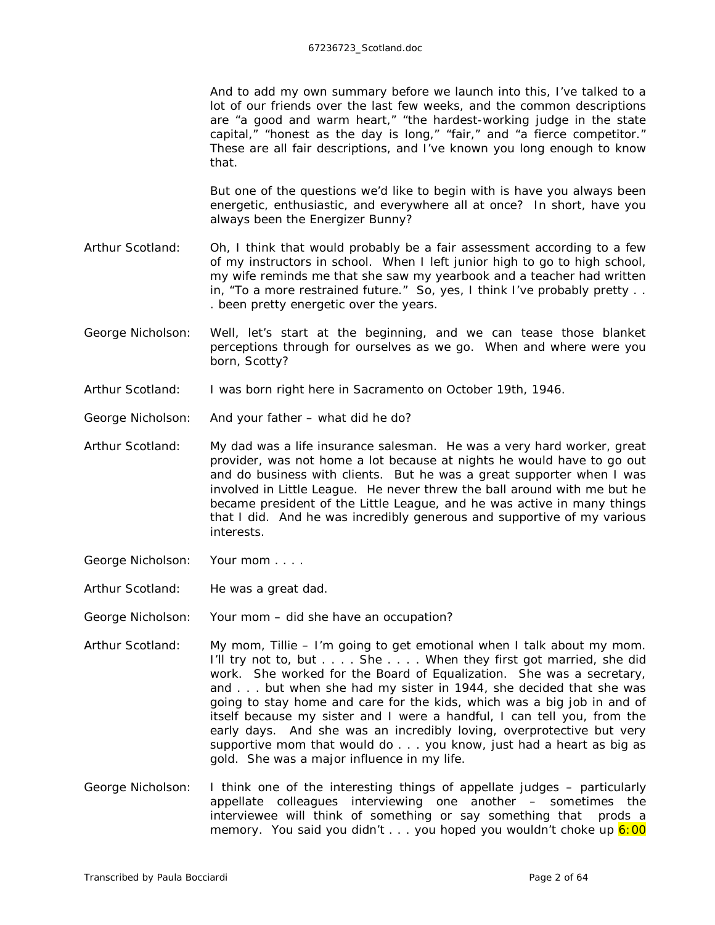And to add my own summary before we launch into this, I've talked to a lot of our friends over the last few weeks, and the common descriptions are "a good and warm heart," "the hardest-working judge in the state capital," "honest as the day is long," "fair," and "a fierce competitor." These are all fair descriptions, and I've known you long enough to know that.

But one of the questions we'd like to begin with is have you always been energetic, enthusiastic, and everywhere all at once? In short, have you always been the Energizer Bunny?

- Arthur Scotland: Oh, I think that would probably be a fair assessment according to a few of my instructors in school. When I left junior high to go to high school, my wife reminds me that she saw my yearbook and a teacher had written in, "To a more restrained future." So, yes, I think I've probably pretty . . . been pretty energetic over the years.
- George Nicholson: Well, let's start at the beginning, and we can tease those blanket perceptions through for ourselves as we go. When and where were you born, Scotty?
- Arthur Scotland: I was born right here in Sacramento on October 19th, 1946.
- George Nicholson: And your father what did he do?
- Arthur Scotland: My dad was a life insurance salesman. He was a very hard worker, great provider, was not home a lot because at nights he would have to go out and do business with clients. But he was a great supporter when I was involved in Little League. He never threw the ball around with me but he became president of the Little League, and he was active in many things that I did. And he was incredibly generous and supportive of my various interests.
- George Nicholson: Your mom . . . .
- Arthur Scotland: He was a great dad.
- George Nicholson: Your mom did she have an occupation?
- Arthur Scotland: My mom, Tillie I'm going to get emotional when I talk about my mom. I'll try not to, but . . . . She . . . . When they first got married, she did work. She worked for the Board of Equalization. She was a secretary, and . . . but when she had my sister in 1944, she decided that she was going to stay home and care for the kids, which was a big job in and of itself because my sister and I were a handful, I can tell you, from the early days. And she was an incredibly loving, overprotective but very supportive mom that would do . . . you know, just had a heart as big as gold. She was a major influence in my life.
- George Nicholson: I think one of the interesting things of appellate judges particularly appellate colleagues interviewing one another – sometimes the interviewee will think of something or say something that prods a memory. You said you didn't  $\ldots$  you hoped you wouldn't choke up  $6:00$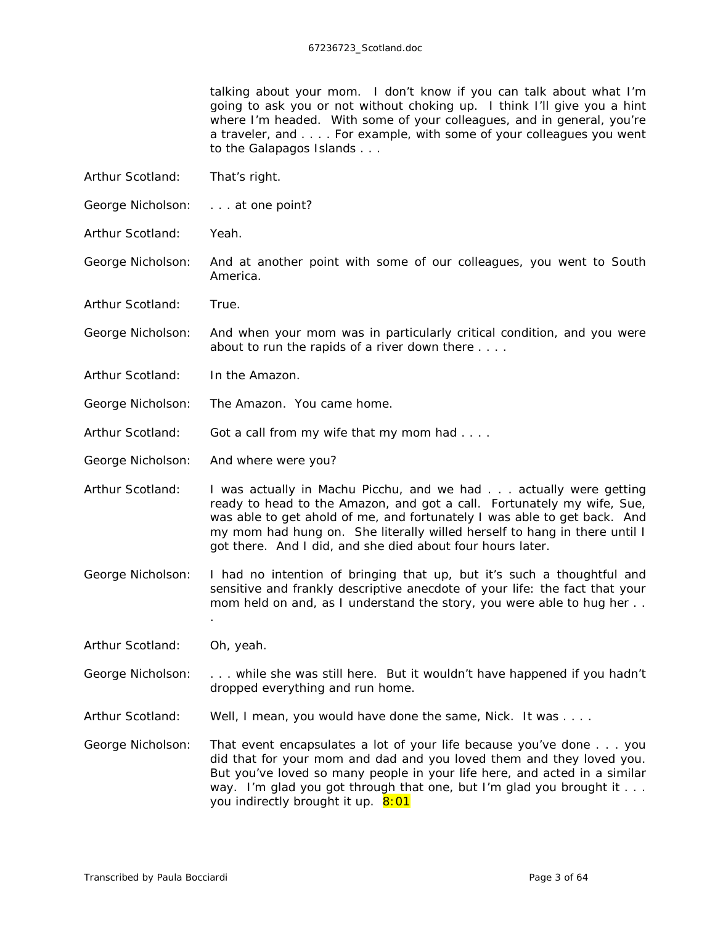talking about your mom. I don't know if you can talk about what I'm going to ask you or not without choking up. I think I'll give you a hint where I'm headed. With some of your colleagues, and in general, you're a traveler, and . . . . For example, with some of your colleagues you went to the Galapagos Islands . . .

- Arthur Scotland: That's right.
- George Nicholson: . . . . at one point?
- Arthur Scotland: Yeah.
- George Nicholson: And at another point with some of our colleagues, you went to South America.
- Arthur Scotland: True.
- George Nicholson: And when your mom was in particularly critical condition, and you were about to run the rapids of a river down there . . . .
- Arthur Scotland: In the Amazon.
- George Nicholson: The Amazon. You came home.
- Arthur Scotland: Got a call from my wife that my mom had . . . .
- George Nicholson: And where were you?
- Arthur Scotland: I was actually in Machu Picchu, and we had . . . actually were getting ready to head to the Amazon, and got a call. Fortunately my wife, Sue, was able to get ahold of me, and fortunately I was able to get back. And my mom had hung on. She literally willed herself to hang in there until I got there. And I did, and she died about four hours later.
- George Nicholson: I had no intention of bringing that up, but it's such a thoughtful and sensitive and frankly descriptive anecdote of your life: the fact that your mom held on and, as I understand the story, you were able to hug her . . .
- Arthur Scotland: Oh, yeah.
- George Nicholson: . . . while she was still here. But it wouldn't have happened if you hadn't dropped everything and run home.
- Arthur Scotland: Well, I mean, you would have done the same, Nick. It was ....
- George Nicholson: That event encapsulates a lot of your life because you've done . . . you did that for your mom and dad and you loved them and they loved you. But you've loved so many people in your life here, and acted in a similar way. I'm glad you got through that one, but I'm glad you brought it . . . you indirectly brought it up. 8:01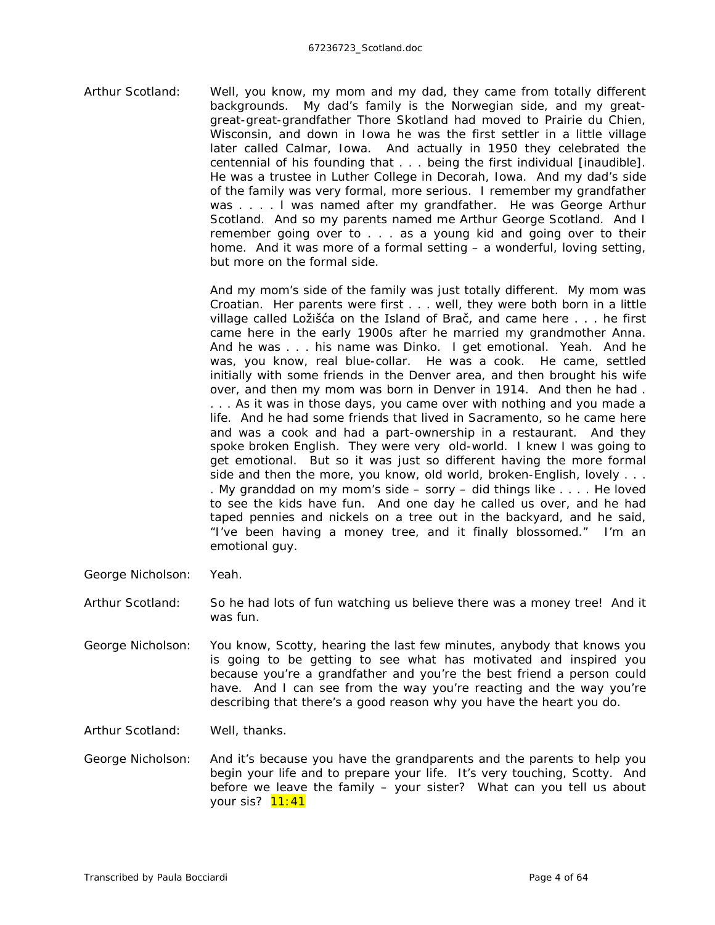Arthur Scotland: Well, you know, my mom and my dad, they came from totally different backgrounds. My dad's family is the Norwegian side, and my greatgreat-great-grandfather Thore Skotland had moved to Prairie du Chien, Wisconsin, and down in Iowa he was the first settler in a little village later called Calmar, Iowa. And actually in 1950 they celebrated the centennial of his founding that . . . being the first individual *[inaudible].* He was a trustee in Luther College in Decorah, Iowa. And my dad's side of the family was very formal, more serious. I remember my grandfather was . . . . I was named after my grandfather. He was George Arthur Scotland. And so my parents named me Arthur George Scotland. And I remember going over to . . . as a young kid and going over to their home. And it was more of a formal setting – a wonderful, loving setting, but more on the formal side.

> And my mom's side of the family was just totally different. My mom was Croatian. Her parents were first . . . well, they were both born in a little village called Ložišća on the Island of Brač, and came here . . . he first came here in the early 1900s after he married my grandmother Anna. And he was . . . his name was Dinko. I get emotional. Yeah. And he was, you know, real blue-collar. He was a cook. He came, settled initially with some friends in the Denver area, and then brought his wife over, and then my mom was born in Denver in 1914. And then he had . . . . As it was in those days, you came over with nothing and you made a life. And he had some friends that lived in Sacramento, so he came here and was a cook and had a part-ownership in a restaurant. And they spoke broken English. They were very old-world. I knew I was going to get emotional. But so it was just so different having the more formal side and then the more, you know, old world, broken-English, lovely . . . . My granddad on my mom's side – sorry – did things like . . . . He loved to see the kids have fun. And one day he called us over, and he had taped pennies and nickels on a tree out in the backyard, and he said, "I've been having a money tree, and it finally blossomed." I'm an emotional guy.

- George Nicholson: Yeah.
- Arthur Scotland: So he had lots of fun watching us believe there was a money tree! And it was fun.
- George Nicholson: You know, Scotty, hearing the last few minutes, anybody that knows you is going to be getting to see what has motivated and inspired you because you're a grandfather and you're the best friend a person could have. And I can see from the way you're reacting and the way you're describing that there's a good reason why you have the heart you do.

Arthur Scotland: Well, thanks.

George Nicholson: And it's because you have the grandparents and the parents to help you begin your life and to prepare your life. It's very touching, Scotty. And before we leave the family – your sister? What can you tell us about your sis? **11:41**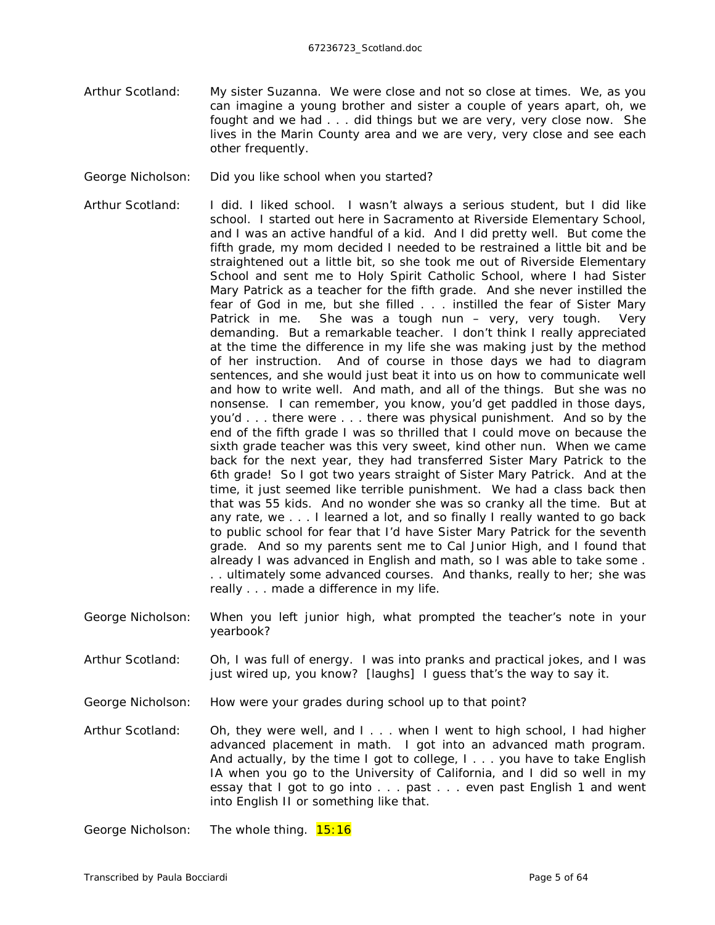- Arthur Scotland: My sister Suzanna. We were close and not so close at times. We, as you can imagine a young brother and sister a couple of years apart, oh, we fought and we had . . . did things but we are very, very close now. She lives in the Marin County area and we are very, very close and see each other frequently.
- George Nicholson: Did you like school when you started?
- Arthur Scotland: I did. I liked school. I wasn't always a serious student, but I did like school. I started out here in Sacramento at Riverside Elementary School, and I was an active handful of a kid. And I did pretty well. But come the fifth grade, my mom decided I needed to be restrained a little bit and be straightened out a little bit, so she took me out of Riverside Elementary School and sent me to Holy Spirit Catholic School, where I had Sister Mary Patrick as a teacher for the fifth grade. And she never instilled the fear of God in me, but she filled . . . instilled the fear of Sister Mary Patrick in me. She was a tough nun – very, very tough. Very demanding. But a remarkable teacher. I don't think I really appreciated at the time the difference in my life she was making just by the method of her instruction. And of course in those days we had to diagram sentences, and she would just beat it into us on how to communicate well and how to write well. And math, and all of the things. But she was no nonsense. I can remember, you know, you'd get paddled in those days, you'd . . . there were . . . there was physical punishment. And so by the end of the fifth grade I was so thrilled that I could move on because the sixth grade teacher was this very sweet, kind other nun. When we came back for the next year, they had transferred Sister Mary Patrick to the 6th grade! So I got two years straight of Sister Mary Patrick. And at the time, it just seemed like terrible punishment. We had a class back then that was 55 kids. And no wonder she was so cranky all the time. But at any rate, we . . . I learned a lot, and so finally I really wanted to go back to public school for fear that I'd have Sister Mary Patrick for the seventh grade. And so my parents sent me to Cal Junior High, and I found that already I was advanced in English and math, so I was able to take some . . . ultimately some advanced courses. And thanks, really to her; she was really . . . made a difference in my life.
- George Nicholson: When you left junior high, what prompted the teacher's note in your yearbook?
- Arthur Scotland: Oh, I was full of energy. I was into pranks and practical jokes, and I was just wired up, you know? *[laughs]* I guess that's the way to say it.
- George Nicholson: How were your grades during school up to that point?
- Arthur Scotland: Oh, they were well, and I . . . when I went to high school, I had higher advanced placement in math. I got into an advanced math program. And actually, by the time I got to college, I . . . you have to take English IA when you go to the University of California, and I did so well in my essay that I got to go into . . . past . . . even past English 1 and went into English II or something like that.

George Nicholson: The whole thing. 15:16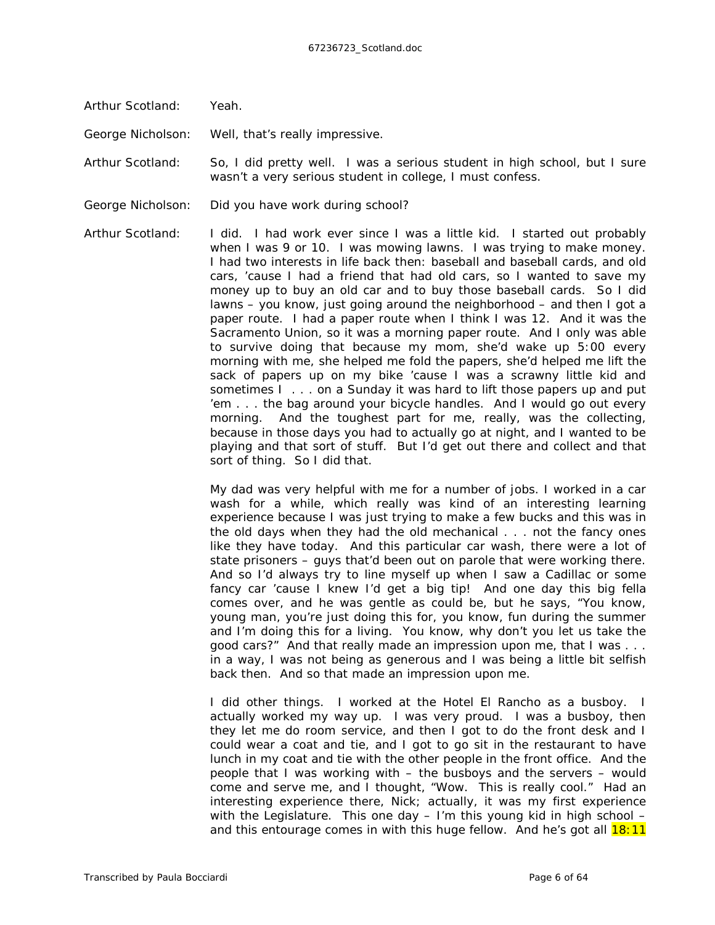Arthur Scotland: Yeah.

George Nicholson: Well, that's *really* impressive.

Arthur Scotland: So, I did pretty well. I was a serious student in high school, but I sure wasn't a very serious student in college, I must confess.

George Nicholson: Did you have work during school?

Arthur Scotland: I did. I had work ever since I was a little kid. I started out probably when I was 9 or 10. I was mowing lawns. I was trying to make money. I had two interests in life back then: baseball and baseball cards, and old cars, 'cause I had a friend that had old cars, so I wanted to save my money up to buy an old car and to buy those baseball cards. So I did lawns – you know, just going around the neighborhood – and then I got a paper route. I had a paper route when I think I was 12. And it was the *Sacramento Union,* so it was a morning paper route. And I only was able to survive doing that because my mom, she'd wake up 5:00 every morning with me, she helped me fold the papers, she'd helped me lift the sack of papers up on my bike 'cause I was a scrawny little kid and sometimes I . . . on a Sunday it was hard to lift those papers up and put 'em . . . the bag around your bicycle handles. And I would go out every morning. And the toughest part for me, really, was the collecting, because in those days you had to actually go at night, and I wanted to be playing and that sort of stuff. But I'd get out there and collect and that sort of thing. So I did that.

> My dad was very helpful with me for a number of jobs. I worked in a car wash for a while, which really was kind of an interesting learning experience because I was just trying to make a few bucks and this was in the old days when they had the old mechanical . . . not the fancy ones like they have today. And this particular car wash, there were a lot of state prisoners – guys that'd been out on parole that were working there. And so I'd always try to line myself up when I saw a Cadillac or some fancy car 'cause I knew I'd get a big tip! And one day this big fella comes over, and he was *gentle* as could be, but he says, "You know, young man, you're just doing this for, you know, fun during the summer and I'm doing this for a living. You know, why don't you let us take the good cars?" And that really made an impression upon me, that I was . . . in a way, I was not being as generous and I was being a little bit selfish back then. And so that made an impression upon me.

> I did other things. I worked at the Hotel El Rancho as a busboy. I actually worked my way up. I was very proud. I was a busboy, then they let me do room service, and then I got to do the front desk and I could wear a coat and tie, and I got to go sit in the restaurant to have lunch in my coat and tie with the other people in the front office. And the people that I was working with – the busboys and the servers – would come and serve me, and I thought, "Wow. This is really cool." Had an interesting experience there, Nick; actually, it was my first experience with the Legislature. This one day – I'm this young kid in high school – and this entourage comes in with this *huge* fellow. And he's got all 18:11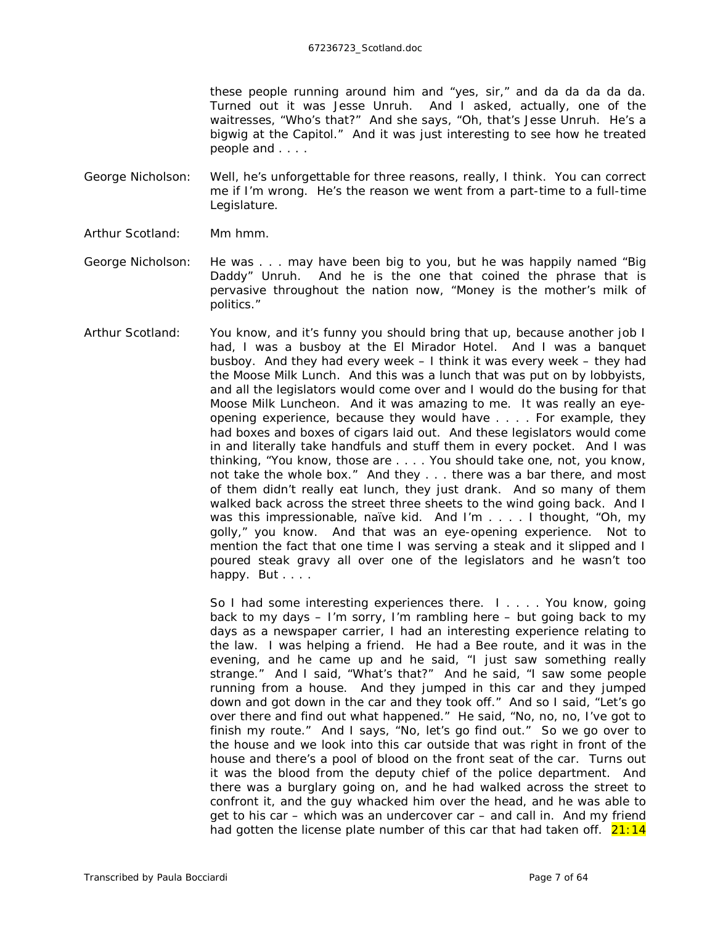these people running around him and "yes, sir," and da da da da da. Turned out it was Jesse Unruh. And I asked, actually, one of the waitresses, "Who's that?" And she says, "Oh, that's Jesse Unruh. He's a bigwig at the Capitol." And it was just interesting to see how he treated people and . . . .

George Nicholson: Well, he's unforgettable for three reasons, really, I think. You can correct me if I'm wrong. He's the reason we went from a part-time to a full-time Legislature.

Arthur Scotland: Mm hmm.

George Nicholson: He was . . . may have been big to you, but he was happily named "Big Daddy" Unruh. And he is the one that coined the phrase that is pervasive throughout the nation now, "Money is the mother's milk of politics."

Arthur Scotland: You know, and it's funny you should bring that up, because another job I had, I was a busboy at the El Mirador Hotel. And I was a banquet busboy. And they had every week – I think it was every week – they had the Moose Milk Lunch. And this was a lunch that was put on by lobbyists, and all the legislators would come over and I would do the busing for that Moose Milk Luncheon. And it was *amazing* to me. It was really an eyeopening experience, because they would have . . . . For example, they had boxes and boxes of cigars laid out. And these legislators would come in and literally take handfuls and stuff them in every pocket. And I was thinking, "You know, those are . . . . You should take one, not, you know, not take the whole box." And they . . . there was a bar there, and most of them didn't really eat lunch, they just drank. And so many of them walked back across the street three sheets to the wind going back. And I was this impressionable, naïve kid. And I'm . . . . I thought, "Oh, my golly," you know. And that was an eye-opening experience. Not to mention the fact that one time I was serving a steak and it slipped and I poured steak gravy all over one of the legislators and he wasn't too happy. But . . . .

> So I had some interesting experiences there. I . . . . You know, going back to my days – I'm sorry, I'm rambling here – but going back to my days as a newspaper carrier, I had an interesting experience relating to the law. I was helping a friend. He had a *Bee* route, and it was in the evening, and he came up and he said, "I just saw something really strange." And I said, "What's that?" And he said, "I saw some people running from a house. And they jumped in this car and they jumped down and got down in the car and they took off." And so I said, "Let's go over there and find out what happened." He said, "No, no, no, I've got to finish my route." And I says, "No, let's go find out." So we go over to the house and we look into this car outside that was right in front of the house and there's a pool of blood on the front seat of the car. Turns out it was the blood from the deputy chief of the police department. And there was a burglary going on, and he had walked across the street to confront it, and the guy whacked him over the head, and he was able to get to his car – which was an undercover car – and call in. And my friend had gotten the license plate number of this car that had taken off.  $21:14$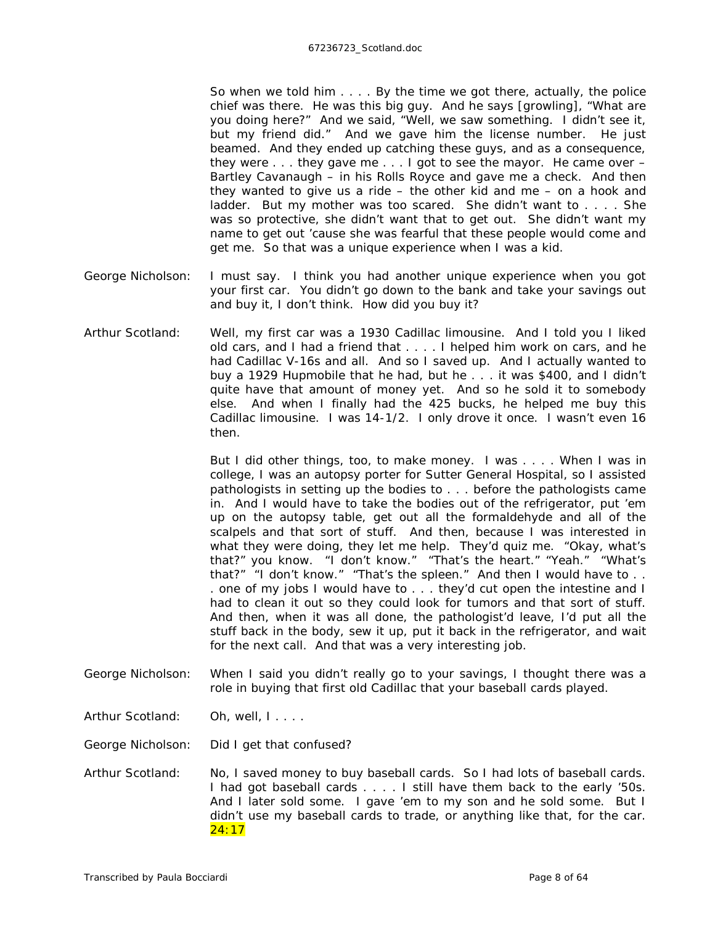So when we told him . . . . By the time we got there, actually, the police chief was there. He was this big guy. And he says *[growling]*, "What are you doing here?" And we said, "Well, we saw something. I didn't see it, but my friend did." And we gave him the license number. He just beamed. And they ended up catching these guys, and as a consequence, they were . . . they gave me . . . I got to see the mayor. He came over – Bartley Cavanaugh – in his Rolls Royce and gave me a check. And then they wanted to give us a ride – the other kid and me – on a hook and ladder. But my mother was too scared. She didn't want to . . . . She was so protective, she didn't want that to get out. She didn't want my name to get out 'cause she was fearful that these people would come and get me. So that was a unique experience when I was a kid.

- George Nicholson: I must say. I think you had another unique experience when you got your first car. You didn't go down to the bank and take your savings out and buy it, I don't think. How *did* you buy it?
- Arthur Scotland: Well, my first car was a 1930 Cadillac limousine. And I told you I liked old cars, and I had a friend that . . . . I helped him work on cars, and he had Cadillac V-16s and all. And so I saved up. And I actually wanted to buy a 1929 Hupmobile that he had, but he . . . it was \$400, and I didn't quite have that amount of money yet. And so he sold it to somebody else. And when I finally had the 425 bucks, he helped me buy this Cadillac limousine. I was 14-1/2. I only drove it once. I wasn't even 16 then.

But I did other things, too, to make money. I was . . . . When I was in college, I was an autopsy porter for Sutter General Hospital, so I assisted pathologists in setting up the bodies to . . . before the pathologists came in. And I would have to take the bodies out of the refrigerator, put 'em up on the autopsy table, get out all the formaldehyde and all of the scalpels and that sort of stuff. And then, because I was interested in what they were doing, they let me help. They'd quiz me. "Okay, what's that?" you know. "I don't know." "That's the heart." "Yeah." "What's that?" "I don't know." "That's the spleen." And then I would have to . . . one of my jobs I would have to . . . they'd cut open the intestine and I had to clean it out so they could look for tumors and that sort of stuff. And then, when it was all done, the pathologist'd leave, I'd put all the stuff back in the body, sew it up, put it back in the refrigerator, and wait for the next call. And that was a very interesting job.

- George Nicholson: When I said you didn't really go to your savings, I thought there was a role in buying that first old Cadillac that your baseball cards played.
- Arthur Scotland: Oh, well, I....

George Nicholson: Did I get that confused?

Arthur Scotland: No, I saved money to buy baseball cards. So I had lots of baseball cards. I had got baseball cards . . . . I still have them back to the early '50s. And I later sold some. I gave 'em to my son and he sold some. But I didn't use my baseball cards to trade, or anything like that, for the car. 24:17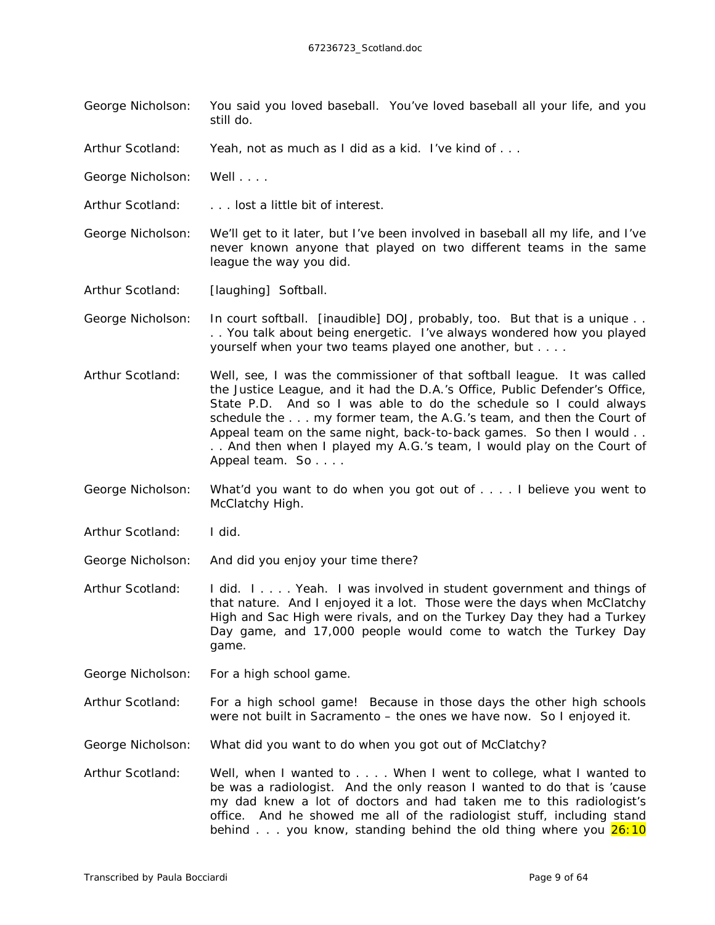George Nicholson: You said you loved baseball. You've loved baseball all your life, and you still do.

Arthur Scotland: Yeah, not as much as I did as a kid. I've kind of . . .

George Nicholson: Well . . . .

Arthur Scotland: . . . . lost a little bit of interest.

George Nicholson: We'll get to it later, but I've been involved in baseball all my life, and I've never known anyone that played on two different teams in the same league the way you did.

Arthur Scotland: *[laughing]* Softball.

George Nicholson: In court softball. *[inaudible]* DOJ, probably, too. But that is a unique . . . . You talk about being energetic. I've always wondered how you played yourself when your two teams played one another, but . . . .

- Arthur Scotland: Well, see, I was the commissioner of that softball league. It was called the Justice League, and it had the D.A.'s Office, Public Defender's Office, State P.D. And so I was able to do the schedule so I could always schedule the . . . my former team, the A.G.'s team, and then the Court of Appeal team on the same night, back-to-back games. So then I would . . . . And then when I played my A.G.'s team, I would play on the Court of Appeal team. So . . . .
- George Nicholson: What'd you want to do when you got out of . . . . I believe you went to McClatchy High.

Arthur Scotland: I did.

George Nicholson: And did you enjoy your time there?

Arthur Scotland: I did. I . . . . Yeah. I was involved in student government and things of that nature. And I enjoyed it a lot. Those were the days when McClatchy High and Sac High were rivals, and on the Turkey Day they had a Turkey Day game, and 17,000 people would come to watch the Turkey Day game.

George Nicholson: For a high school game.

Arthur Scotland: For a high school game! Because in those days the other high schools were not built in Sacramento – the ones we have now. So I enjoyed it.

George Nicholson: What did you want to do when you got out of McClatchy?

Arthur Scotland: Well, when I wanted to . . . . When I went to college, what I wanted to be was a radiologist. And the only reason I wanted to do that is 'cause my dad knew a lot of doctors and had taken me to this radiologist's office. And he showed me all of the radiologist stuff, including stand behind  $\ldots$  you know, standing behind the old thing where you  $26:10$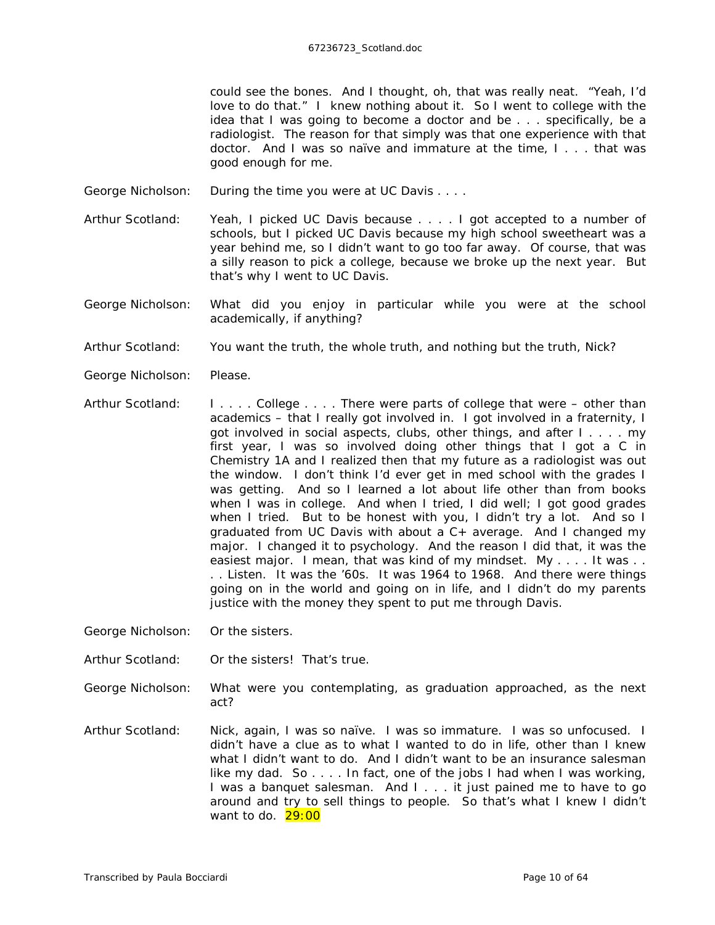could see the bones. And I thought, oh, that was really neat. "Yeah, I'd love to do that." I knew nothing about it. So I went to college with the idea that I was going to become a doctor and be . . . specifically, be a radiologist. The reason for that simply was that one experience with that doctor. And I was so naïve and immature at the time, I . . . that was good enough for me.

- George Nicholson: During the time you were at UC Davis . . . .
- Arthur Scotland: Yeah, I picked UC Davis because . . . . I got accepted to a number of schools, but I picked UC Davis because my high school sweetheart was a year behind me, so I didn't want to go too far away. Of course, that was a silly reason to pick a college, because we broke up the next year. But that's why I went to UC Davis.
- George Nicholson: What did you enjoy in particular while you were at the school academically, if anything?
- Arthur Scotland: You want the truth, the whole truth, and nothing but the truth, Nick?
- George Nicholson: Please.
- Arthur Scotland: I . . . . College . . . . There were parts of college that were other than academics – that I really got involved in. I got involved in a fraternity, I got involved in social aspects, clubs, other things, and after I . . . . my first year, I was so involved doing other things that I got a C in Chemistry 1A and I realized then that my future as a radiologist was out the window. I don't think I'd ever get in med school with the grades I was getting. And so I learned a lot about life other than from books when I was in college. And when I tried, I did well; I got good grades when I tried. But to be honest with you, I didn't try a lot. And so I graduated from UC Davis with about a C+ average. And I changed my major. I changed it to psychology. And the reason I did that, it was the easiest major. I mean, that was kind of my mindset. My . . . . It was . . . . Listen. It was the '60s. It was 1964 to 1968. And there were things going on in the world and going on in life, and I didn't do my parents justice with the money they spent to put me through Davis.

George Nicholson: Or the sisters.

Arthur Scotland: Or the sisters! That's true.

- George Nicholson: What were you contemplating, as graduation approached, as the next act?
- Arthur Scotland: Nick, again, I was so naïve. I was so immature. I was so unfocused. I didn't have a *clue* as to what I wanted to do in life, other than I knew what I *didn't* want to do. And I didn't want to be an insurance salesman like my dad. So . . . . In fact, one of the jobs I had when I was working, I was a banquet salesman. And I . . . it just *pained* me to have to go around and try to sell things to people. So that's what I knew I didn't want to do.  $29:00$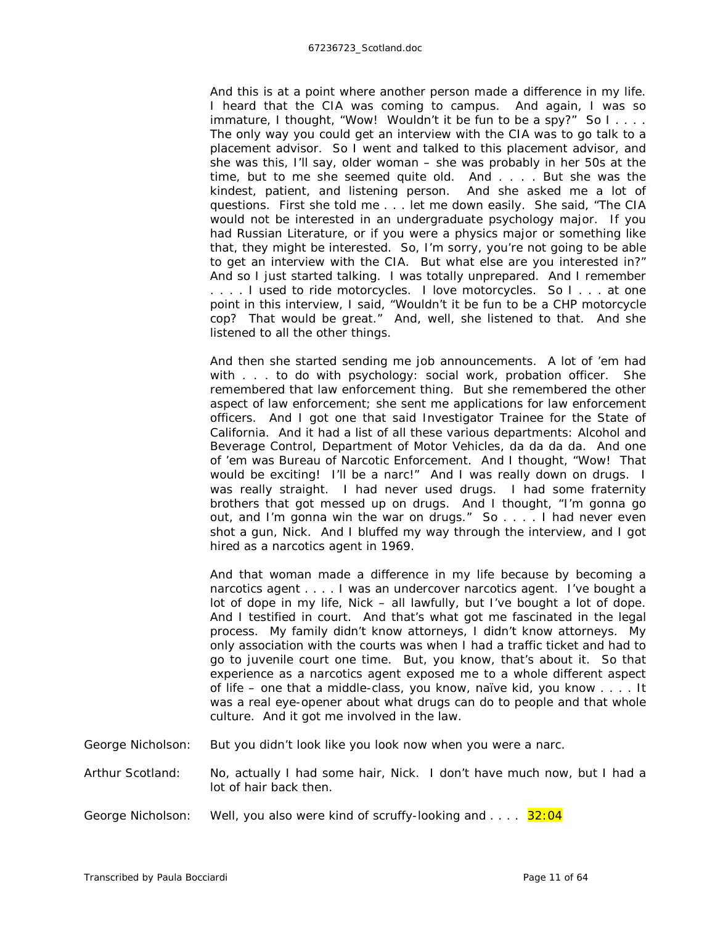And this is at a point where another person made a difference in my life. I heard that the CIA was coming to campus. And again, I was so immature, I thought, "Wow! Wouldn't it be fun to be a spy?" So I.... The only way you could get an interview with the CIA was to go talk to a placement advisor. So I went and talked to this placement advisor, and she was this, I'll say, older woman – she was probably in her 50s at the time, but to me she seemed quite old. And . . . . But she was the kindest, patient, and listening person. And she asked me a lot of questions. First she told me . . . let me down easily. She said, "The CIA would not be interested in an undergraduate psychology major. If you had Russian Literature, or if you were a physics major or something like that, they might be interested. So, I'm sorry, you're not going to be able to get an interview with the CIA. But what else are you interested in?" And so I just started talking. I was totally unprepared. And I remember . . . . I used to ride motorcycles. I love motorcycles. So I . . . at one point in this interview, I said, "Wouldn't it be fun to be a CHP motorcycle cop? That would be great." And, well, she listened to that. And she listened to all the other things.

And then she started sending me job announcements. A lot of 'em had with . . . to do with psychology: social work, probation officer. She remembered that law enforcement thing. But she remembered the other aspect of law enforcement; she sent me applications for law enforcement officers. And I got one that said Investigator Trainee for the State of California. And it had a list of all these various departments: Alcohol and Beverage Control, Department of Motor Vehicles, da da da da. And one of 'em was Bureau of Narcotic Enforcement. And I thought, "Wow! *That* would be exciting! I'll be a narc!" And I was really down on drugs. I was really straight. I had *neve*r used drugs. I had some fraternity brothers that got messed up on drugs. And I thought, "I'm gonna go out, and I'm gonna win the war on drugs." So . . . . I had never even shot a gun, Nick. And I bluffed my way through the interview, and I got hired as a narcotics agent in 1969.

And that woman made a difference in my life because by becoming a narcotics agent . . . . I was an undercover narcotics agent. I've bought a lot of dope in my life, Nick – all lawfully, but I've bought a lot of dope. And I testified in court. And that's what got me fascinated in the legal process. My family didn't know attorneys, I didn't know attorneys. My only association with the courts was when I had a traffic ticket and had to go to juvenile court one time. But, you know, that's about it. So that experience as a narcotics agent exposed me to a whole different aspect of life – one that a middle-class, you know, naïve kid, you know . . . . It was a real eye-opener about what drugs can do to people and that whole culture. And it got me involved in the law.

George Nicholson: But you didn't look like you look now when you were a narc.

Arthur Scotland: No, actually I had some hair, Nick. I don't have much now, but I had a lot of hair back then.

George Nicholson: Well, you also were kind of scruffy-looking and  $\dots$  32:04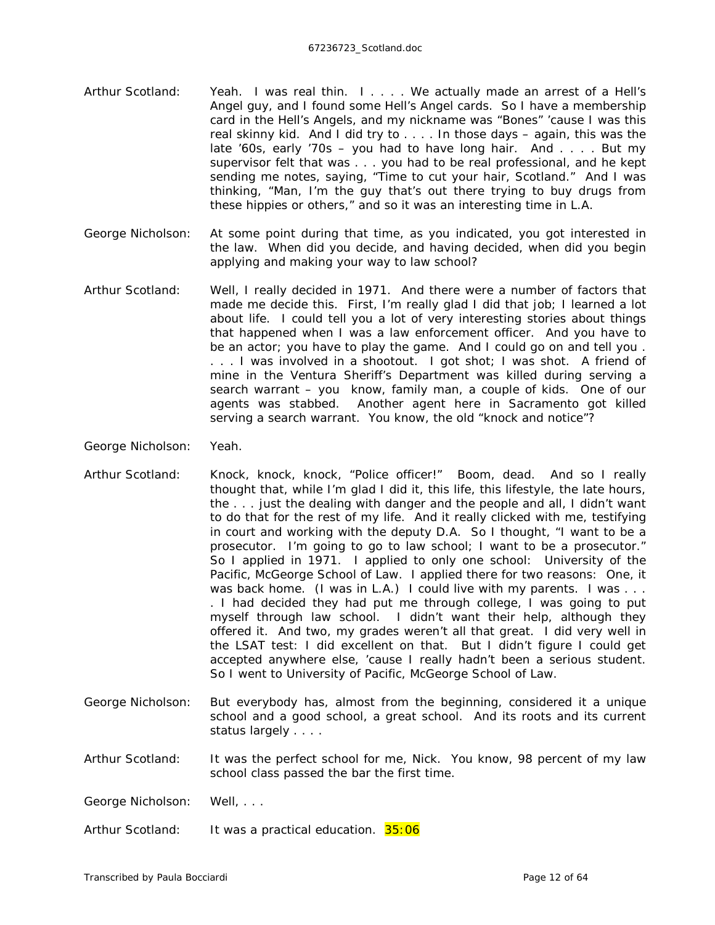- Arthur Scotland: Yeah. I was real thin. I . . . . We actually made an arrest of a Hell's Angel guy, and I found some Hell's Angel cards. So I have a membership card in the Hell's Angels, and my nickname was "Bones" 'cause I was this real skinny kid. And I did try to . . . . In those days – again, this was the late '60s, early '70s – you had to have long hair. And . . . . But my supervisor felt that was . . . you had to be real professional, and he kept sending me notes, saying, "Time to cut your hair, Scotland." And I was thinking, "Man, I'm the guy that's out there trying to buy drugs from these hippies or others," and so it was an interesting time in L.A.
- George Nicholson: At some point during that time, as you indicated, you got interested in the law. When did you decide, and having decided, when did you begin applying and making your way to law school?
- Arthur Scotland: Well, I really decided in 1971. And there were a number of factors that made me decide this. First, I'm really glad I did that job; I learned a lot about life. I could tell you a lot of very interesting stories about things that happened when I was a law enforcement officer. And you have to be an actor; you have to play the game. And I could go on and tell you . . . . I was involved in a shootout. I got shot; I was shot. A friend of mine in the Ventura Sheriff's Department was killed during serving a search warrant – you know, family man, a couple of kids. One of our agents was stabbed. Another agent here in Sacramento got killed serving a search warrant. You know, the old "knock and notice"?

George Nicholson: Yeah.

- Arthur Scotland: Knock, knock, knock, "Police officer!" Boom, dead. And so I really thought that, while I'm glad I did it, this life, this lifestyle, the late hours, the . . . just the dealing with danger and the people and all, I didn't want to do that for the rest of my life. And it really clicked with me, testifying in court and working with the deputy D.A. So I thought, "I want to be a prosecutor. I'm going to go to law school; I want to be a prosecutor." So I applied in 1971. I applied to only one school: University of the Pacific, McGeorge School of Law. I applied there for two reasons: One, it was back home. (I was in L.A.) I could live with my parents. I was ... . I had decided they had put me through college, I was going to put myself through law school. I didn't want their help, although they offered it. And two, my grades weren't all that great. I did *very* well in the LSAT test: I did excellent on that. But I didn't figure I could get accepted anywhere else, 'cause I really hadn't been a serious student. So I went to University of Pacific, McGeorge School of Law.
- George Nicholson: But everybody has, almost from the beginning, considered it a unique school and a good school, a great school. And its roots and its current status largely . . . .

Arthur Scotland: It was the perfect school for me, Nick. You know, 98 percent of my law school class passed the bar the first time.

- George Nicholson: Well, . . .
- Arthur Scotland: It was a practical education. 35:06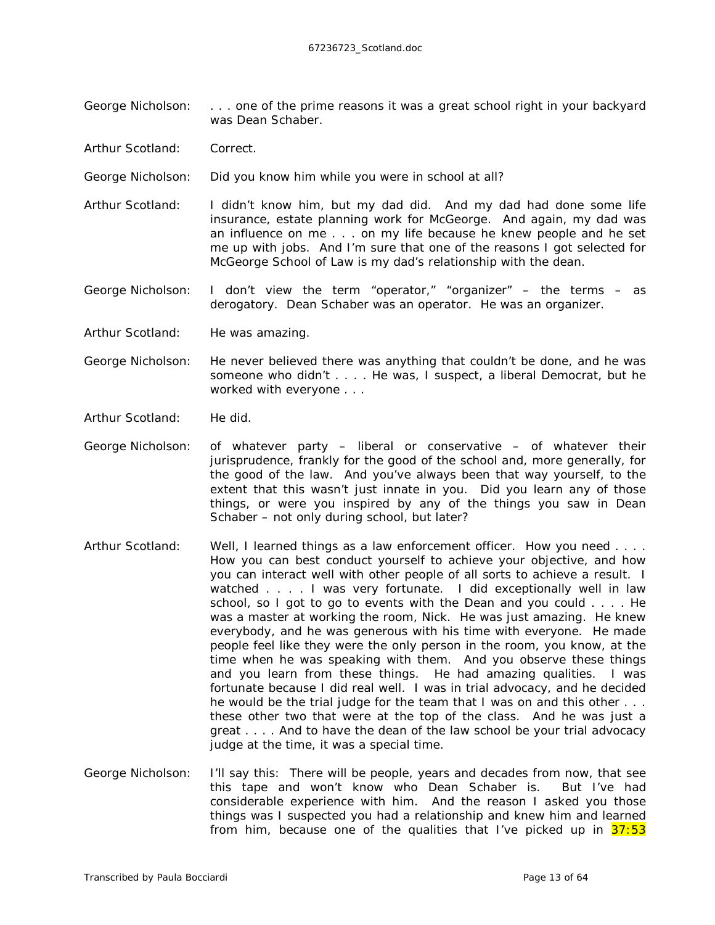- George Nicholson: . . . one of the prime reasons it was a great school right in your backyard was Dean Schaber.
- Arthur Scotland: Correct.
- George Nicholson: Did you know him while you were in school at all?
- Arthur Scotland: I didn't know him, but my dad did. And my dad had done some life insurance, estate planning work for McGeorge. And again, my dad was an influence on me . . . on my life because he knew people and he set me up with jobs. And I'm sure that one of the reasons I got selected for McGeorge School of Law is my dad's relationship with the dean.
- George Nicholson: I don't view the term "operator," "organizer" the terms as derogatory. Dean Schaber was an operator. He was an organizer.
- Arthur Scotland: He was amazing.
- George Nicholson: He never believed there was anything that couldn't be done, and he was someone who didn't . . . . He was, I suspect, a liberal Democrat, but he worked with everyone . . .
- Arthur Scotland: He did.
- George Nicholson: of whatever party liberal or conservative of whatever their jurisprudence, frankly for the good of the school and, more generally, for the good of the law. And you've always been that way yourself, to the extent that this wasn't just innate in you. Did you learn any of those things, or were you inspired by any of the things you saw in Dean Schaber – not only during school, but later?
- Arthur Scotland: Well, I learned things as a law enforcement officer. How you need . . . . How you can best conduct yourself to achieve your objective, and how you can interact well with other people of all sorts to achieve a result. I watched . . . . I was very fortunate. I did *exceptionally* well in law school, so I got to go to events with the Dean and you could . . . . He was a master at working the room, Nick. He was just amazing. He knew everybody, and he was generous with his time with everyone. He made people feel like they were the only person in the room, you know, at the time when he was speaking with them. And you observe these things and you learn from these things. He had amazing qualities. I was fortunate because I did real well. I was in trial advocacy, and he decided he would be the trial judge for the team that I was on and this other . . . these other two that were at the top of the class. And he was just a great . . . . And to have the dean of the law school be your trial advocacy judge at the time, it was a special time.
- George Nicholson: I'll say this: There will be people, years and decades from now, that see this tape and won't know who Dean Schaber is. But I've had considerable experience with him. And the reason I asked you those things was I suspected you had a relationship and knew him and learned from him, because one of the qualities that I've picked up in  $37:53$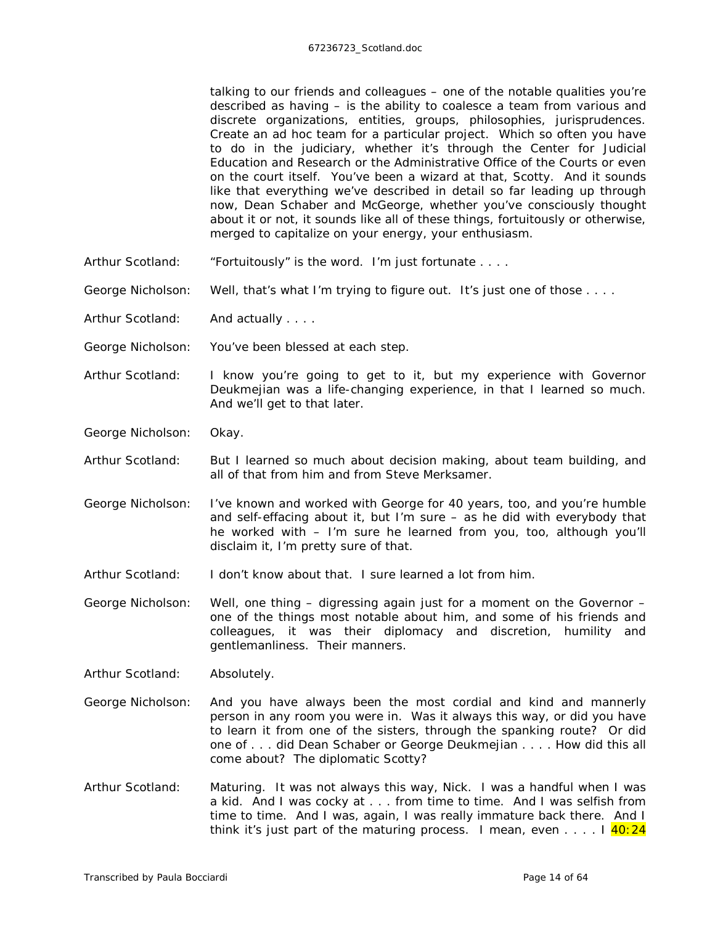talking to our friends and colleagues – one of the notable qualities you're described as having – is the ability to coalesce a team from various and discrete organizations, entities, groups, philosophies, jurisprudences. Create an ad hoc team for a particular project. Which so often you have to do in the judiciary, whether it's through the Center for Judicial Education and Research or the Administrative Office of the Courts or even on the court itself. You've been a wizard at that, Scotty. And it sounds like that everything we've described in detail so far leading up through now, Dean Schaber and McGeorge, whether you've consciously thought about it or not, it sounds like all of these things, fortuitously or otherwise, merged to capitalize on your energy, your enthusiasm.

- Arthur Scotland: "Fortuitously" is the word. I'm just fortunate ....
- George Nicholson: Well, that's what I'm trying to figure out. It's just one of those . . . .

Arthur Scotland: And actually . . . .

- George Nicholson: You've been blessed at each step.
- Arthur Scotland: I know you're going to get to it, but my experience with Governor Deukmejian was a life-changing experience, in that I learned so much. And we'll get to that later.

George Nicholson: Okay.

- Arthur Scotland: But I learned so much about decision making, about team building, and all of that from him and from Steve Merksamer.
- George Nicholson: I've known and worked with George for 40 years, too, and you're humble and self-effacing about it, but I'm sure – as he did with everybody that he worked with – I'm sure he learned from you, too, although you'll disclaim it, I'm pretty sure of that.
- Arthur Scotland: I don't know about that. I sure learned a lot from him.

George Nicholson: Well, one thing – digressing again just for a moment on the Governor – one of the things most notable about him, and some of his friends and colleagues, it was their diplomacy and discretion, humility and gentlemanliness. Their manners.

Arthur Scotland: Absolutely.

- George Nicholson: And you have always been the most cordial and kind and mannerly person in any room you were in. Was it always this way, or did you have to learn it from one of the sisters, through the spanking route? Or did one of . . . did Dean Schaber or George Deukmejian . . . . How did this all come about? The diplomatic Scotty?
- Arthur Scotland: Maturing. It was not always this way, Nick. I was a handful when I was a kid. And I was cocky at . . . from time to time. And I was selfish from time to time. And I was, again, I was really immature back there. And I think it's just part of the maturing process. I mean, even  $\dots$  . I  $40:24$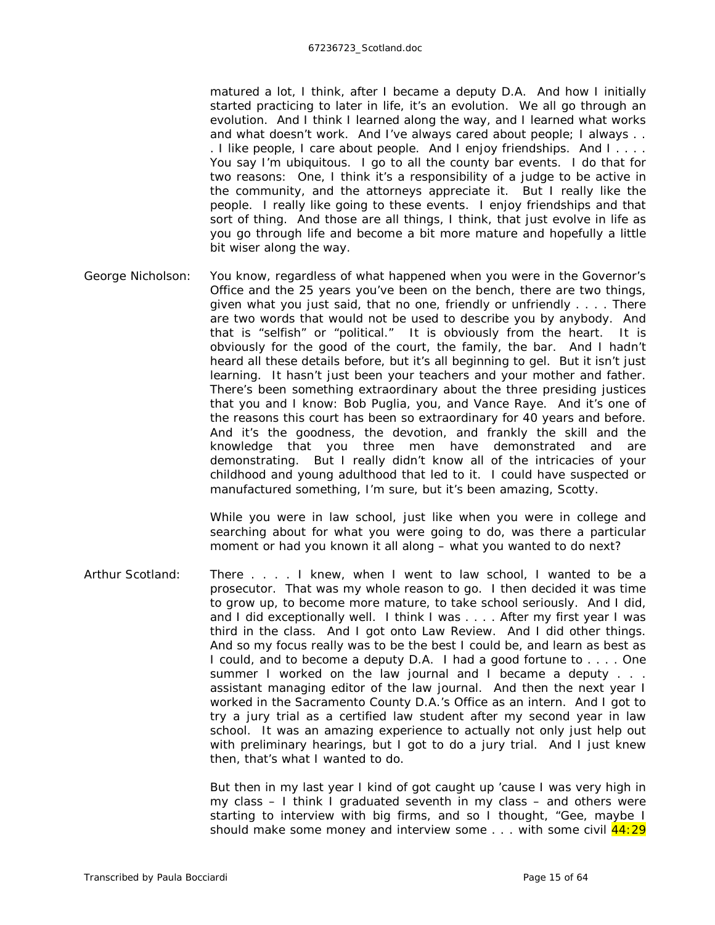matured a lot, I think, after I became a deputy D.A. And how I initially started practicing to later in life, it's an evolution. We all go through an evolution. And I think I learned along the way, and I learned what works and what doesn't work. And I've always cared about people; I always . . . I like people, I care about people. And I enjoy friendships. And I . . . . You say I'm ubiquitous. I go to all the county bar events. I do that for two reasons: One, I think it's a responsibility of a judge to be active in the community, and the attorneys appreciate it. But I really like the people. I really like going to these events. I enjoy friendships and that sort of thing. And those are all things, I think, that just evolve in life as you go through life and become a bit more mature and hopefully a little bit wiser along the way.

George Nicholson: You know, regardless of what happened when you were in the Governor's Office and the 25 years you've been on the bench, there are two things, given what you just said, that no one, friendly or unfriendly . . . . There are two words that would not be used to describe you by anybody. And that is "selfish" or "political." It is obviously from the heart. It is obviously for the good of the court, the family, the bar. And I hadn't heard all these details before, but it's all beginning to gel. But it isn't just learning. It hasn't just been your teachers and your mother and father. There's been something extraordinary about the three presiding justices that you and I know: Bob Puglia, you, and Vance Raye. And it's one of the reasons this court has been so extraordinary for 40 years and before. And it's the goodness, the devotion, and frankly the skill and the knowledge that you three men have demonstrated and are demonstrating. But I really didn't know all of the intricacies of your childhood and young adulthood that led to it. I could have suspected or manufactured something, I'm sure, but it's been amazing, Scotty.

> While you were in law school, just like when you were in college and searching about for what you were going to do, was there a particular moment or had you known it all along – what you wanted to do next?

Arthur Scotland: There . . . . I knew, when I went to law school, I wanted to be a prosecutor. That was my whole reason to go. I then decided it was time to grow up, to become more mature, to take school seriously. And I did, and I did exceptionally well. I think I was . . . . After my first year I was third in the class. And I got onto *Law Review*. And I did other things. And so my focus really was to be the best I could be, and learn as best as I could, and to become a deputy D.A. I had a good fortune to . . . . One summer I worked on the law journal and I became a deputy . . . assistant managing editor of the law journal. And then the next year I worked in the Sacramento County D.A.'s Office as an intern. And I got to try a jury trial as a certified law student after my second year in law school. It was an amazing experience to actually not only just help out with preliminary hearings, but I got to do a jury trial. And I just knew then, that's what I wanted to do.

> But then in my last year I kind of got caught up 'cause I was very high in my class – I think I graduated seventh in my class – and others were starting to interview with big firms, and so I thought, "Gee, maybe I should make some money and interview some  $\dots$  with some civil  $44:29$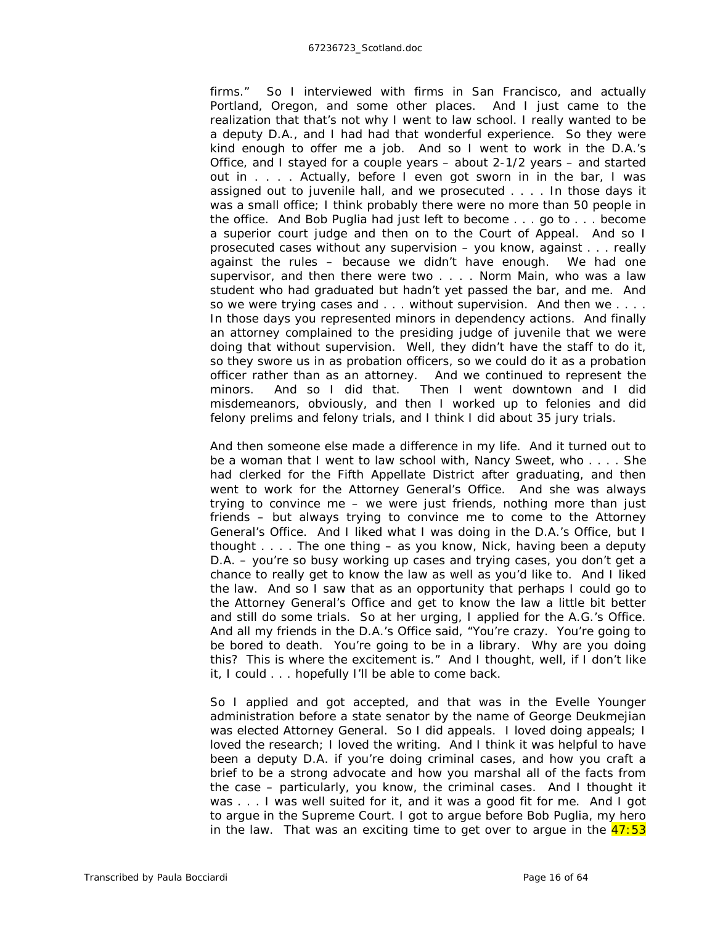firms." So I interviewed with firms in San Francisco, and actually Portland, Oregon, and some other places. And I just came to the realization that that's not why I went to law school. I really wanted to be a deputy D.A., and I had had that wonderful experience. So they were kind enough to offer me a job. And so I went to work in the D.A.'s Office, and I stayed for a couple years – about 2-1/2 years – and started out in . . . . Actually, before I even got sworn in in the bar, I was assigned out to juvenile hall, and we prosecuted . . . . In those days it was a small office; I think probably there were no more than 50 people in the office. And Bob Puglia had just left to become . . . go to . . . become a superior court judge and then on to the Court of Appeal. And so I prosecuted cases without any supervision – you know, against . . . really against the rules – because we didn't have enough. We had one supervisor, and then there were two . . . . Norm Main, who was a law student who had graduated but hadn't yet passed the bar, and me. And so we were trying cases and . . . without supervision. And then we . . . . In those days you represented minors in dependency actions. And finally an attorney complained to the presiding judge of juvenile that we were doing that without supervision. Well, they didn't have the staff to do it, so they swore us in as probation officers, so we could do it as a probation officer rather than as an attorney. And we continued to represent the minors. And so I did that. Then I went downtown and I did misdemeanors, obviously, and then I worked up to felonies and did felony prelims and felony trials, and I think I did about 35 jury trials.

And then someone else made a difference in my life. And it turned out to be a woman that I went to law school with, Nancy Sweet, who . . . . She had clerked for the Fifth Appellate District after graduating, and then went to work for the Attorney General's Office. And she was always trying to convince me – we were just friends, nothing more than just friends – but always trying to convince me to come to the Attorney General's Office. And I liked what I was doing in the D.A.'s Office, but I thought . . . . The one thing – as you know, Nick, having been a deputy D.A. – you're so busy working up cases and trying cases, you don't get a chance to really get to know the law as well as you'd like to. And I liked the law. And so I saw that as an opportunity that perhaps I could go to the Attorney General's Office and get to know the law a little bit better and still do some trials. So at her urging, I applied for the A.G.'s Office. And all my friends in the D.A.'s Office said, "You're crazy. You're going to be bored to death. You're going to be in a library. Why are you doing this? This is where the excitement is." And I thought, well, if I don't like it, I could . . . hopefully I'll be able to come back.

So I applied and got accepted, and that was in the Evelle Younger administration before a state senator by the name of George Deukmejian was elected Attorney General. So I did appeals. I *loved* doing appeals; I *loved* the research; I *loved* the writing. And I think it was helpful to have been a deputy D.A. if you're doing criminal cases, and how you craft a brief to be a strong advocate and how you marshal all of the facts from the case – particularly, you know, the criminal cases. And I thought it was . . . I was well suited for it, and it was a good fit for me. And I got to argue in the Supreme Court. I got to argue before Bob Puglia, my hero in the law. That was an exciting time to get over to argue in the  $47:53$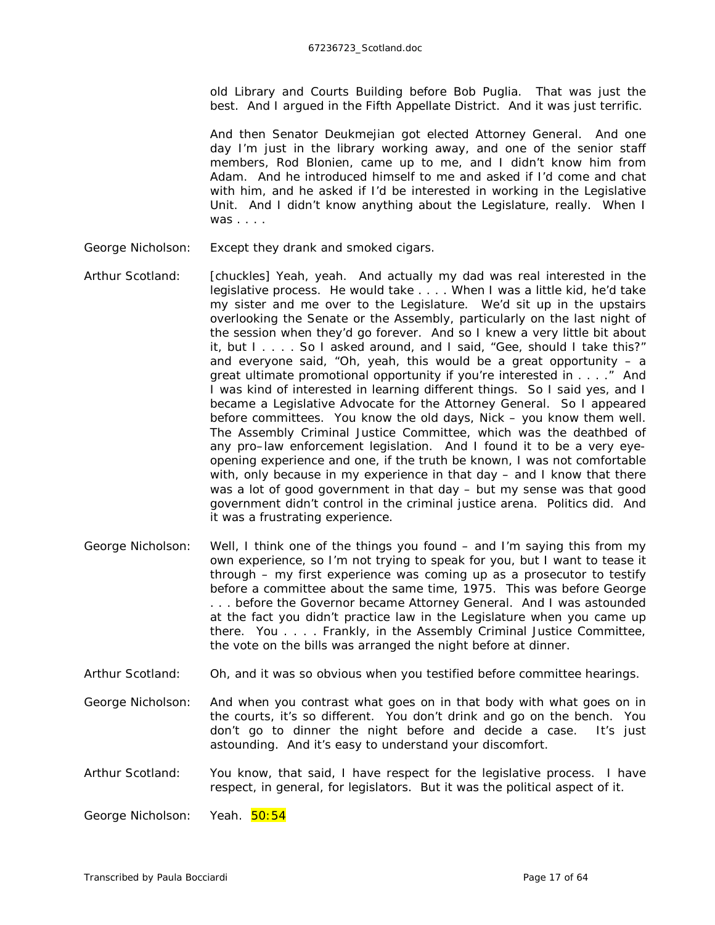old Library and Courts Building before *Bob Puglia*. That was just the best. And I argued in the Fifth Appellate District. And it was just terrific.

And then Senator Deukmejian got elected Attorney General. And one day I'm just in the library working away, and one of the senior staff members, Rod Blonien, came up to me, and I didn't know him from Adam. And he introduced himself to me and asked if I'd come and chat with him, and he asked if I'd be interested in working in the Legislative Unit. And I didn't know anything about the Legislature, really. When I was . . . .

- George Nicholson: Except they drank and smoked cigars.
- Arthur Scotland: *[chuckles]* Yeah, yeah. And actually my dad was real interested in the legislative process. He would take . . . . When I was a little kid, he'd take my sister and me over to the Legislature. We'd sit up in the upstairs overlooking the Senate or the Assembly, particularly on the last night of the session when they'd go forever. And so I knew a very little bit about it, but I . . . . So I asked around, and I said, "Gee, should I take this?" and everyone said, "Oh, yeah, this would be a great opportunity  $-$  a great ultimate promotional opportunity if you're interested in . . . ." And I was kind of interested in learning different things. So I said yes, and I became a Legislative Advocate for the Attorney General. So I appeared before committees. You know the old days, Nick – you know them well. The Assembly Criminal Justice Committee, which was the deathbed of any pro–law enforcement legislation. And I found it to be a very eyeopening experience and one, if the truth be known, I was not comfortable with, only because in my experience in that day – and I know that there was a lot of good government in that day – but my sense was that good government didn't control in the criminal justice arena. Politics did. And it was a frustrating experience.
- George Nicholson: Well, I think one of the things you found and I'm saying this from my own experience, so I'm not trying to speak for you, but I want to tease it through – my first experience was coming up as a prosecutor to testify before a committee about the same time, 1975. This was before George . . . before the Governor became Attorney General. And I was astounded at the fact you didn't practice law in the Legislature when you came up there. You . . . . Frankly, in the Assembly Criminal Justice Committee, the vote on the bills was arranged the night before at dinner.
- Arthur Scotland: Oh, and it was so obvious when you testified before committee hearings.
- George Nicholson: And when you contrast what goes on in that body with what goes on in the courts, it's so different. You don't drink and go on the bench. You don't go to dinner the night before and decide a case. It's just astounding. And it's easy to understand your discomfort.
- Arthur Scotland: You know, that said, I have respect for the legislative process. I have respect, in general, for legislators. But it was the political aspect of it.

George Nicholson: Yeah. 50:54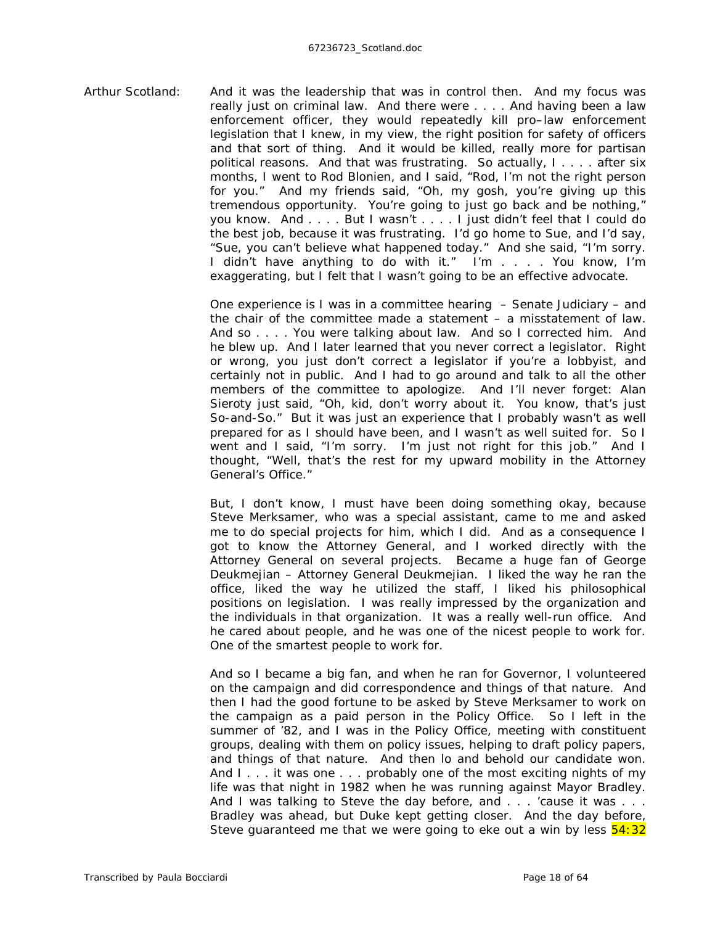Arthur Scotland: And it was the leadership that was in control then. And my focus was really just on criminal law. And there were . . . . And having been a law enforcement officer, they would repeatedly kill pro–law enforcement legislation that I knew, in my view, the right position for safety of officers and that sort of thing. And it would be killed, really more for partisan political reasons. And that was frustrating. So actually, I . . . . after six months, I went to Rod Blonien, and I said, "Rod, I'm not the right person for you." And my friends said, "Oh, my gosh, you're giving up this tremendous opportunity. You're going to just go back and be nothing," you know. And . . . . But I wasn't . . . . I just didn't feel that I could do the best job, because it was frustrating. I'd go home to Sue, and I'd say, "Sue, you can't believe what happened today." And she said, "I'm sorry. I didn't have anything to do with it." I'm . . . . You know, I'm exaggerating, but I felt that I wasn't going to be an effective advocate.

> One experience is I was in a committee hearing – Senate Judiciary – and the chair of the committee made a statement – a misstatement of law. And so . . . . You were talking about law. And so I corrected him. And he blew up. And I later learned that you never correct a legislator. Right or wrong, you just don't correct a legislator if you're a lobbyist, and certainly not in public. And I had to go around and talk to all the other members of the committee to apologize. And I'll never forget: Alan Sieroty just said, "Oh, kid, don't worry about it. You know, that's just So-and-So." But it was just an experience that I probably wasn't as well prepared for as I should have been, and I wasn't as well suited for. So I went and I said, "I'm sorry. I'm just not right for this job." And I thought, "Well, that's the rest for my upward mobility in the Attorney General's Office."

> But, I don't know, I must have been doing *something* okay, because Steve Merksamer, who was a special assistant, came to me and asked me to do special projects for him, which I did. And as a consequence I got to know the Attorney General, and I worked directly with the Attorney General on several projects. Became a huge fan of George Deukmejian – Attorney General Deukmejian. I liked the way he ran the office, liked the way he utilized the staff, I liked his philosophical positions on legislation. I was really impressed by the organization and the individuals in that organization. It was a really well-run office. And he cared about people, and he was one of the nicest people to work for. One of the smartest people to work for.

> And so I became a big fan, and when he ran for Governor, I volunteered on the campaign and did correspondence and things of that nature. And then I had the good fortune to be asked by Steve Merksamer to work on the campaign as a paid person in the Policy Office. So I left in the summer of '82, and I was in the Policy Office, meeting with constituent groups, dealing with them on policy issues, helping to draft policy papers, and things of that nature. And then lo and behold our candidate won. And I . . . it was one . . . probably one of the most exciting nights of my life was that night in 1982 when he was running against Mayor Bradley. And I was talking to Steve the day before, and . . . 'cause it was . . . Bradley was ahead, but Duke kept getting closer. And the day before, Steve guaranteed me that we were going to eke out a win by less  $\frac{54:32}{2}$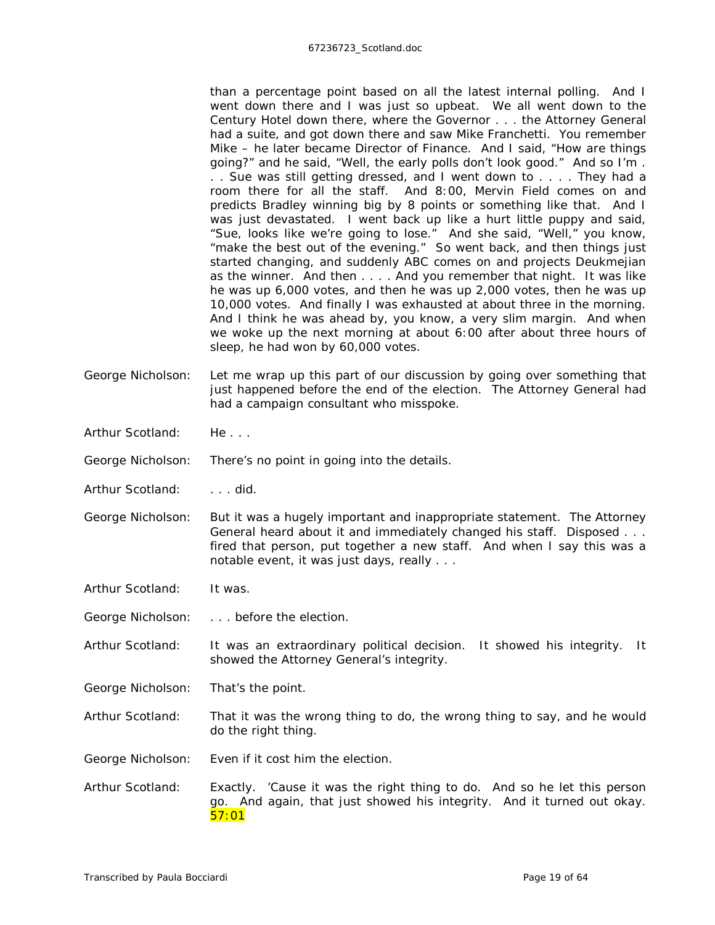than a percentage point based on all the latest internal polling. And I went down there and I was just so upbeat. We all went down to the Century Hotel down there, where the Governor . . . the Attorney General had a suite, and got down there and saw Mike Franchetti. You remember Mike – he later became Director of Finance. And I said, "How are things going?" and he said, "Well, the early polls don't look good." And so I'm . . . Sue was still getting dressed, and I went down to . . . . They had a room there for all the staff. And 8:00, Mervin Field comes on and predicts Bradley winning big by 8 points or something like that. And I was just devastated. I went back up like a hurt little puppy and said, "Sue, looks like we're going to lose." And she said, "Well," you know, "make the best out of the evening." So went back, and then things just started changing, and suddenly ABC comes on and projects Deukmejian as the winner. And then . . . . And you remember that night. It was like he was up 6,000 votes, and then he was up 2,000 votes, then he was up 10,000 votes. And finally I was exhausted at about three in the morning. And I think he was ahead by, you know, a very slim margin. And when we woke up the next morning at about 6:00 after about three hours of sleep, he had won by 60,000 votes.

- George Nicholson: Let me wrap up this part of our discussion by going over something that just happened before the end of the election. The Attorney General had had a campaign consultant who misspoke.
- Arthur Scotland: He...
- George Nicholson: There's no point in going into the details.
- Arthur Scotland: . . . . did.
- George Nicholson: But it was a hugely important and inappropriate statement. The Attorney General heard about it and immediately changed his staff. Disposed . . . fired that person, put together a new staff. And when I say this was a notable event, it was just days, really . . .
- Arthur Scotland: It was.
- George Nicholson: . . . . before the election.
- Arthur Scotland: It was an extraordinary political decision. It showed his integrity. It showed the Attorney General's integrity.
- George Nicholson: That's the point.
- Arthur Scotland: That it was the wrong thing to do, the wrong thing to say, and he would do the right thing.
- George Nicholson: Even if it cost him the election.
- Arthur Scotland: Exactly. 'Cause it was the right thing to do. And so he let this person go. And again, that just showed his integrity. And it turned out okay. 57:01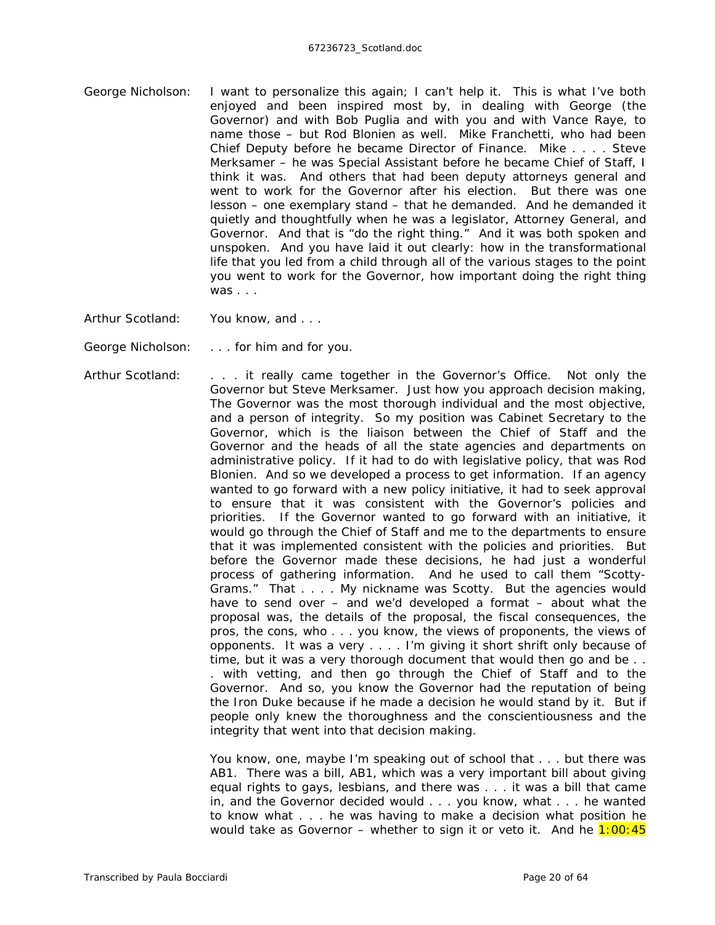- George Nicholson: I want to personalize this again; I can't help it. This is what I've both enjoyed and been inspired most by, in dealing with George (the Governor) and with Bob Puglia and with you and with Vance Raye, to name those – but Rod Blonien as well. Mike Franchetti, who had been Chief Deputy before he became Director of Finance. Mike . . . . Steve Merksamer – he was Special Assistant before he became Chief of Staff, I think it was. And others that had been deputy attorneys general and went to work for the Governor after his election. But there was one lesson – one exemplary stand – that he demanded. And he demanded it quietly and thoughtfully when he was a legislator, Attorney General, and Governor. And that is "do the right thing." And it was both spoken and unspoken. And you have laid it out clearly: how in the transformational life that you led from a child through all of the various stages to the point you went to work for the Governor, how important doing the right thing  $was \dots$
- Arthur Scotland: You know, and . . .
- George Nicholson: . . . . for him and for you.
- Arthur Scotland: . . . it really came together in the Governor's Office. Not only the Governor but Steve Merksamer. Just how you approach decision making, The Governor was the most thorough individual and the most objective, and a person of integrity. So my position was Cabinet Secretary to the Governor, which is the liaison between the Chief of Staff and the Governor and the heads of all the state agencies and departments on administrative policy. If it had to do with legislative policy, that was Rod Blonien. And so we developed a process to get information. If an agency wanted to go forward with a new policy initiative, it had to seek approval to ensure that it was consistent with the Governor's policies and priorities. If the Governor wanted to go forward with an initiative, it would go through the Chief of Staff and me to the departments to ensure that it was implemented consistent with the policies and priorities. But before the Governor made these decisions, he had just a wonderful process of gathering information. And he used to call them "Scotty-Grams." That . . . . My nickname was Scotty. But the agencies would have to send over – and we'd developed a format – about what the proposal was, the details of the proposal, the fiscal consequences, the pros, the cons, who . . . you know, the views of proponents, the views of opponents. It was a very . . . . I'm giving it short shrift only because of time, but it was a very thorough document that would then go and be . . . with vetting, and then go through the Chief of Staff and to the Governor. And so, you know the Governor had the reputation of being the Iron Duke because if he made a decision he would stand by it. But if people only knew the thoroughness and the conscientiousness and the integrity that went into that decision making.

You know, one, maybe I'm speaking out of school that . . . but there was AB1. There was a bill, AB1, which was a very important bill about giving equal rights to gays, lesbians, and there was . . . it was a bill that came in, and the Governor decided would . . . you know, what . . . he wanted to know what . . . he was having to make a decision what position he would take as Governor – whether to sign it or veto it. And he  $1:00:45$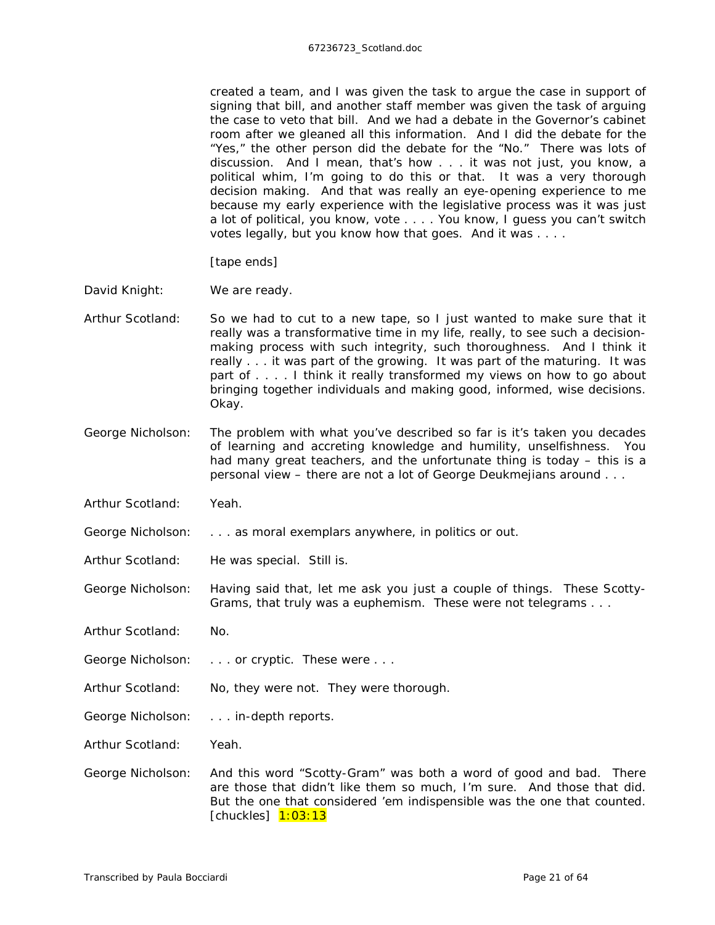## 67236723\_Scotland.doc

created a team, and I was given the task to argue the case in support of signing that bill, and another staff member was given the task of arguing the case to veto that bill. And we had a debate in the Governor's cabinet room after we gleaned all this information. And I did the debate for the "Yes," the other person did the debate for the "No." There was lots of discussion. And I mean, that's how . . . it was not just, you know, a political whim, I'm going to do this or that. It was a very thorough decision making. And that was really an eye-opening experience to me because my early experience with the legislative process was it was just a lot of political, you know, vote . . . . You know, I guess you can't switch votes legally, but you know how that goes. And it was . . . .

## *[tape ends]*

- David Knight: We are ready.
- Arthur Scotland: So we had to cut to a new tape, so I just wanted to make sure that it really was a transformative time in my life, really, to see such a decisionmaking process with such integrity, such thoroughness. And I think it really . . . it was part of the growing. It was part of the maturing. It was part of . . . . I think it really transformed my views on how to go about bringing together individuals and making good, informed, wise decisions. Okay.
- George Nicholson: The problem with what you've described so far is it's taken you decades of learning and accreting knowledge and humility, unselfishness. You had many great teachers, and the unfortunate thing is today – this is a personal view – there are not a lot of George Deukmejians around . . .
- Arthur Scotland: Yeah.
- George Nicholson: . . . . as moral exemplars anywhere, in politics or out.
- Arthur Scotland: He was special. Still is.

George Nicholson: Having said that, let me ask you just a couple of things. These Scotty-Grams, that truly was a euphemism. These were not telegrams . . .

- Arthur Scotland: No.
- George Nicholson: . . . . or cryptic. These were . . .
- Arthur Scotland: No, they were not. They were thorough.
- George Nicholson: . . . in-depth reports.
- Arthur Scotland: Yeah.
- George Nicholson: And this word "Scotty-Gram" was both a word of good and bad. There are those that didn't like them so much, I'm sure. And those that did. But the one that considered 'em indispensible was the one that counted. *[chuckles]* 1:03:13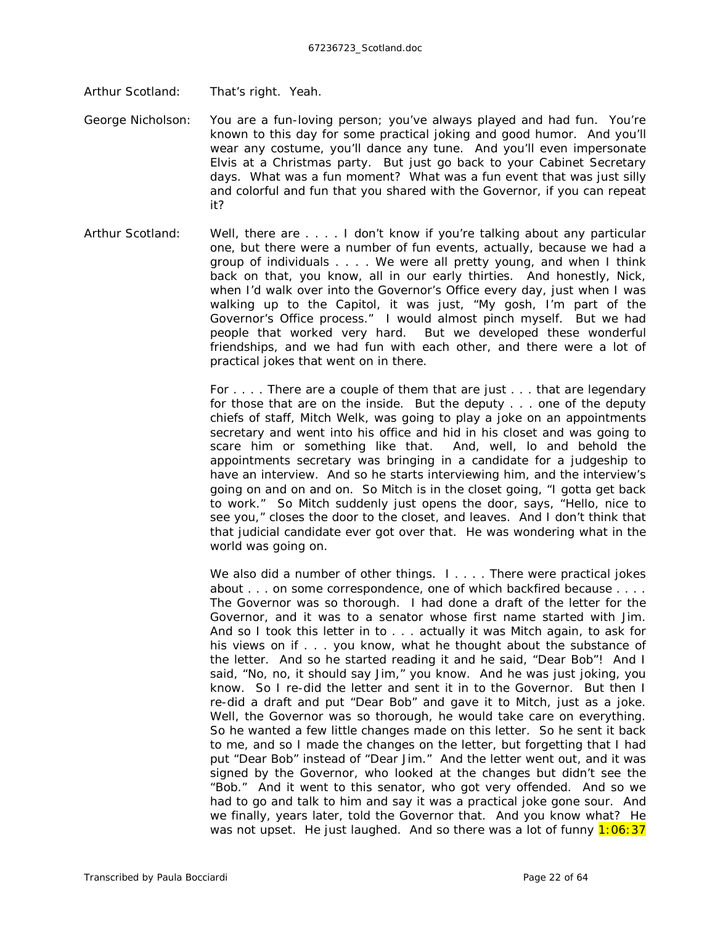Arthur Scotland: That's right. Yeah.

- George Nicholson: You are a fun-loving person; you've always played and had fun. You're known to this day for some practical joking and good humor. And you'll wear any costume, you'll dance any tune. And you'll even impersonate Elvis at a Christmas party. But just go back to your Cabinet Secretary days. What was a fun moment? What was a fun event that was just silly and colorful and fun that you shared with the Governor, if you can repeat it?
- Arthur Scotland: Well, there are . . . . I don't know if you're talking about any particular one, but there were a number of fun events, actually, because we had a group of individuals . . . . We were all pretty young, and when I think back on that, you know, all in our early thirties. And honestly, Nick, when I'd walk over into the Governor's Office every day, just when I was walking up to the Capitol, it was just, "My gosh, I'm part of the Governor's Office process." I would almost pinch myself. But we had people that worked *very* hard. But we developed these wonderful friendships, and we had fun with each other, and there were a lot of practical jokes that went on in there.

For . . . . There are a couple of them that are just . . . that are legendary for those that are on the inside. But the deputy . . . one of the deputy chiefs of staff, Mitch Welk, was going to play a joke on an appointments secretary and went into his office and hid in his closet and was going to scare him or something like that. And, well, lo and behold the appointments secretary was bringing in a candidate for a judgeship to have an interview. And so he starts interviewing him, and the interview's going on and on and on. So Mitch is in the closet going, "I gotta get back to work." So Mitch suddenly just opens the door, says, "Hello, nice to see you," closes the door to the closet, and leaves. And I don't think that that judicial candidate ever got over that. He was wondering *what* in the world was going on.

We also did a number of other things. I.... There were practical jokes about . . . on some correspondence, one of which backfired because . . . . The Governor was so thorough. I had done a draft of the letter for the Governor, and it was to a senator whose first name started with Jim. And so I took this letter in to . . . actually it was Mitch again, to ask for his views on if . . . you know, what he thought about the substance of the letter. And so he started reading it and he said, "Dear Bob"! And I said, "No, no, it should say Jim," you know. And he was just joking, you know. So I re-did the letter and sent it in to the Governor. But then I re-did a draft and put "Dear Bob" and gave it to Mitch, just as a joke. Well, the Governor was so thorough, he would take care on everything. So he wanted a few little changes made on this letter. So he sent it back to me, and so I made the changes on the letter, but forgetting that I had put "Dear Bob" instead of "Dear Jim." And the letter went out, and it was signed by the Governor, who looked at the changes but didn't see the "Bob." And it went to this senator, who got very offended. And so we had to go and talk to him and say it was a practical joke gone sour. And we finally, years later, told the Governor that. And you know what? He was not upset. He just laughed. And so there was a lot of funny  $1:06:37$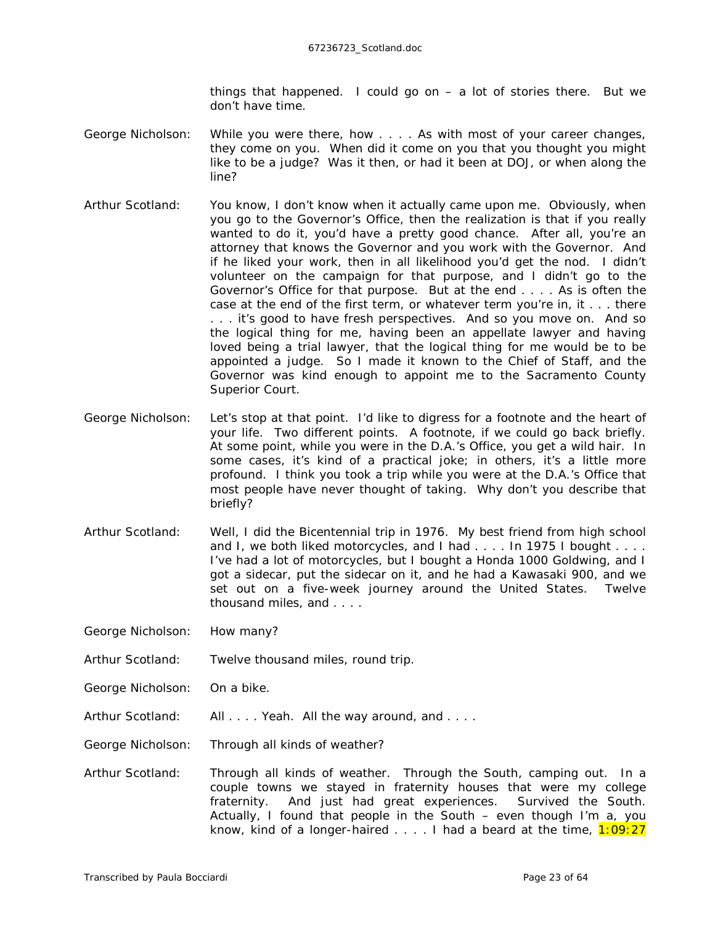things that happened. I could go on – a lot of stories there. But we don't have time.

- George Nicholson: While you were there, how . . . . As with most of your career changes, they come on you. When did it come on you that you thought you might like to be a judge? Was it then, or had it been at DOJ, or when along the line?
- Arthur Scotland: You know, I don't know when it actually came upon me. Obviously, when you go to the Governor's Office, then the realization is that if you really wanted to do it, you'd have a pretty good chance. After all, you're an attorney that knows the Governor and you work with the Governor. And if he liked your work, then in all likelihood you'd get the nod. I didn't volunteer on the campaign for that purpose, and I didn't go to the Governor's Office for that purpose. But at the end . . . . As is often the case at the end of the first term, or whatever term you're in, it . . . there . . . it's good to have fresh perspectives. And so you move on. And so the logical thing for me, having been an appellate lawyer and having loved being a trial lawyer, that the logical thing for me would be to be appointed a judge. So I made it known to the Chief of Staff, and the Governor was kind enough to appoint me to the Sacramento County Superior Court.
- George Nicholson: Let's stop at that point. I'd like to digress for a footnote and the heart of your life. Two different points. A footnote, if we could go back briefly. At some point, while you were in the D.A.'s Office, you get a wild hair. In some cases, it's kind of a practical joke; in others, it's a little more profound. I think you took a trip while you were at the D.A.'s Office that most people have never thought of taking. Why don't you describe that briefly?
- Arthur Scotland: Well, I did the Bicentennial trip in 1976. My best friend from high school and I, we both liked motorcycles, and I had . . . . In 1975 I bought . . . . I've had a lot of motorcycles, but I bought a Honda 1000 Goldwing, and I got a sidecar, put the sidecar on it, and he had a Kawasaki 900, and we set out on a five-week journey around the United States. Twelve thousand miles, and . . . .
- George Nicholson: How many?
- Arthur Scotland: Twelve thousand miles, round trip.
- George Nicholson: On a bike.
- Arthur Scotland: All . . . . Yeah. All the way around, and . . . .
- George Nicholson: Through all kinds of weather?
- Arthur Scotland: Through all kinds of weather. Through the South, camping out. In a couple towns we stayed in fraternity houses that were my college fraternity. And just had great experiences. Survived the South. Actually, I found that people in the South – even though I'm a, you know, kind of a longer-haired  $\dots$ . I had a beard at the time,  $1:09:27$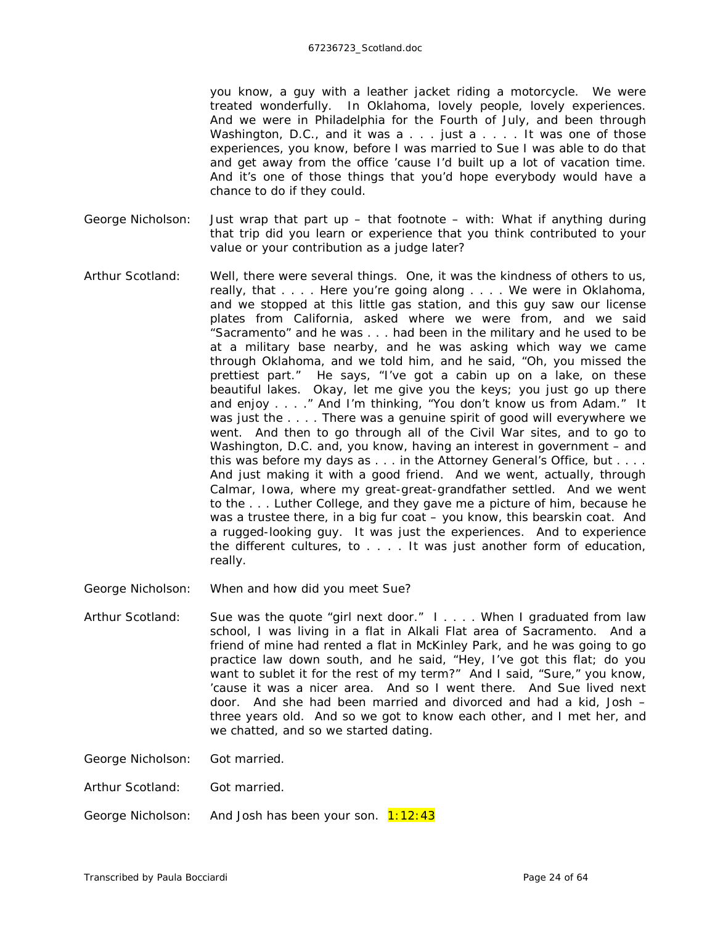you know, a guy with a leather jacket riding a motorcycle. We were treated wonderfully. In Oklahoma, lovely people, lovely experiences. And we were in Philadelphia for the Fourth of July, and been through Washington, D.C., and it was a . . . just a . . . . It was one of those experiences, you know, before I was married to Sue I was able to do that and get away from the office 'cause I'd built up a lot of vacation time. And it's one of those things that you'd hope everybody would have a chance to do if they could.

- George Nicholson: Just wrap that part up that footnote with: What if anything during that trip did you learn or experience that you think contributed to your value or your contribution as a judge later?
- Arthur Scotland: Well, there were several things. One, it was the kindness of others *to* us, really, that . . . . Here you're going along . . . . We were in Oklahoma, and we stopped at this little gas station, and this guy saw our license plates from California, asked where we were from, and we said "Sacramento" and he was . . . had been in the military and he used to be at a military base nearby, and he was asking which way we came through Oklahoma, and we told him, and he said, "Oh, you missed the prettiest part." He says, "I've got a cabin up on a lake, on these beautiful lakes. Okay, let me give you the keys; you just go up there and enjoy . . . ." And I'm thinking, "You don't know us from Adam." It was just the . . . . There was a genuine spirit of good will everywhere we went. And then to go through all of the Civil War sites, and to go to Washington, D.C. and, you know, having an interest in government – and this was before my days as . . . in the Attorney General's Office, but . . . . And just making it with a good friend. And we went, actually, through Calmar, Iowa, where my great-great-grandfather settled. And we went to the . . . Luther College, and they gave me a picture of him, because he was a trustee there, in a big fur coat – you know, this bearskin coat. And a rugged-looking guy. It was just the experiences. And to experience the different cultures, to . . . . It was just another form of education, really.

George Nicholson: When and how did you meet Sue?

Arthur Scotland: Sue was the quote "girl next door." I . . . . When I graduated from law school, I was living in a flat in Alkali Flat area of Sacramento. And a friend of mine had rented a flat in McKinley Park, and he was going to go practice law down south, and he said, "Hey, I've got this flat; do you want to sublet it for the rest of my term?" And I said, "Sure," you know, 'cause it was a nicer area. And so I went there. And Sue lived next door. And she had been married and divorced and had a kid, Josh – three years old. And so we got to know each other, and I met her, and we chatted, and so we started dating.

George Nicholson: Got married.

Arthur Scotland: Got married.

George Nicholson: And Josh has been your son. 1:12:43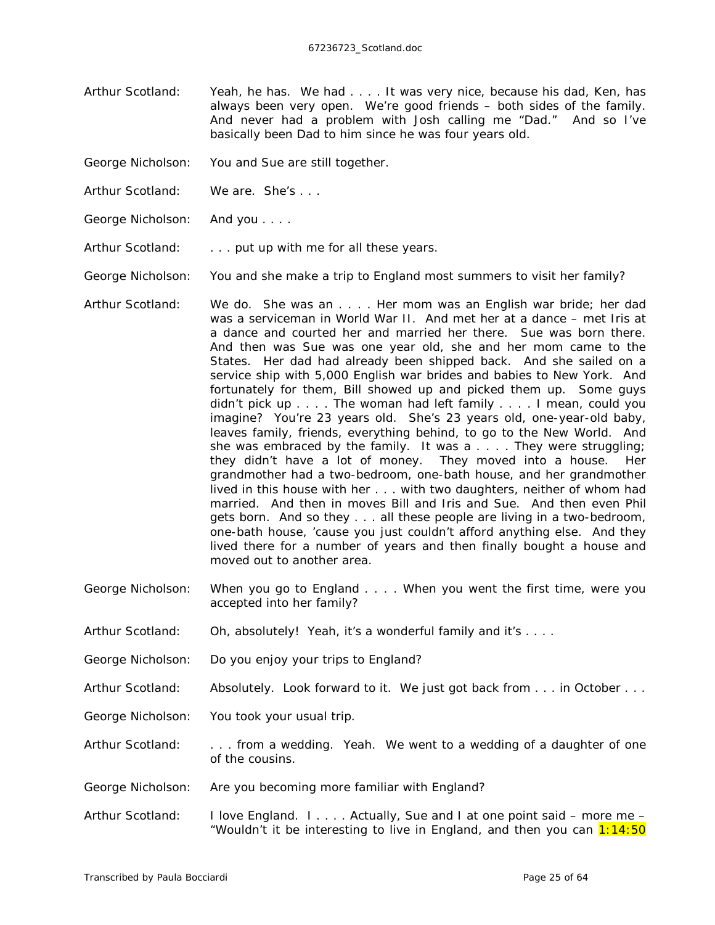- Arthur Scotland: Yeah, he has. We had . . . . It was very nice, because his dad, Ken, has always been very open. We're good friends – both sides of the family. And never had a problem with Josh calling me "Dad." And so I've basically been Dad to him since he was four years old.
- George Nicholson: You and Sue are still together.
- Arthur Scotland: We are. She's ...
- George Nicholson: And you . . . .
- Arthur Scotland: . . . . put up with me for all these years.

George Nicholson: You and she make a trip to England most summers to visit her family?

- Arthur Scotland: We do. She was an . . . . Her mom was an English war bride; her dad was a serviceman in World War II. And met her at a dance – met Iris at a dance and courted her and married her there. Sue was born there. And then was Sue was one year old, she and her mom came to the States. Her dad had already been shipped back. And she sailed on a service ship with 5,000 English war brides and babies to New York. And fortunately for them, Bill showed up and picked them up. Some guys didn't pick up . . . . The woman had left family . . . . I mean, could you imagine? You're 23 years old. She's 23 years old, one-year-old baby, leaves family, friends, everything behind, to go to the New World. And she was embraced by the family. It was a . . . . They were struggling; they didn't have a lot of money. They moved into a house. Her grandmother had a two-bedroom, one-bath house, and her grandmother lived in this house with her . . . with two daughters, neither of whom had married. And then in moves Bill and Iris and Sue. And then even Phil gets born. And so they . . . all these people are living in a two-bedroom, one-bath house, 'cause you just couldn't afford anything else. And they lived there for a number of years and then finally bought a house and moved out to another area.
- George Nicholson: When you go to England . . . . When you went the first time, were you accepted into her family?
- Arthur Scotland: Oh, absolutely! Yeah, it's a wonderful family and it's . . . .
- George Nicholson: Do you enjoy your trips to England?
- Arthur Scotland: Absolutely. Look forward to it. We just got back from . . . in October . . .
- George Nicholson: You took your usual trip.
- Arthur Scotland: . . . . from a wedding. Yeah. We went to a wedding of a daughter of one of the cousins.
- George Nicholson: Are you becoming more familiar with England?
- Arthur Scotland: I love England. I . . . . Actually, Sue and I at one point said more me "Wouldn't it be interesting to live in England, and then you can  $1:14:50$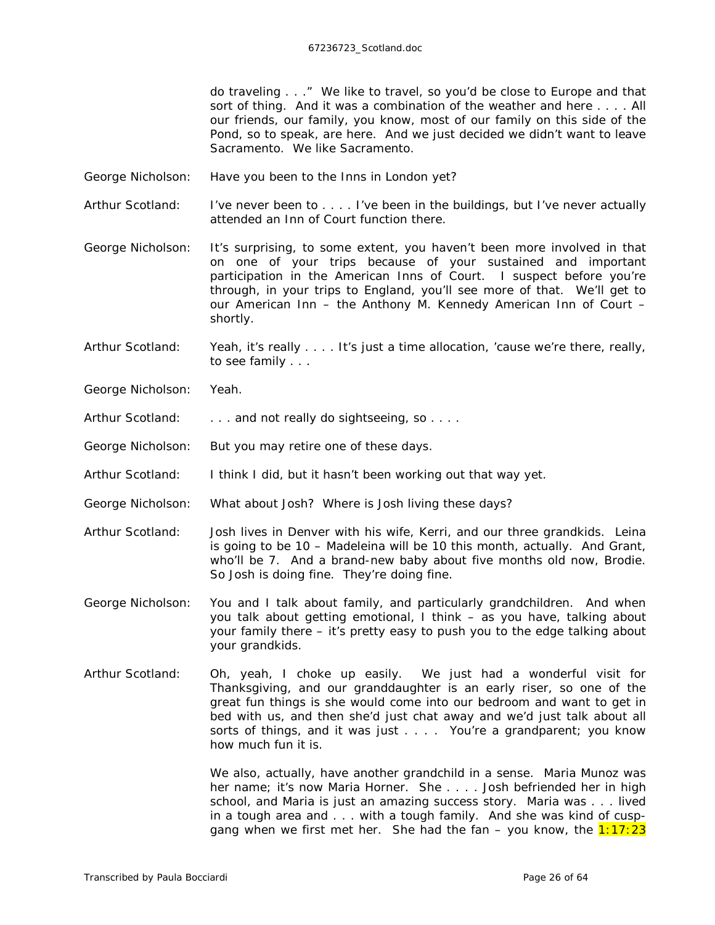do traveling . . ." We like to travel, so you'd be close to Europe and that sort of thing. And it was a combination of the weather and here . . . . All our friends, our family, you know, most of our family on this side of the Pond, so to speak, are here. And we just decided we didn't want to leave Sacramento. We like Sacramento.

- George Nicholson: Have you been to the Inns in London yet?
- Arthur Scotland: I've never been to . . . . I've been in the buildings, but I've never actually attended an Inn of Court function there.

George Nicholson: It's surprising, to some extent, you haven't been more involved in that on one of your trips because of your sustained and important participation in the American Inns of Court. I suspect before you're through, in your trips to England, you'll see more of that. We'll get to our American Inn – the Anthony M. Kennedy American Inn of Court – shortly.

Arthur Scotland: Yeah, it's really . . . . It's just a time allocation, 'cause we're there, really, to see family . . .

George Nicholson: Yeah.

- Arthur Scotland: . . . . and not really do sightseeing, so . . . .
- George Nicholson: But you may retire one of these days.
- Arthur Scotland: I think I did, but it hasn't been working out that way yet.
- George Nicholson: What about Josh? Where is Josh living these days?
- Arthur Scotland: Josh lives in Denver with his wife, Kerri, and our three grandkids. Leina is going to be 10 – Madeleina will be 10 this month, actually. And Grant, who'll be 7. And a brand-new baby about five months old now, Brodie. So Josh is doing fine. They're doing fine.
- George Nicholson: You and I talk about family, and particularly grandchildren. And when you talk about getting emotional, I think – as you have, talking about your family there – it's pretty easy to push you to the edge talking about your grandkids.
- Arthur Scotland: Oh, yeah, I choke up easily. We just had a wonderful visit for Thanksgiving, and our granddaughter is an early riser, so one of the great fun things is she would come into our bedroom and want to get in bed with us, and then she'd just chat away and we'd just talk about all sorts of things, and it was just . . . . You're a grandparent; you know how much fun it is.

We also, actually, have another grandchild in a sense. Maria Munoz was her name; it's now Maria Horner. She . . . . Josh befriended her in high school, and Maria is just an amazing success story. Maria was . . . lived in a tough area and . . . with a tough family. And she was kind of cuspgang when we first met her. She had the fan – you know, the  $1:17:23$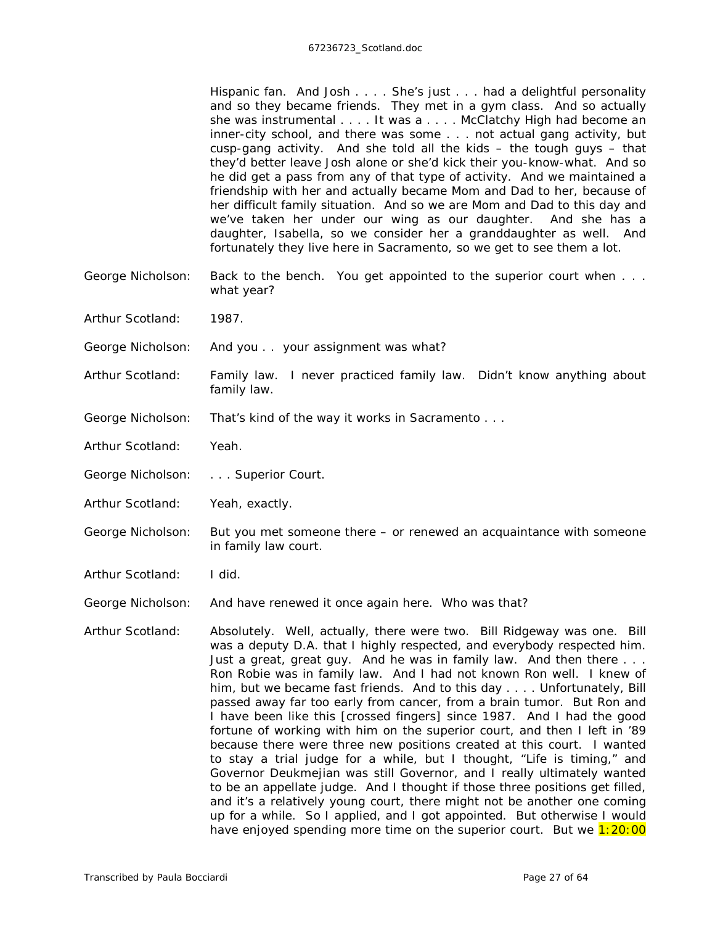Hispanic fan. And Josh . . . . She's just . . . had a delightful personality and so they became friends. They met in a gym class. And so actually she was instrumental . . . . It was a . . . . McClatchy High had become an inner-city school, and there was some . . . not actual gang activity, but cusp-gang activity. And she told all the kids – the tough guys – that they'd better leave Josh alone or she'd kick their you-know-what. And so he did get a pass from any of that type of activity. And we maintained a friendship with her and actually became Mom and Dad to her, because of her difficult family situation. And so we are Mom and Dad to this day and we've taken her under our wing as our daughter. And she has a daughter, Isabella, so we consider her a granddaughter as well. And fortunately they live here in Sacramento, so we get to see them a lot.

- George Nicholson: Back to the bench. You get appointed to the superior court when . . . what year?
- Arthur Scotland: 1987.
- George Nicholson: And you . . your assignment was what?
- Arthur Scotland: Family law. I never practiced family law. Didn't know anything about family law.
- George Nicholson: That's kind of the way it works in Sacramento . . .
- Arthur Scotland: Yeah.
- George Nicholson: . . . Superior Court.
- Arthur Scotland: Yeah, exactly.
- George Nicholson: But you met someone there or renewed an acquaintance with someone in family law court.
- Arthur Scotland: I did.
- George Nicholson: And have renewed it once again here. Who was that?
- Arthur Scotland: Absolutely. Well, actually, there were two. Bill Ridgeway was one. Bill was a deputy D.A. that I highly respected, and everybody respected him. Just a great, great guy. And he was in family law. And then there . . . Ron Robie was in family law. And I had not known Ron well. I knew *of* him, but we became fast friends. And to this day . . . . Unfortunately, Bill passed away far too early from cancer, from a brain tumor. But Ron and I have been like this *[crossed fingers]* since 1987. And I had the good fortune of working with him on the superior court, and then I left in '89 because there were three new positions created at this court. I wanted to stay a trial judge for a while, but I thought, "Life is timing," and Governor Deukmejian was still Governor, and I really ultimately wanted to be an appellate judge. And I thought if those three positions get filled, and it's a relatively young court, there might not be another one coming up for a while. So I applied, and I got appointed. But otherwise I would have enjoyed spending more time on the superior court. But we  $1:20:00$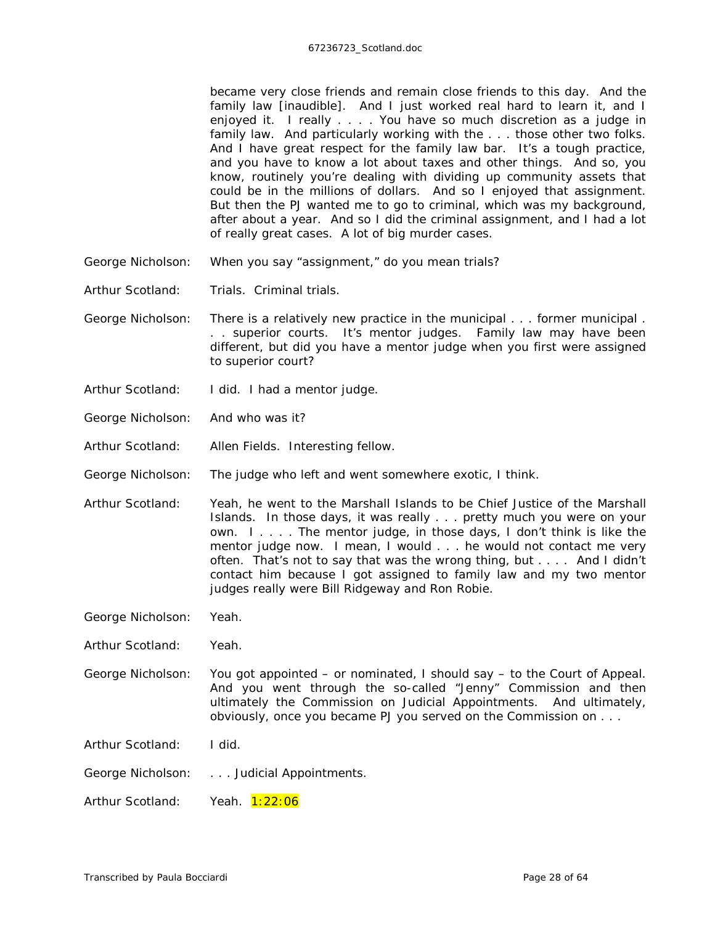became *very* close friends and remain close friends to this day. And the family law *[inaudible]*. And I just worked real hard to learn it, and I enjoyed it. I really . . . . You have so much discretion as a judge in family law. And particularly working with the . . . those other two folks. And I have great respect for the family law bar. It's a tough practice, and you have to know a lot about taxes and other things. And so, you know, routinely you're dealing with dividing up community assets that could be in the millions of dollars. And so I enjoyed that assignment. But then the PJ wanted me to go to criminal, which was my background, after about a year. And so I did the criminal assignment, and I had a lot of really great cases. A lot of big murder cases.

- George Nicholson: When you say "assignment," do you mean trials?
- Arthur Scotland: Trials. Criminal trials.
- George Nicholson: There is a relatively new practice in the municipal . . . former municipal . . . superior courts. It's mentor judges. Family law may have been different, but did you have a mentor judge when you first were assigned to superior court?
- Arthur Scotland: I did. I had a mentor judge.
- George Nicholson: And who was it?
- Arthur Scotland: Allen Fields. Interesting fellow.
- George Nicholson: The judge who left and went somewhere exotic, I think.
- Arthur Scotland: Yeah, he went to the Marshall Islands to be Chief Justice of the Marshall Islands. In those days, it was really . . . pretty much you were on your own. I . . . . The mentor judge, in those days, I don't think is like the mentor judge now. I mean, I would . . . he would not contact me very often. That's not to say that was the *wrong* thing, but . . . . And I didn't contact him because I got assigned to family law and my two mentor judges really were Bill Ridgeway and Ron Robie.
- George Nicholson: Yeah.
- Arthur Scotland: Yeah.
- George Nicholson: You got appointed or nominated, I should say to the Court of Appeal. And you went through the so-called "Jenny" Commission and then ultimately the Commission on Judicial Appointments. And ultimately, obviously, once you became PJ you served on the Commission on . . .

Arthur Scotland: I did.

George Nicholson: . . . Judicial Appointments.

Arthur Scotland: Yeah. 1:22:06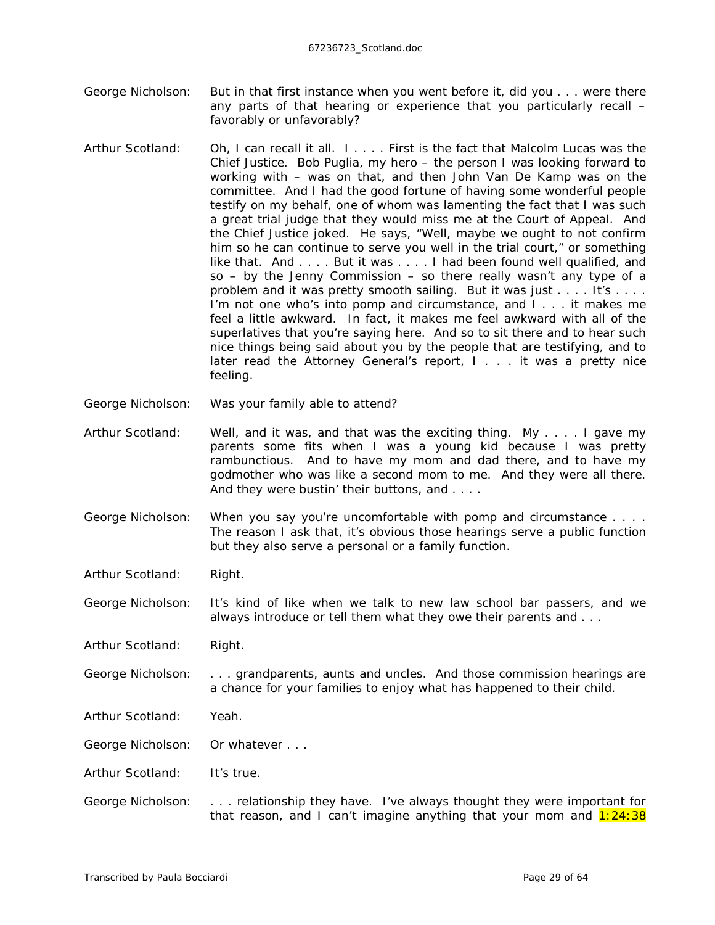- George Nicholson: But in that first instance when you went before it, did you . . . were there any parts of that hearing or experience that you particularly recall – favorably or unfavorably?
- Arthur Scotland: Oh, I can recall it all. I . . . . First is the fact that Malcolm Lucas was the Chief Justice. Bob Puglia, my hero – the person I was looking forward to working with – was on that, and then John Van De Kamp was on the committee. And I had the good fortune of having some wonderful people testify on my behalf, one of whom was lamenting the fact that I was such a great trial judge that they would miss me at the Court of Appeal. And the Chief Justice joked. He says, "Well, maybe we ought to not confirm him so he can continue to serve you well in the trial court," or something like that. And . . . . But it was . . . . I had been found well qualified, and so – by the Jenny Commission – so there really wasn't any type of a problem and it was pretty smooth sailing. But it was just . . . . It's . . . . I'm not one who's into pomp and circumstance, and I . . . it makes me feel a little awkward. In fact, it makes me feel awkward with all of the superlatives that you're saying here. And so to sit there and to hear such nice things being said about you by the people that are testifying, and to later read the Attorney General's report, I . . . it was a pretty nice feeling.
- George Nicholson: Was your family able to attend?
- Arthur Scotland: Well, and it was, and that was the exciting thing. My . . . . I gave my parents some fits when I was a young kid because I was pretty rambunctious. And to have my mom and dad there, and to have my godmother who was like a second mom to me. And they were all there. And they were bustin' their buttons, and . . . .
- George Nicholson: When you say you're uncomfortable with pomp and circumstance . . . . The reason I ask that, it's obvious those hearings serve a public function but they also serve a personal or a family function.
- Arthur Scotland: Right.

George Nicholson: It's kind of like when we talk to new law school bar passers, and we always introduce or tell them what they owe their parents and . . .

Arthur Scotland: Right.

George Nicholson: . . . grandparents, aunts and uncles. And those commission hearings are a chance for your families to enjoy what has happened to their child.

- Arthur Scotland: Yeah.
- George Nicholson: Or whatever . . .
- Arthur Scotland: It's true.
- George Nicholson: . . . relationship they have. I've always thought they were important for that reason, and I can't imagine anything that your mom and  $1:24:38$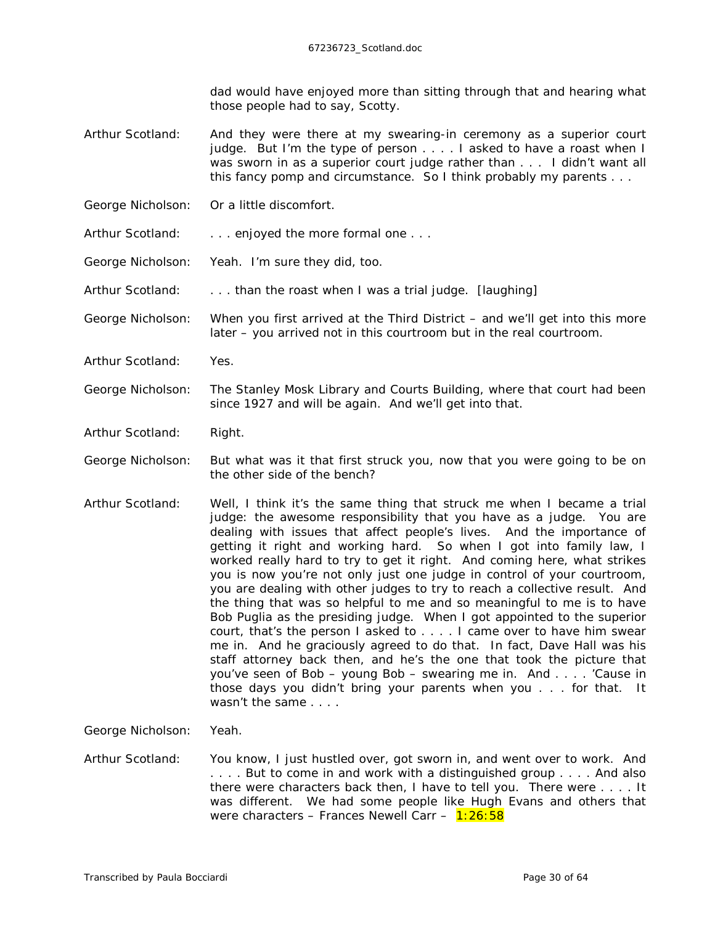dad would have enjoyed more than sitting through that and hearing what those people had to say, Scotty.

- Arthur Scotland: And they were there at my swearing-in ceremony as a superior court judge. But I'm the type of person . . . . I asked to have a roast when I was sworn in as a superior court judge rather than . . . I didn't want all this fancy pomp and circumstance. So I think probably my parents . . .
- George Nicholson: Or a little discomfort.
- Arthur Scotland: . . . . enjoyed the more formal one . . .
- George Nicholson: Yeah. I'm sure they did, too.
- Arthur Scotland: . . . than the roast when I was a trial judge. *[laughing]*
- George Nicholson: When you first arrived at the Third District and we'll get into this more later – you arrived not in *this* courtroom but in the real courtroom.
- Arthur Scotland: Yes.
- George Nicholson: The Stanley Mosk Library and Courts Building, where that court had been since 1927 and will be again. And we'll get into that.
- Arthur Scotland: Right.
- George Nicholson: But what was it that first struck you, now that you were going to be on the other side of the bench?
- Arthur Scotland: Well, I think it's the same thing that struck me when I became a trial judge: the awesome responsibility that you have as a judge. You are dealing with issues that affect people's lives. And the importance of getting it right and working hard. So when I got into family law, I worked really hard to try to get it right. And coming here, what strikes you is now you're not only just one judge in control of *your* courtroom, you are dealing with other judges to try to reach a collective result. And the thing that was so helpful to me and so meaningful to me is to have Bob Puglia as the presiding judge. When I got appointed to the superior court, that's the person I asked to . . . . I came over to have him swear me in. And he graciously agreed to do that. In fact, Dave Hall was his staff attorney back then, and he's the one that took the picture that you've seen of Bob – young Bob – swearing me in. And . . . . 'Cause in those days you didn't bring your parents when you . . . for that. It wasn't the same . . . .

George Nicholson: Yeah.

Arthur Scotland: You know, I just hustled over, got sworn in, and went over to work. And . . . . But to come in and work with a distinguished group . . . . And also there were characters back then, I have to tell you. There were . . . . It was different. We had some people like Hugh Evans and others that were characters – Frances Newell Carr –  $1:26:58$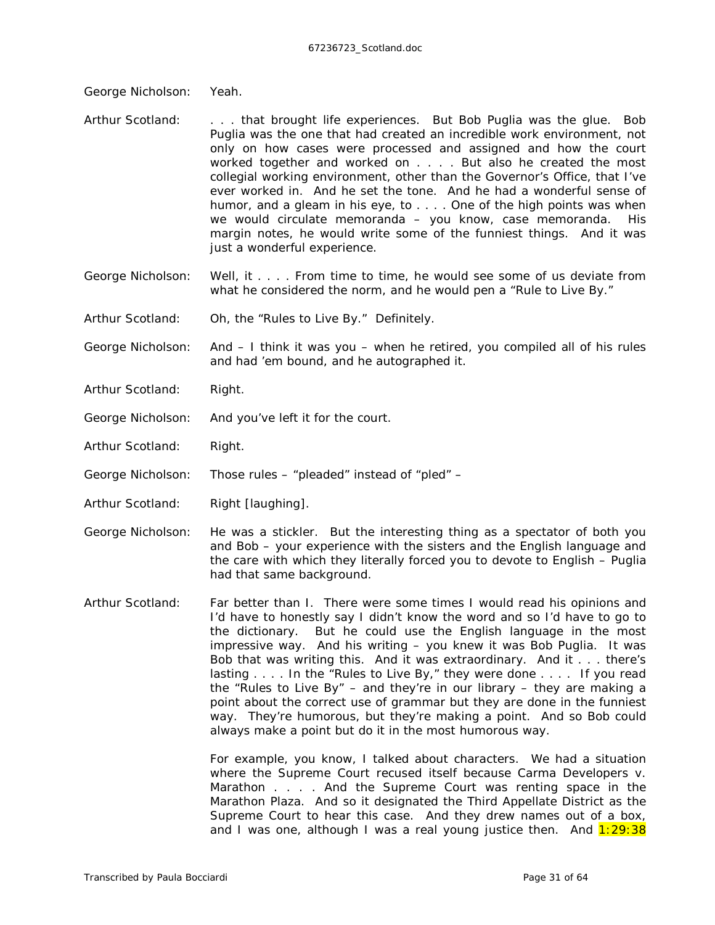George Nicholson: Yeah.

- Arthur Scotland: . . . that brought life experiences. But Bob Puglia was the glue. Bob Puglia was the one that had created an incredible work environment, not only on how cases were processed and assigned and how the court worked together and worked on . . . . But also he created the most collegial working environment, other than the Governor's Office, that I've ever worked in. And he set the tone. And he had a wonderful sense of humor, and a gleam in his eye, to . . . . One of the high points was when we would circulate memoranda – you know, case memoranda. His margin notes, he would write some of the funniest things. And it was just a wonderful experience.
- George Nicholson: Well, it . . . . From time to time, he would see some of us deviate from what he considered the norm, and he would pen a "Rule to Live By."

Arthur Scotland: Oh, the "Rules to Live By." Definitely.

George Nicholson: And – I think it was you – when he retired, you compiled all of his rules and had 'em bound, and he autographed it.

- Arthur Scotland: Right.
- George Nicholson: And you've left it for the court.
- Arthur Scotland: Right.

George Nicholson: Those rules – "pleaded" instead of "pled" –

Arthur Scotland: Right *[laughing]*.

George Nicholson: He was a stickler. But the interesting thing as a spectator of both you and Bob – your experience with the sisters and the English language and the care with which they literally forced you to devote to English – Puglia had that same background.

Arthur Scotland: Far better than I. There were some times I would read his opinions and I'd have to honestly say I didn't know the word and so I'd have to go to the dictionary. But he could use the English language in the most impressive way. And his writing – you knew it was Bob Puglia. It was Bob that was writing this. And it was extraordinary. And it . . . there's lasting . . . . In the "Rules to Live By," they were done . . . . If you read the "Rules to Live By" – and they're in our library – they are making a point about the correct use of grammar but they are done in the funniest way. They're humorous, but they're making a point. And so Bob could always make a point but do it in the most humorous way.

> For example, you know, I talked about characters. We had a situation where the Supreme Court recused itself because *Carma Developers v. Marathon* . . . . And the Supreme Court was renting space in the Marathon Plaza. And so it designated the Third Appellate District as the Supreme Court to hear this case. And they drew names out of a box, and I was one, although I was a real young justice then. And  $1:29:38$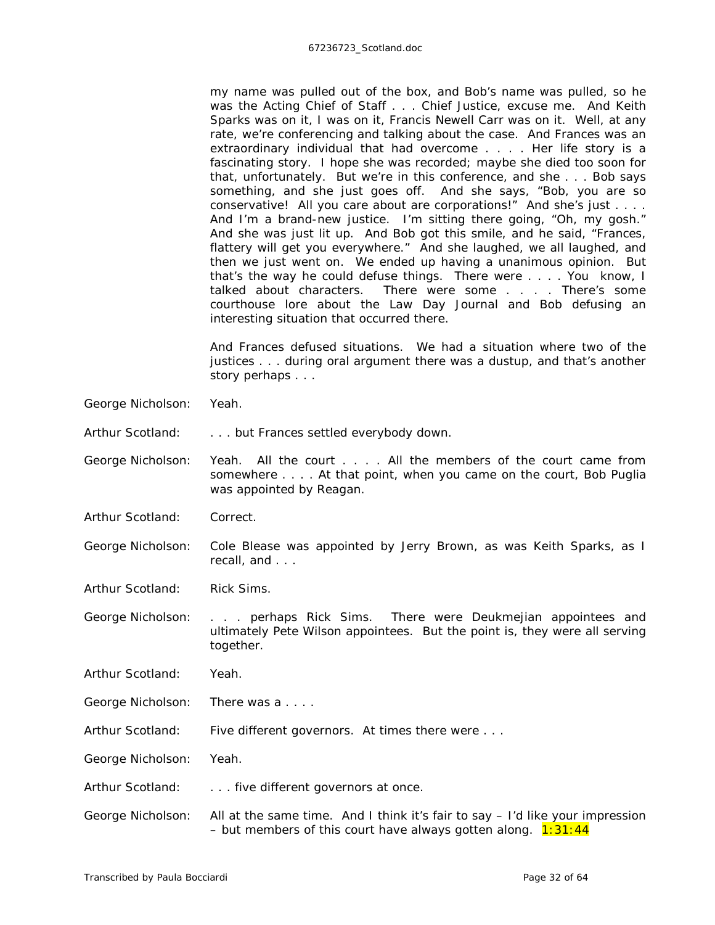my name was pulled out of the box, and Bob's name was pulled, so he was the Acting Chief of Staff . . . Chief Justice, excuse me. And Keith Sparks was on it, I was on it, Francis Newell Carr was on it. Well, at any rate, we're conferencing and talking about the case. And Frances was an extraordinary individual that had overcome . . . . Her life story is a fascinating story. I hope she was recorded; maybe she died too soon for that, unfortunately. But we're in this conference, and she . . . Bob says something, and she just goes off. And she says, "Bob, you are so conservative! All you care about are corporations!" And she's just . . . . And I'm a brand-new justice. I'm sitting there going, "Oh, my gosh." And she was just lit up. And Bob got this smile, and he said, "Frances, flattery will get you everywhere." And she laughed, we all laughed, and then we just went on. We ended up having a unanimous opinion. But that's the way he could defuse things. There were . . . . You know, I talked about characters. There were some . . . . There's some courthouse lore about the Law Day Journal and Bob defusing an interesting situation that occurred there.

And Frances defused situations. We had a situation where two of the justices . . . during oral argument there was a dustup, and that's another story perhaps . . .

George Nicholson: Yeah.

Arthur Scotland: . . . . but Frances settled everybody down.

George Nicholson: Yeah. All the court . . . . All the members of the court came from somewhere . . . . At that point, when you came on the court, Bob Puglia was appointed by Reagan.

Arthur Scotland: Correct.

George Nicholson: Cole Blease was appointed by Jerry Brown, as was Keith Sparks, as I recall, and . . .

Arthur Scotland: Rick Sims.

George Nicholson: . . . perhaps Rick Sims. There were Deukmejian appointees and ultimately Pete Wilson appointees. But the point is, they were all serving together.

Arthur Scotland: Yeah.

George Nicholson: There was a . . . .

Arthur Scotland: Five different governors. At times there were ...

George Nicholson: Yeah.

Arthur Scotland: . . . . five different governors at once.

George Nicholson: All at the same time. And I think it's fair to say – I'd like your impression – but members of this court have always gotten along.  $1:31:44$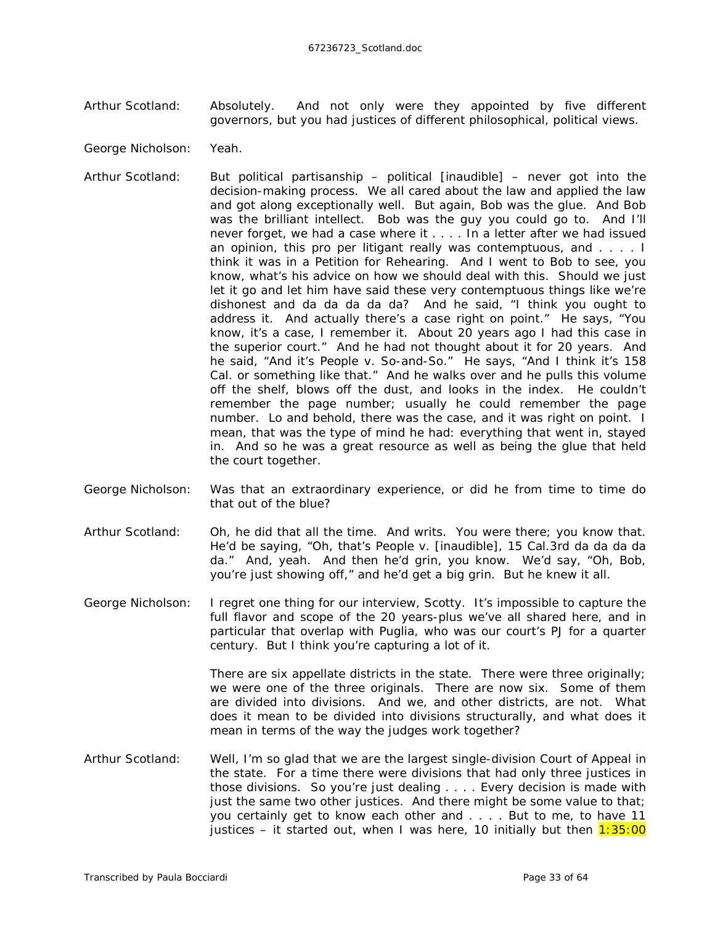- Arthur Scotland: Absolutely. And not only were they appointed by five different governors, but you had justices of different philosophical, political views.
- George Nicholson: Yeah.
- Arthur Scotland: But political partisanship political *[inaudible]* never got into the decision-making process. We all cared about the law and applied the law and got along exceptionally well. But again, Bob was the glue. And Bob was the brilliant intellect. Bob was the guy you could go to. And I'll never forget, we had a case where it . . . . In a letter after we had issued an opinion, this pro per litigant really was contemptuous, and . . . . I think it was in a Petition for Rehearing. And I went to Bob to see, you know, what's his advice on how we should deal with this. Should we just let it go and let him have said these very contemptuous things like we're dishonest and da da da da da? And he said, "I think you ought to address it. And actually there's a case right on point." He says, "You know, it's a case, I remember it. About 20 years ago I had this case in the superior court." And he had not thought about it for 20 years. And he said, "And it's *People v. So-and-So*." He says, "And I think it's 158 Cal. or something like that." And he walks over and he pulls this volume off the shelf, blows off the dust, and looks in the index. He couldn't remember the page number; usually he could remember the page number. Lo and behold, there was the case, and it was right on point. I mean, that was the type of mind he had: everything that went in, stayed in. And so he was a great resource as well as being the glue that held the court together.
- George Nicholson: Was that an extraordinary experience, or did he from time to time do that out of the blue?
- Arthur Scotland: Oh, he did that all the time. And writs. You were there; you know that. He'd be saying, "Oh, that's *People v. [inaudible]*, 15 Cal.3rd da da da da da." And, yeah. And then he'd grin, you know. We'd say, "Oh, Bob, you're just showing off," and he'd get a big grin. But he knew it all.
- George Nicholson: I regret one thing for our interview, Scotty. It's impossible to capture the full flavor and scope of the 20 years-plus we've all shared here, and in particular that overlap with Puglia, who was our court's PJ for a quarter century. But I think you're capturing a lot of it.

There are six appellate districts in the state. There were three originally; we were one of the three originals. There are now six. Some of them are divided into divisions. And we, and other districts, are not. What does it mean to be divided into divisions structurally, and what does it mean in terms of the way the judges work together?

Arthur Scotland: Well, I'm so glad that we are the largest single-division Court of Appeal in the state. For a time there were divisions that had only three justices in those divisions. So you're just dealing . . . . Every decision is made with just the same two other justices. And there might be some value to that; you certainly get to know each other and . . . . But to me, to have 11 justices – it started out, when I was here, 10 initially but then  $1:35:00$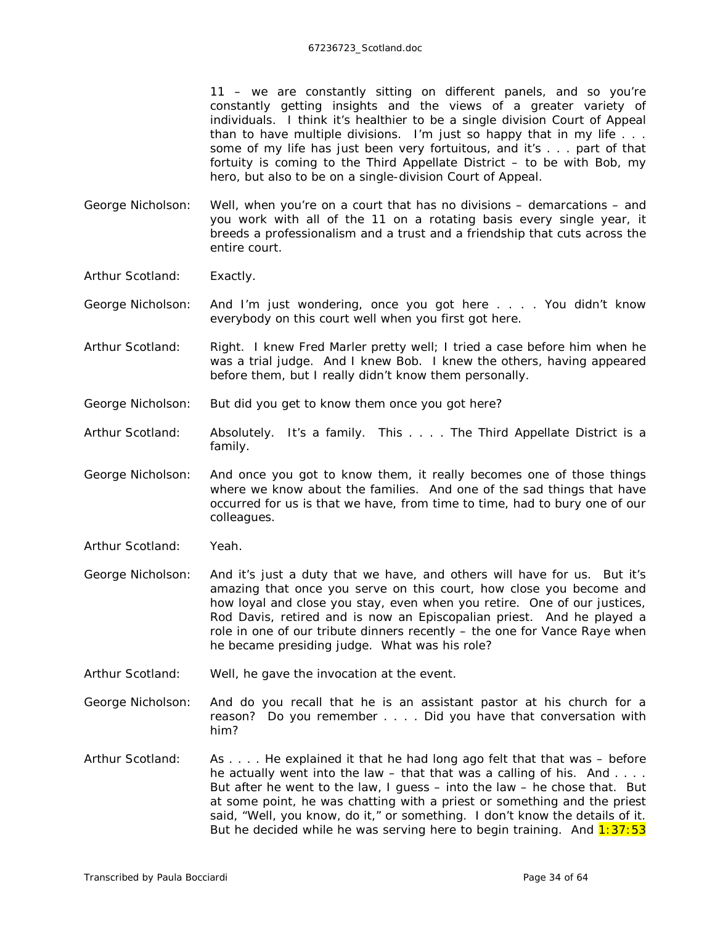11 – we are constantly sitting on different panels, and so you're constantly getting insights and the views of a greater variety of individuals. I think it's healthier to be a single division Court of Appeal than to have multiple divisions. I'm just so happy that in my life . . . some of my life has just been very fortuitous, and it's . . . part of that fortuity is coming to the Third Appellate District – to be with Bob, my hero, but also to be on a single-division Court of Appeal.

- George Nicholson: Well, when you're on a court that has no divisions demarcations and you work with all of the 11 on a rotating basis every single year, it breeds a professionalism and a trust and a friendship that cuts across the entire court.
- Arthur Scotland: Exactly.
- George Nicholson: And I'm just wondering, once you got here . . . . You didn't know everybody on this court well when you first got here.
- Arthur Scotland: Right. I knew Fred Marler pretty well; I tried a case before him when he was a trial judge. And I knew Bob. I knew the others, having *appeared* before them, but I really didn't know them personally.
- George Nicholson: But did you get to know them once you got here?
- Arthur Scotland: Absolutely. It's a family. This . . . . The Third Appellate District is a family.
- George Nicholson: And once you got to know them, it really becomes one of those things where we know about the families. And one of the sad things that have occurred for us is that we have, from time to time, had to bury one of our colleagues.
- Arthur Scotland: Yeah.
- George Nicholson: And it's just a duty that we have, and others will have for us. But it's amazing that once you serve on this court, how close you become and how loyal and close you stay, even when you retire. One of our justices, Rod Davis, retired and is now an Episcopalian priest. And he played a role in one of our tribute dinners recently – the one for Vance Raye when he became presiding judge. What was his role?
- Arthur Scotland: Well, he gave the invocation at the event.
- George Nicholson: And do you recall that he is an assistant pastor at his church for a reason? Do you remember . . . . Did you have that conversation with him?
- Arthur Scotland: As . . . . He explained it that he had long ago felt that that was before he actually went into the law – that that was a calling of his. And  $\dots$ But after he went to the law, I guess – into the law – he chose that. But at some point, he was chatting with a priest or something and the priest said, "Well, you know, do it," or something. I don't know the details of it. But he decided while he was serving here to begin training. And  $1:37:53$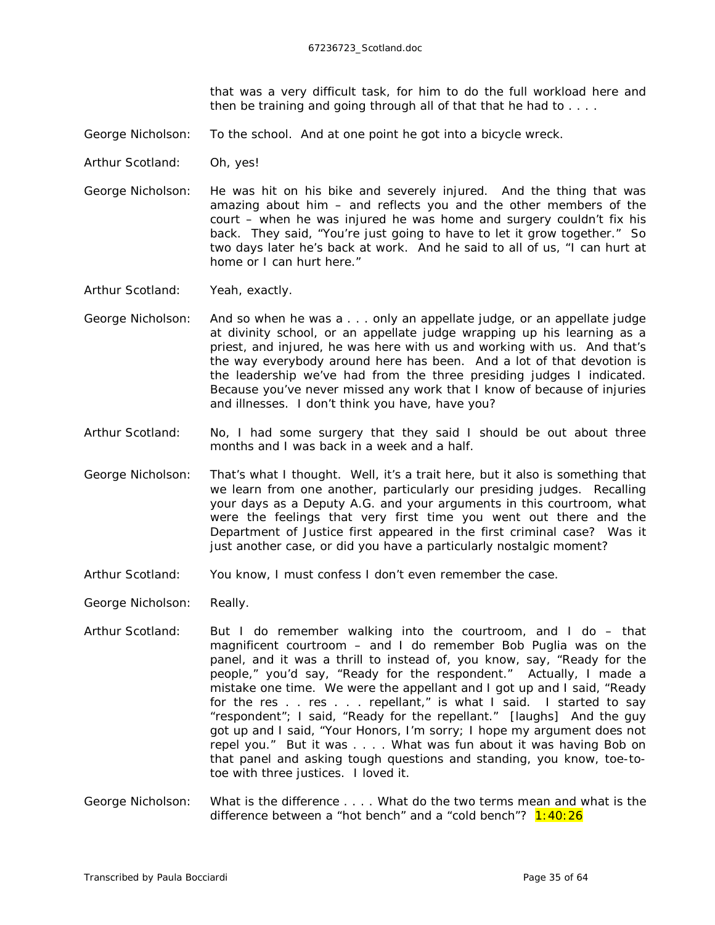that was a very difficult task, for him to do the full workload here and then be training and going through all of that that he had to . . . .

- George Nicholson: To the school. And at one point he got into a bicycle wreck.
- Arthur Scotland: Oh, yes!
- George Nicholson: He was hit on his bike and severely injured. And the thing that was amazing about him – and reflects you and the other members of the court – when he was injured he was home and surgery couldn't fix his back. They said, "You're just going to have to let it grow together." So two days later he's back at work. And he said to all of us, "I can hurt at home or I can hurt here."

Arthur Scotland: Yeah, exactly.

- George Nicholson: And so when he was a . . . only an appellate judge, or an appellate judge at divinity school, or an appellate judge wrapping up his learning as a priest, and injured, he was here with us and working with us. And that's the way everybody around here has been. And a lot of that devotion is the leadership we've had from the three presiding judges I indicated. Because you've never missed any work that I know of because of injuries and illnesses. I don't think you have, have you?
- Arthur Scotland: No, I had some surgery that they said I should be out about three months and I was back in a week and a half.
- George Nicholson: That's what I thought. Well, it's a trait here, but it also is something that we learn from one another, particularly our presiding judges. Recalling your days as a Deputy A.G. and your arguments in this courtroom, what were the feelings that very first time you went out there and the Department of Justice first appeared in the first criminal case? Was it just another case, or did you have a particularly nostalgic moment?
- Arthur Scotland: You know, I must confess I don't even remember the case.
- George Nicholson: Really.
- Arthur Scotland: But I do remember walking into the courtroom, and I do that magnificent courtroom – and I do remember Bob Puglia was on the panel, and it was a thrill to instead of, you know, say, "Ready for the people," you'd say, "Ready for the respondent." Actually, I made a mistake one time. We were the appellant and I got up and I said, "Ready for the res . . res . . . repellant," is what I said. I started to say "respondent"; I said, "Ready for the repellant." *[laughs]* And the guy got up and I said, "Your Honors, I'm sorry; I hope my argument does not repel you." But it was . . . . What was fun about it was having Bob on that panel and asking tough questions and standing, you know, toe-totoe with three justices. I loved it.
- George Nicholson: What is the difference . . . . What do the two terms mean and what is the difference between a "hot bench" and a "cold bench"?  $1:40:26$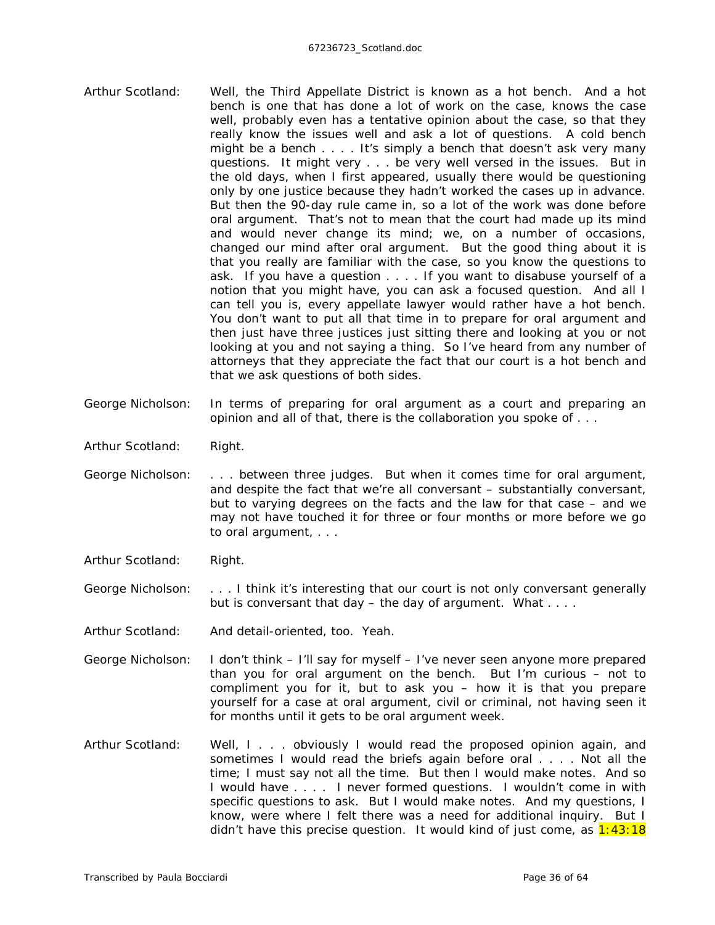- Arthur Scotland: Well, the Third Appellate District is known as a hot bench. And a hot bench is one that has done a lot of work on the case, knows the case well, probably even has a tentative opinion about the case, so that they really know the issues well and ask a lot of questions. A cold bench might be a bench . . . . It's simply a bench that doesn't ask very many questions. It might very . . . be very well versed in the issues. But in the old days, when I first appeared, usually there would be questioning only by one justice because they hadn't worked the cases up in advance. But then the 90-day rule came in, so a lot of the work was done before oral argument. That's not to mean that the court had made up its mind and would never change its mind; we, on a number of occasions, changed our mind after oral argument. But the good thing about it is that you really are familiar with the case, so you know the questions to ask. If you have a question . . . . If you want to disabuse yourself of a notion that you might have, you can ask a focused question. And all I can tell you is, every appellate lawyer would rather have a hot bench. You don't want to put all that time in to prepare for oral argument and then just have three justices just sitting there and looking at you or not looking at you and not saying a thing. So I've heard from any number of attorneys that they appreciate the fact that our court is a hot bench and that we ask questions of both sides.
- George Nicholson: In terms of preparing for oral argument as a court and preparing an opinion and all of that, there is the collaboration you spoke of . . .
- Arthur Scotland: Right.
- George Nicholson: . . . between three judges. But when it comes time for oral argument, and despite the fact that we're all conversant – substantially conversant, but to varying degrees on the facts and the law for that case – and we may not have touched it for three or four months or more before we go to oral argument, . . .
- Arthur Scotland: Right.
- George Nicholson: . . . I think it's interesting that our court is not only conversant generally but is conversant that day – the day of argument. What . . . .
- Arthur Scotland: And detail-oriented, too. Yeah.
- George Nicholson: I don't think I'll say for myself I've never seen anyone more prepared than you for oral argument on the bench. But I'm curious – not to compliment you for it, but to ask you – how it is that you prepare yourself for a case at oral argument, civil or criminal, not having seen it for months until it gets to be oral argument week.
- Arthur Scotland: Well, I . . . obviously I would read the proposed opinion again, and sometimes I would read the briefs again before oral . . . . Not all the time; I must say not all the time. But then I would make notes. And so I would have . . . . I never formed questions. I wouldn't come in with specific questions to ask. But I would make notes. And my questions, I know, were where I felt there was a need for additional inquiry. But I didn't have this precise question. It would kind of just come, as  $1:43:18$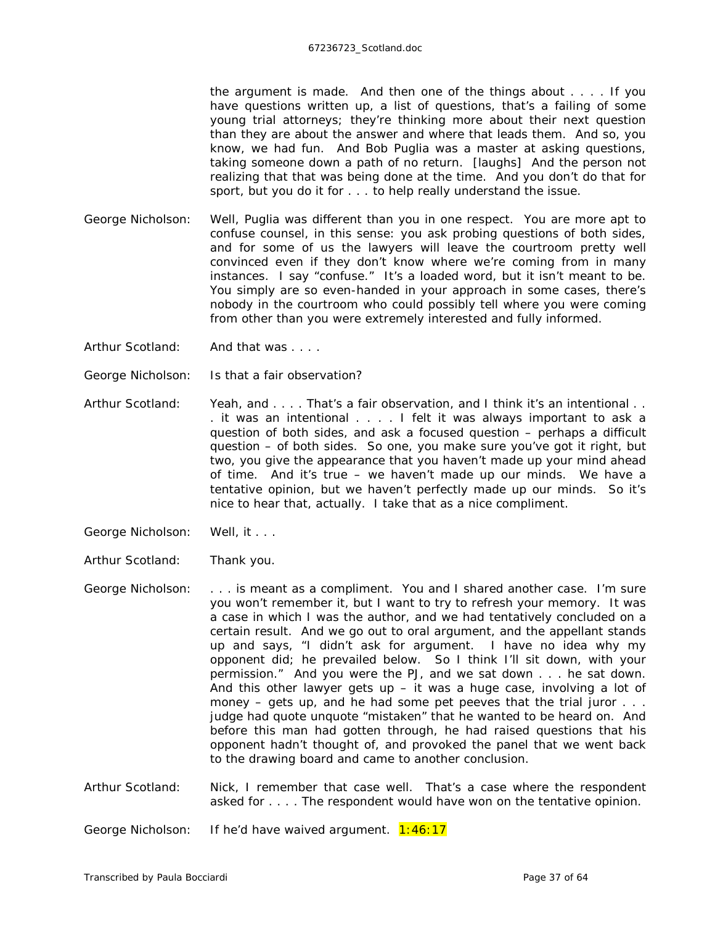the argument is made. And then one of the things about . . . . If you have questions written up, a list of questions, that's a failing of some young trial attorneys; they're thinking more about their next question than they are about the answer and where that leads them. And so, you know, we had fun. And Bob Puglia was a master at asking questions, taking someone down a path of no return. *[laughs]* And the person not realizing that that was being done at the time. And you don't do that for sport, but you do it for . . . to help really understand the issue.

- George Nicholson: Well, Puglia was different than you in one respect. You are more apt to confuse counsel, in this sense: you ask probing questions of both sides, and for some of us the lawyers will leave the courtroom pretty well convinced even if they don't know where we're coming from in many instances. I say "confuse." It's a loaded word, but it isn't meant to be. You simply are so even-handed in your approach in some cases, there's nobody in the courtroom who could possibly tell where you were coming from other than you were extremely interested and fully informed.
- Arthur Scotland: And that was . . . .
- George Nicholson: Is that a fair observation?
- Arthur Scotland: Yeah, and . . . . That's a fair observation, and I think it's an intentional . . . it was an intentional . . . . I felt it was always important to ask a question of both sides, and ask a focused question – perhaps a difficult question – of both sides. So one, you make sure you've got it right, but two, you give the appearance that you haven't made up your mind ahead of time. And it's true – we haven't made up our minds. We have a tentative opinion, but we haven't perfectly made up our minds. So it's nice to hear that, actually. I take that as a nice compliment.
- George Nicholson: Well, it . . .
- Arthur Scotland: Thank you.
- George Nicholson: . . . is meant as a compliment. You and I shared another case. I'm sure you won't remember it, but I want to try to refresh your memory. It was a case in which I was the author, and we had tentatively concluded on a certain result. And we go out to oral argument, and the appellant stands up and says, "I didn't ask for argument. I have no idea why my opponent did; he prevailed below. So I think I'll sit down, with your permission." And you were the PJ, and we sat down . . . he sat down. And this other lawyer gets up  $-$  it was a huge case, involving a lot of money – gets up, and he had some pet peeves that the trial juror  $\dots$ judge had quote unquote "mistaken" that he wanted to be heard on. And before this man had gotten through, he had raised questions that his opponent hadn't thought of, and provoked the panel that we went back to the drawing board and came to another conclusion.
- Arthur Scotland: Nick, I remember that case well. That's a case where the respondent asked for . . . . The respondent would have won on the tentative opinion.

George Nicholson: If he'd have waived argument. 1:46:17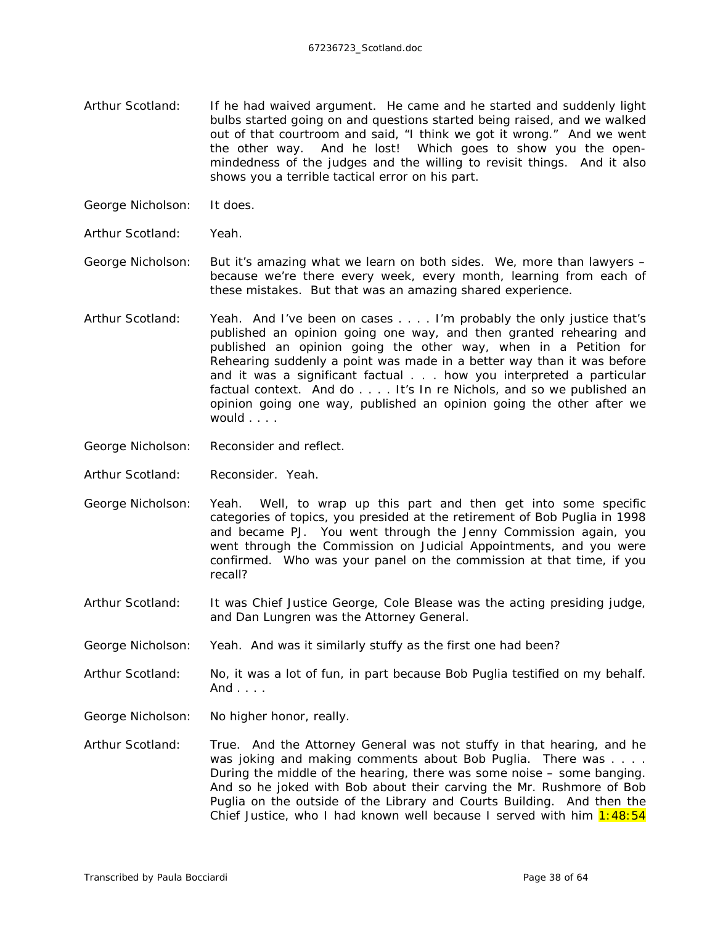- Arthur Scotland: If he had waived argument. He came and he started and suddenly light bulbs started going on and questions started being raised, and we walked out of that courtroom and said, "I think we got it wrong." And we went the other way. And he *lost*! Which goes to show you the openmindedness of the judges and the willing to revisit things. And it also shows you a terrible tactical error on his part.
- George Nicholson: It does.
- Arthur Scotland: Yeah.
- George Nicholson: But it's amazing what we learn on both sides. We, more than lawyers because we're there every week, every month, learning from each of these mistakes. But that was an amazing shared experience.
- Arthur Scotland: Yeah. And I've been on cases . . . . I'm probably the only justice that's published an opinion going one way, and then granted rehearing and published an opinion going the other way, when in a Petition for Rehearing suddenly a point was made in a better way than it was before and it was a significant factual . . . how you interpreted a particular factual context. And do . . . . It's *In re Nichols,* and so we published an opinion going one way, published an opinion going the other after we would . . . .
- George Nicholson: Reconsider and reflect.
- Arthur Scotland: Reconsider. Yeah.
- George Nicholson: Yeah. Well, to wrap up this part and then get into some specific categories of topics, you presided at the retirement of Bob Puglia in 1998 and became PJ. You went through the Jenny Commission again, you went through the Commission on Judicial Appointments, and you were confirmed. Who was your panel on the commission at that time, if you recall?
- Arthur Scotland: It was Chief Justice George, Cole Blease was the acting presiding judge, and Dan Lungren was the Attorney General.
- George Nicholson: Yeah. And was it similarly stuffy as the first one had been?
- Arthur Scotland: No, it was a lot of fun, in part because Bob Puglia testified on my behalf. And . . . .
- George Nicholson: No higher honor, really.
- Arthur Scotland: True. And the Attorney General was not stuffy in that hearing, and he was joking and making comments about Bob Puglia. There was . . . . During the middle of the hearing, there was some noise – some banging. And so he joked with Bob about their carving the Mr. Rushmore of Bob Puglia on the outside of the Library and Courts Building. And then the Chief Justice, who I had known well because I served with him  $1:48:54$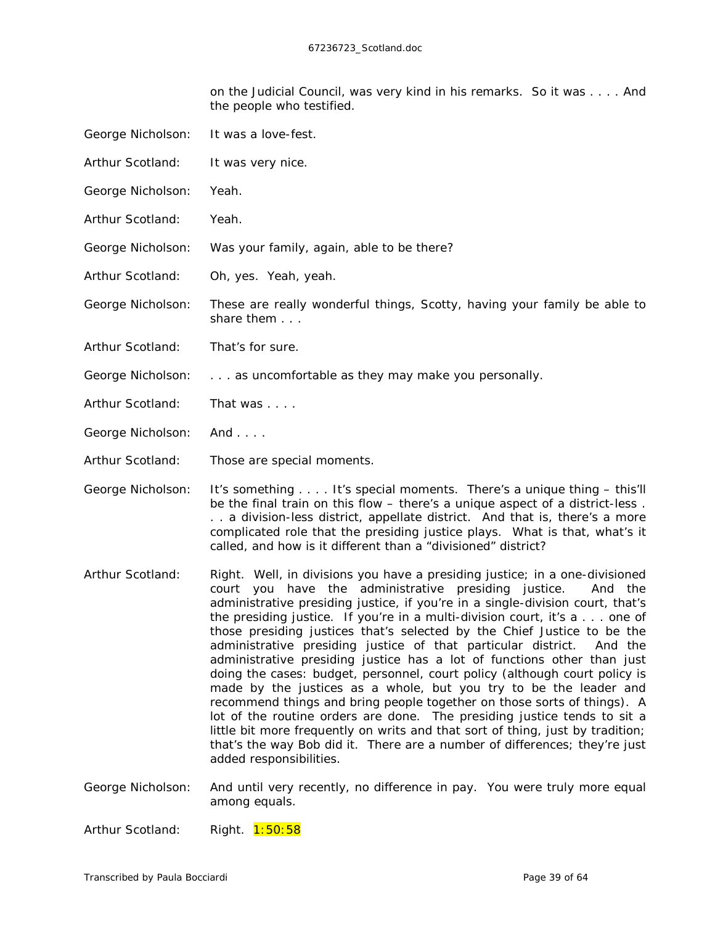on the Judicial Council, was very kind in his remarks. So it was . . . . And the people who testified.

- George Nicholson: It was a love-fest. Arthur Scotland: It was very nice. George Nicholson: Yeah. Arthur Scotland: Yeah. George Nicholson: Was your family, again, able to be there? Arthur Scotland: Oh, yes. Yeah, yeah. George Nicholson: These are really wonderful things, Scotty, having your family be able to share them . . . Arthur Scotland: That's for sure. George Nicholson: . . . as uncomfortable as they may make you personally. Arthur Scotland: That was . . . . George Nicholson: And . . . .
- Arthur Scotland: Those are special moments.
- George Nicholson: It's something . . . . It's special moments. There's a unique thing this'll be the final train on this flow – there's a unique aspect of a district-less . . . a division-less district, appellate district. And that is, there's a more complicated role that the presiding justice plays. What is that, what's it called, and how is it different than a "divisioned" district?
- Arthur Scotland: Right. Well, in divisions you have a presiding justice; in a one-divisioned court you have the administrative presiding justice. And the administrative presiding justice, if you're in a single-division court, that's the presiding justice. If you're in a multi-division court, it's a . . . one of those presiding justices that's selected by the Chief Justice to be the administrative presiding justice of that particular district. And the administrative presiding justice has a lot of functions other than just doing the cases: budget, personnel, court policy (although court policy is made by the justices as a whole, but you try to be the leader and recommend things and bring people together on those sorts of things). A lot of the routine orders are done. The presiding justice tends to sit a little bit more frequently on writs and that sort of thing, just by tradition; that's the way Bob did it. There are a number of differences; they're just added responsibilities.
- George Nicholson: And until very recently, no difference in pay. You were truly more equal among equals.

Arthur Scotland: Right. 1:50:58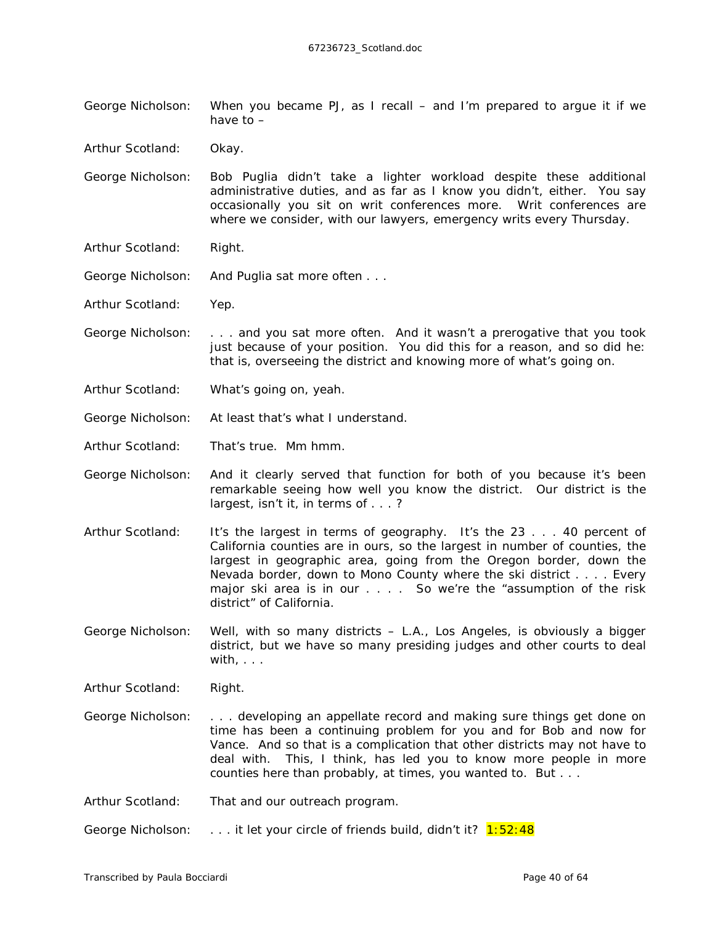George Nicholson: When you became PJ, as I recall – and I'm prepared to argue it if we have to –

Arthur Scotland: Okay.

- George Nicholson: Bob Puglia didn't take a lighter workload despite these additional administrative duties, and as far as I know you didn't, either. You say occasionally you sit on writ conferences more. Writ conferences are where we consider, with our lawyers, emergency writs every Thursday.
- Arthur Scotland: Right.
- George Nicholson: And Puglia sat more often . . .
- Arthur Scotland: Yep.
- George Nicholson: . . . and you sat more often. And it wasn't a prerogative that you took just because of your position. You did this for a reason, and so did he: that is, overseeing the district and knowing more of what's going on.
- Arthur Scotland: What's going on, yeah.
- George Nicholson: At least that's what I understand.
- Arthur Scotland: That's true. Mm hmm.
- George Nicholson: And it clearly served that function for both of you because it's been remarkable seeing how well you know the district. Our district is the largest, isn't it, in terms of . . . ?
- Arthur Scotland: It's the largest in terms of geography. It's the 23 . . . 40 percent of California counties are in ours, so the largest in number of counties, the largest in geographic area, going from the Oregon border, down the Nevada border, down to Mono County where the ski district . . . . Every major ski area is in our . . . . So we're the "assumption of the risk district" of California.
- George Nicholson: Well, with so *many* districts L.A., Los Angeles, is obviously a bigger district, but we have so many presiding judges and other courts to deal with,  $\ldots$

Arthur Scotland: Right.

- George Nicholson: . . . developing an appellate record and making sure things get done on time has been a continuing problem for you and for Bob and now for Vance. And so that is a complication that other districts may not have to deal with. This, I think, has led you to know more people in more counties here than probably, at times, you wanted to. But . . .
- Arthur Scotland: That and our outreach program.

George Nicholson: . . . . it let your circle of friends build, didn't it? 1:52:48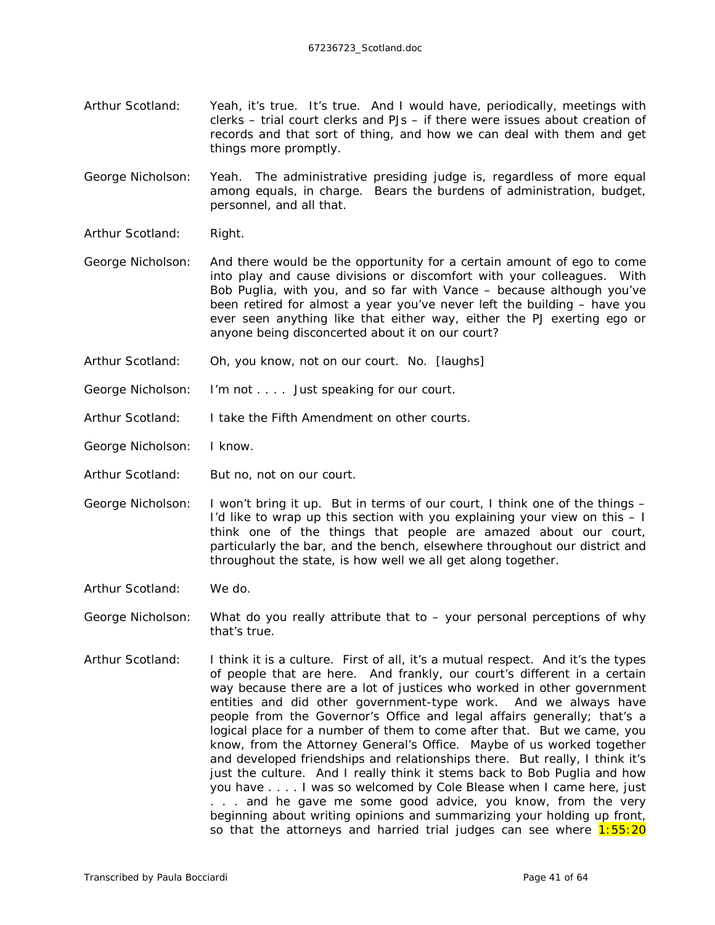Arthur Scotland: Yeah, it's true. It's true. And I would have, periodically, meetings with clerks – trial court clerks and PJs – if there were issues about creation of records and that sort of thing, and how we can deal with them and get things more promptly.

George Nicholson: Yeah. The administrative presiding judge is, regardless of more equal among equals, in charge. Bears the burdens of administration, budget, personnel, and all that.

- Arthur Scotland: Right.
- George Nicholson: And there would be the opportunity for a certain amount of ego to come into play and cause divisions or discomfort with your colleagues. With Bob Puglia, with you, and so far with Vance – because although you've been retired for almost a year you've never left the building – have you ever seen anything like that either way, either the PJ exerting ego or anyone being disconcerted about it on our court?
- Arthur Scotland: Oh, you know, not on our court. No. *[laughs]*
- George Nicholson: I'm not . . . . Just speaking for our court.
- Arthur Scotland: I take the Fifth Amendment on other courts.
- George Nicholson: I know.
- Arthur Scotland: But no, not on our court.
- George Nicholson: I won't bring it up. But in terms of our court, I think one of the things I'd like to wrap up this section with you explaining your view on this – I think one of the things that people are amazed about our court, particularly the bar, and the bench, elsewhere throughout our district and throughout the state, is how well we all get along together.
- Arthur Scotland: We do.
- George Nicholson: What do you really attribute that to your personal perceptions of why that's true.
- Arthur Scotland: I think it is a culture. First of all, it's a mutual respect. And it's the types of people that are here. And frankly, our court's different in a certain way because there are a lot of justices who worked in other government entities and did other government-type work. And we always have people from the Governor's Office and legal affairs generally; that's a logical place for a number of them to come after that. But we came, you know, from the Attorney General's Office. Maybe of us worked together and developed friendships and relationships there. But really, I think it's just the culture. And I really think it stems back to Bob Puglia and how you have . . . . I was so welcomed by Cole Blease when I came here, just . . . and he gave me some good advice, you know, from the very beginning about writing opinions and summarizing your holding up front, so that the attorneys and harried trial judges can see where  $1:55:20$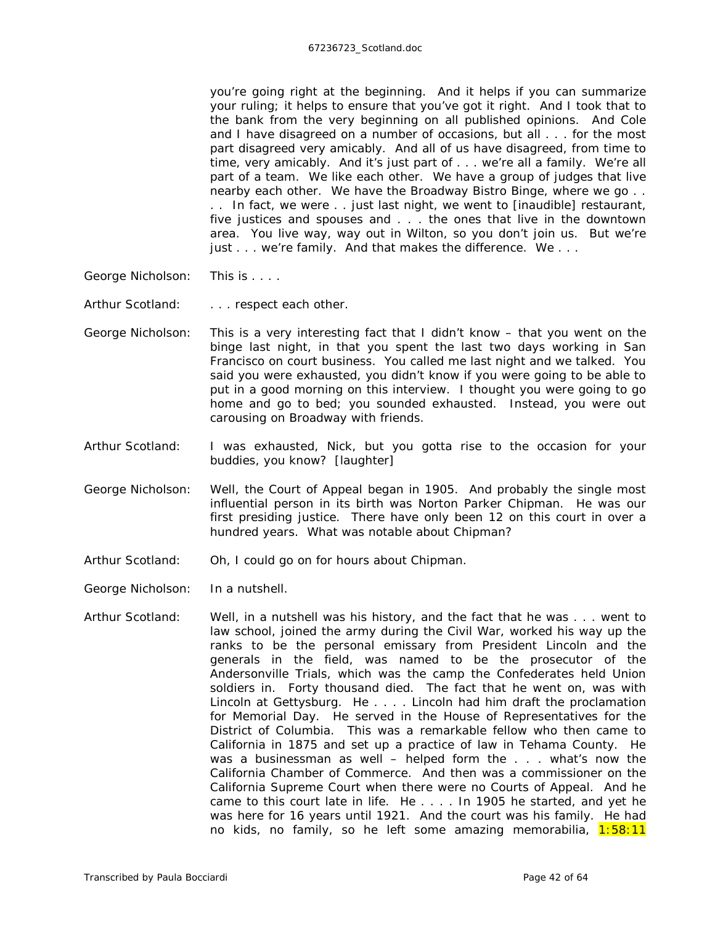you're going right at the beginning. And it helps if you can summarize your ruling; it helps to ensure that you've got it right. And I took that to the bank from the very beginning on all published opinions. And Cole and I have disagreed on a number of occasions, but all . . . for the most part disagreed very amicably. And all of us have disagreed, from time to time, very amicably. And it's just part of . . . we're all a family. We're all part of a team. We *like* each other. We have a group of judges that live nearby each other. We have the Broadway Bistro Binge, where we go . . . . In fact, we were . . just last night, we went to *[inaudible]* restaurant, five justices and spouses and . . . the ones that live in the downtown area. You live way, way out in Wilton, so you don't join us. But we're just . . . we're family. And that makes the difference. We . . .

George Nicholson: This is . . . .

Arthur Scotland: . . . . respect each other.

- George Nicholson: This is a very interesting fact that I didn't know that you went on the binge last night, in that you spent the last two days working in San Francisco on court business. You called me last night and we talked. You said you were exhausted, you didn't know if you were going to be able to put in a good morning on this interview. I thought you were going to go home and go to bed; you sounded exhausted. Instead, you were out carousing on Broadway with friends.
- Arthur Scotland: I was exhausted, Nick, but you gotta rise to the occasion for your buddies, you know? *[laughter]*
- George Nicholson: Well, the Court of Appeal began in 1905. And probably the single most influential person in its birth was Norton Parker Chipman. He was our first presiding justice. There have only been 12 on this court in over a hundred years. What was notable about Chipman?
- Arthur Scotland: Oh, I could go on for hours about Chipman.

George Nicholson: In a nutshell.

Arthur Scotland: Well, in a nutshell was his history, and the fact that he was . . . went to law school, joined the army during the Civil War, worked his way up the ranks to be the personal emissary from President Lincoln and the generals in the field, was named to be the prosecutor of the Andersonville Trials, which was the camp the Confederates held Union soldiers in. Forty thousand died. The fact that he went on, was with Lincoln at Gettysburg. He . . . . Lincoln had him draft the proclamation for Memorial Day. He served in the House of Representatives for the District of Columbia. This was a remarkable fellow who then came to California in 1875 and set up a practice of law in Tehama County. He was a businessman as well – helped form the . . . what's now the California Chamber of Commerce. And then was a commissioner on the California Supreme Court when there were no Courts of Appeal. And he came to this court late in life. He . . . . In 1905 he started, and yet he was here for 16 years until 1921. And the court was his family. He had no kids, no family, so he left some amazing memorabilia, 1:58:11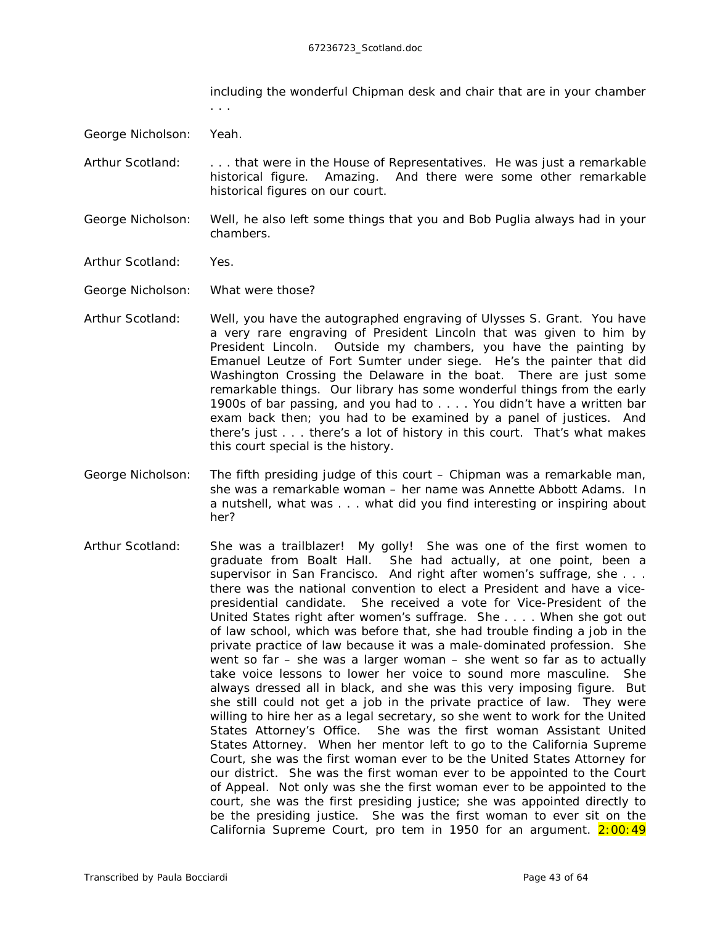including the wonderful Chipman desk and chair that are in your chamber . . .

George Nicholson: Yeah.

- Arthur Scotland: ... that were in the House of Representatives. He was just a remarkable historical figure. Amazing. And there were some other remarkable historical figures on our court.
- George Nicholson: Well, he also left some things that you and Bob Puglia always had in your chambers.
- Arthur Scotland: Yes.

George Nicholson: What were those?

- Arthur Scotland: Well, you have the autographed engraving of Ulysses S. Grant. You have a very rare engraving of President Lincoln that was given to him by President Lincoln. Outside my chambers, you have the painting by Emanuel Leutze of Fort Sumter under siege. He's the painter that did Washington Crossing the Delaware in the boat. There are just some remarkable things. Our library has some *wonderful* things from the early 1900s of bar passing, and you had to . . . . You didn't have a written bar exam back then; you had to be examined by a panel of justices. And there's just . . . there's a lot of history in this court. That's what makes this court special is the history.
- George Nicholson: The fifth presiding judge of this court Chipman was a remarkable man, she was a remarkable woman – her name was Annette Abbott Adams. In a nutshell, what was . . . what did you find interesting or inspiring about her?
- Arthur Scotland: She was a trailblazer! My golly! She was one of the first women to graduate from Boalt Hall. She had actually, at one point, been a supervisor in San Francisco. And right after women's suffrage, she . . . there was the national convention to elect a President and have a vicepresidential candidate. She received a vote for Vice-President of the United States right after women's suffrage. She . . . . When she got *out*  of law school, which was before that, she had trouble finding a job in the private practice of law because it was a male-dominated profession. She went so far – she was a larger woman – she went so far as to actually take voice lessons to lower her voice to sound more masculine. She always dressed all in black, and she was this very imposing figure. But she still could not get a job in the private practice of law. They were willing to hire her as a legal secretary, so she went to work for the United States Attorney's Office. She was the first woman Assistant United States Attorney. When her mentor left to go to the California Supreme Court, she was the first woman ever to be the United States Attorney for our district. She was the first woman ever to be appointed to the Court of Appeal. Not only was she the first woman ever to be appointed to the court, she was the first presiding justice; she was appointed directly to be the presiding justice. She was the first woman to ever sit on the California Supreme Court, pro tem in 1950 for an argument.  $2:00:49$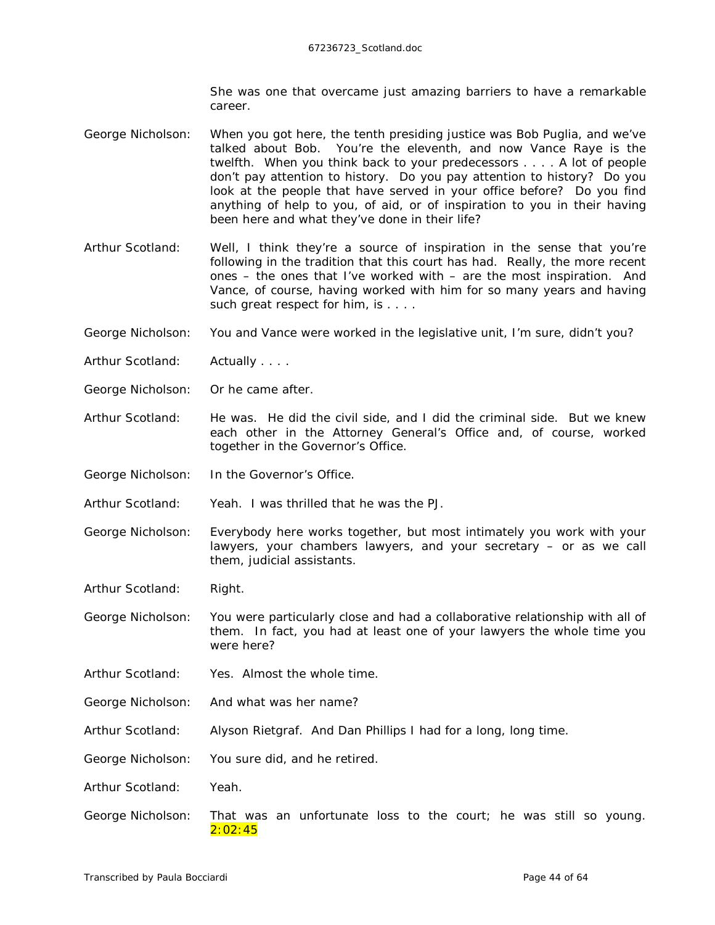She was one that overcame just amazing barriers to have a remarkable career.

- George Nicholson: When you got here, the tenth presiding justice was Bob Puglia, and we've talked about Bob. You're the eleventh, and now Vance Raye is the twelfth. When you think back to your predecessors . . . . A lot of people don't pay attention to history. Do you pay attention to history? Do you look at the people that have served in your office before? Do you find anything of help to you, of aid, or of inspiration to you in their having been here and what they've done in their life?
- Arthur Scotland: Well, I think they're a source of inspiration in the sense that you're following in the tradition that this court has had. Really, the more recent ones – the ones that I've worked with – are the most inspiration. And Vance, of course, having worked with him for so many years and having such great respect for him, is . . . .
- George Nicholson: You and Vance were worked in the legislative unit, I'm sure, didn't you?
- Arthur Scotland: Actually . . . .
- George Nicholson: Or he came after.
- Arthur Scotland: He was. He did the civil side, and I did the criminal side. But we knew each other in the Attorney General's Office and, of course, worked together in the Governor's Office.
- George Nicholson: In the Governor's Office.

Arthur Scotland: Yeah. I was thrilled that he was the PJ.

- George Nicholson: Everybody here works together, but most intimately you work with your lawyers, your chambers lawyers, and your secretary – or as we call them, judicial assistants.
- Arthur Scotland: Right.

George Nicholson: You were particularly close and had a collaborative relationship with all of them. In fact, you had at least one of your lawyers the whole time you were here?

- Arthur Scotland: Yes. Almost the whole time.
- George Nicholson: And what was her name?
- Arthur Scotland: Alyson Rietgraf. And Dan Phillips I had for a long, long time.
- George Nicholson: You sure did, and he retired.

Arthur Scotland: Yeah.

George Nicholson: That was an unfortunate loss to the court; he was still so young. 2:02:45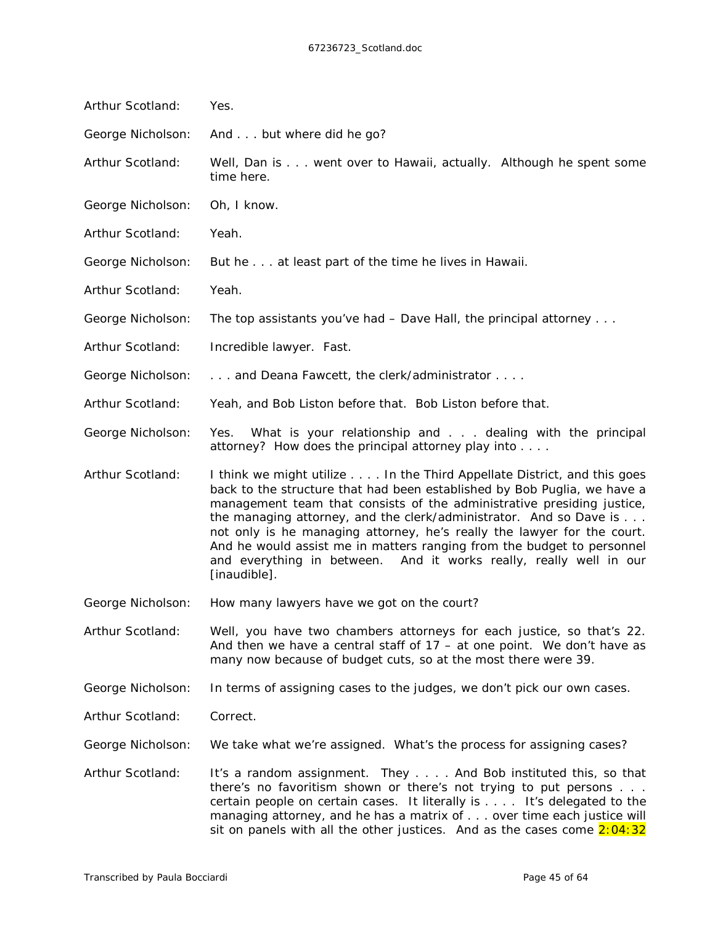| Arthur Scotland:  | Yes.                                                                                                                                                                                                                                                                                                                                                                                                                                                                                                                                           |
|-------------------|------------------------------------------------------------------------------------------------------------------------------------------------------------------------------------------------------------------------------------------------------------------------------------------------------------------------------------------------------------------------------------------------------------------------------------------------------------------------------------------------------------------------------------------------|
| George Nicholson: | And but where did he go?                                                                                                                                                                                                                                                                                                                                                                                                                                                                                                                       |
| Arthur Scotland:  | Well, Dan is went over to Hawaii, actually. Although he spent some<br>time here.                                                                                                                                                                                                                                                                                                                                                                                                                                                               |
| George Nicholson: | Oh, I know.                                                                                                                                                                                                                                                                                                                                                                                                                                                                                                                                    |
| Arthur Scotland:  | Yeah.                                                                                                                                                                                                                                                                                                                                                                                                                                                                                                                                          |
| George Nicholson: | But he at least part of the time he lives in Hawaii.                                                                                                                                                                                                                                                                                                                                                                                                                                                                                           |
| Arthur Scotland:  | Yeah.                                                                                                                                                                                                                                                                                                                                                                                                                                                                                                                                          |
| George Nicholson: | The top assistants you've had $-$ Dave Hall, the principal attorney $\dots$                                                                                                                                                                                                                                                                                                                                                                                                                                                                    |
| Arthur Scotland:  | Incredible lawyer. Fast.                                                                                                                                                                                                                                                                                                                                                                                                                                                                                                                       |
| George Nicholson: | and Deana Fawcett, the clerk/administrator                                                                                                                                                                                                                                                                                                                                                                                                                                                                                                     |
| Arthur Scotland:  | Yeah, and Bob Liston before that. Bob Liston before that.                                                                                                                                                                                                                                                                                                                                                                                                                                                                                      |
| George Nicholson: | What is your relationship and dealing with the principal<br>Yes.<br>attorney? How does the principal attorney play into                                                                                                                                                                                                                                                                                                                                                                                                                        |
| Arthur Scotland:  | I think we might utilize In the Third Appellate District, and this goes<br>back to the structure that had been established by Bob Puglia, we have a<br>management team that consists of the administrative presiding justice,<br>the managing attorney, and the clerk/administrator. And so Dave is<br>not only is he managing attorney, he's really the lawyer for the court.<br>And he would assist me in matters ranging from the budget to personnel<br>and everything in between. And it works really, really well in our<br>[inaudible]. |
| George Nicholson: | How many lawyers have we got on the court?                                                                                                                                                                                                                                                                                                                                                                                                                                                                                                     |
| Arthur Scotland:  | Well, you have two chambers attorneys for each justice, so that's 22.<br>And then we have a central staff of $17 - at$ one point. We don't have as<br>many now because of budget cuts, so at the most there were 39.                                                                                                                                                                                                                                                                                                                           |
| George Nicholson: | In terms of assigning cases to the judges, we don't pick our own cases.                                                                                                                                                                                                                                                                                                                                                                                                                                                                        |
| Arthur Scotland:  | Correct.                                                                                                                                                                                                                                                                                                                                                                                                                                                                                                                                       |
| George Nicholson: | We take what we're assigned. What's the process for assigning cases?                                                                                                                                                                                                                                                                                                                                                                                                                                                                           |
| Arthur Scotland:  | It's a random assignment. They And Bob instituted this, so that<br>there's no favoritism shown or there's not trying to put persons<br>certain people on certain cases. It literally is It's delegated to the<br>managing attorney, and he has a matrix of over time each justice will                                                                                                                                                                                                                                                         |

sit on panels with all the other justices. And as the cases come  $2:04:32$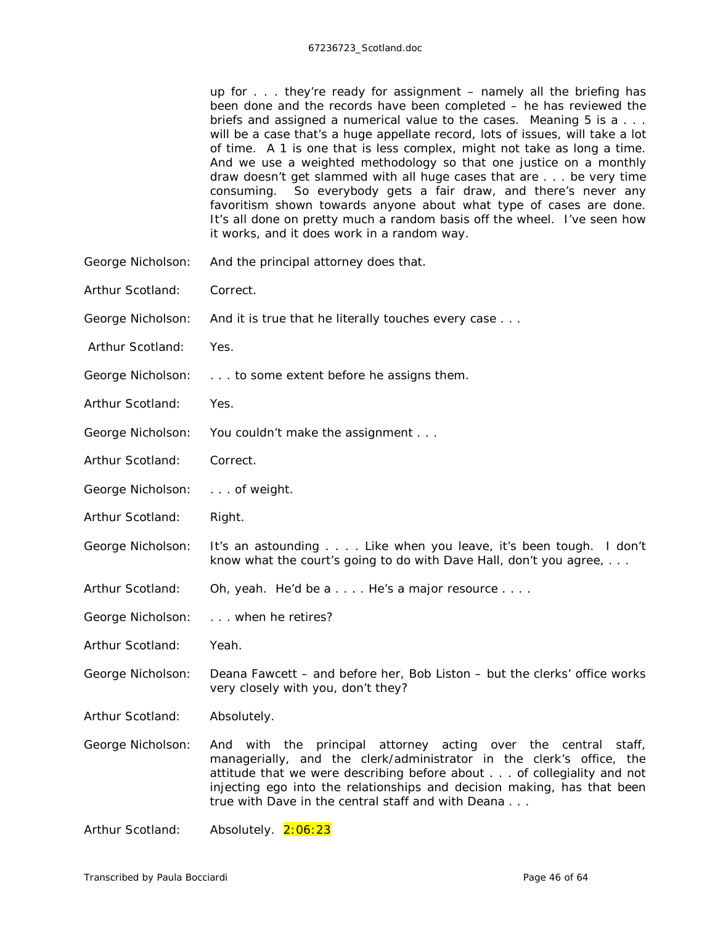|                   | up for they're ready for assignment - namely all the briefing has<br>been done and the records have been completed $-$ he has reviewed the<br>briefs and assigned a numerical value to the cases. Meaning 5 is a<br>will be a case that's a <i>huge</i> appellate record, lots of issues, will take a lot<br>of time. A 1 is one that is less complex, might not take as long a time.<br>And we use a weighted methodology so that one justice on a monthly<br>draw doesn't get slammed with all huge cases that are be very time<br>consuming. So everybody gets a fair draw, and there's never any<br>favoritism shown towards anyone about what type of cases are done.<br>It's all done on pretty much a random basis off the wheel. I've seen how<br>it works, and it does work in a random way. |
|-------------------|-------------------------------------------------------------------------------------------------------------------------------------------------------------------------------------------------------------------------------------------------------------------------------------------------------------------------------------------------------------------------------------------------------------------------------------------------------------------------------------------------------------------------------------------------------------------------------------------------------------------------------------------------------------------------------------------------------------------------------------------------------------------------------------------------------|
| George Nicholson: | And the principal attorney does that.                                                                                                                                                                                                                                                                                                                                                                                                                                                                                                                                                                                                                                                                                                                                                                 |
| Arthur Scotland:  | Correct.                                                                                                                                                                                                                                                                                                                                                                                                                                                                                                                                                                                                                                                                                                                                                                                              |
| George Nicholson: | And it is true that he literally touches every case                                                                                                                                                                                                                                                                                                                                                                                                                                                                                                                                                                                                                                                                                                                                                   |
| Arthur Scotland:  | Yes.                                                                                                                                                                                                                                                                                                                                                                                                                                                                                                                                                                                                                                                                                                                                                                                                  |
| George Nicholson: | to some extent before he assigns them.                                                                                                                                                                                                                                                                                                                                                                                                                                                                                                                                                                                                                                                                                                                                                                |
| Arthur Scotland:  | Yes.                                                                                                                                                                                                                                                                                                                                                                                                                                                                                                                                                                                                                                                                                                                                                                                                  |
| George Nicholson: | You couldn't make the assignment                                                                                                                                                                                                                                                                                                                                                                                                                                                                                                                                                                                                                                                                                                                                                                      |
| Arthur Scotland:  | Correct.                                                                                                                                                                                                                                                                                                                                                                                                                                                                                                                                                                                                                                                                                                                                                                                              |
| George Nicholson: | of weight.                                                                                                                                                                                                                                                                                                                                                                                                                                                                                                                                                                                                                                                                                                                                                                                            |
| Arthur Scotland:  | Right.                                                                                                                                                                                                                                                                                                                                                                                                                                                                                                                                                                                                                                                                                                                                                                                                |
| George Nicholson: | It's an astounding Like when you leave, it's been tough. I don't<br>know what the court's going to do with Dave Hall, don't you agree,                                                                                                                                                                                                                                                                                                                                                                                                                                                                                                                                                                                                                                                                |
| Arthur Scotland:  | Oh, yeah. He'd be a He's a major resource                                                                                                                                                                                                                                                                                                                                                                                                                                                                                                                                                                                                                                                                                                                                                             |
| George Nicholson: | when he retires?                                                                                                                                                                                                                                                                                                                                                                                                                                                                                                                                                                                                                                                                                                                                                                                      |
| Arthur Scotland:  | Yeah.                                                                                                                                                                                                                                                                                                                                                                                                                                                                                                                                                                                                                                                                                                                                                                                                 |
| George Nicholson: | Deana Fawcett – and before her, Bob Liston – but the clerks' office works<br>very closely with you, don't they?                                                                                                                                                                                                                                                                                                                                                                                                                                                                                                                                                                                                                                                                                       |
| Arthur Scotland:  | Absolutely.                                                                                                                                                                                                                                                                                                                                                                                                                                                                                                                                                                                                                                                                                                                                                                                           |
| George Nicholson: | And with the principal attorney acting over the central<br>staff,<br>managerially, and the clerk/administrator in the clerk's office, the<br>attitude that we were describing before about of collegiality and not<br>injecting ego into the relationships and decision making, has that been<br>true with Dave in the central staff and with Deana                                                                                                                                                                                                                                                                                                                                                                                                                                                   |

Arthur Scotland: Absolutely. 2:06:23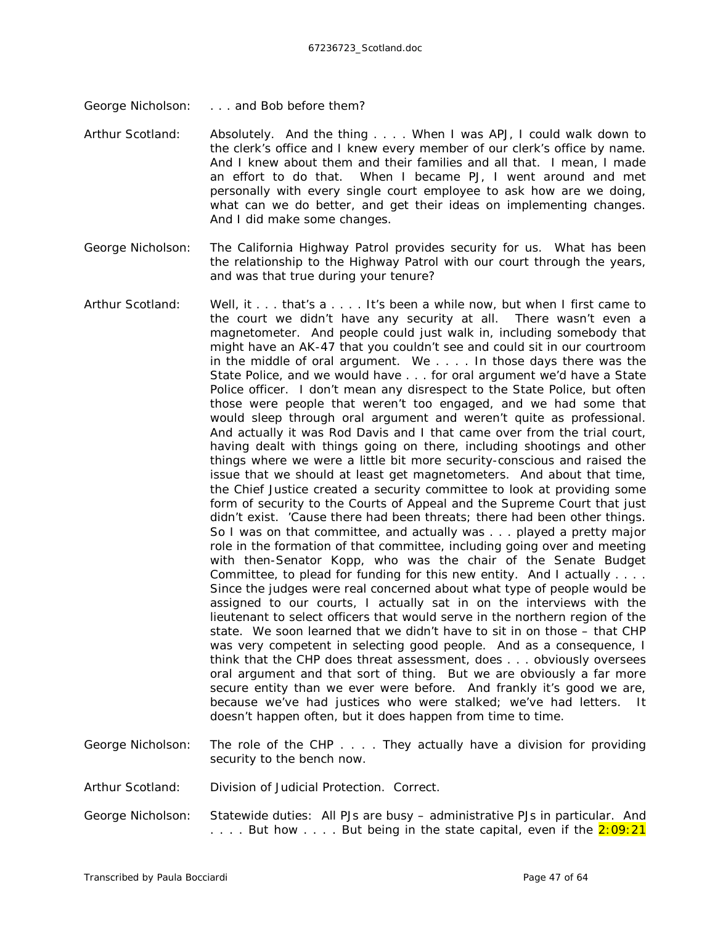- George Nicholson: . . . . and Bob before them?
- Arthur Scotland: Absolutely. And the thing . . . . When I was APJ, I could walk down to the clerk's office and I knew every member of our clerk's office by name. And I knew about them and their families and all that. I mean, I made an effort to do that. When I became PJ, I went around and met personally with every single court employee to ask how are we doing, what can we do better, and get their ideas on implementing changes. And I did make some changes.
- George Nicholson: The California Highway Patrol provides security for us. What has been the relationship to the Highway Patrol with our court through the years, and was that true during your tenure?
- Arthur Scotland: Well, it . . . that's a . . . . It's been a while now, but when I first came to the court we didn't have any security at all. There wasn't even a magnetometer. And people could just walk in, including somebody that might have an AK-47 that you couldn't see and could sit in our courtroom in the middle of oral argument. We . . . . In those days there was the State Police, and we would have . . . for oral argument we'd have a State Police officer. I don't mean any disrespect to the State Police, but often those were people that weren't too engaged, and we had some that would sleep through oral argument and weren't quite as professional. And actually it was Rod Davis and I that came over from the trial court, having dealt with things going on there, including shootings and other things where we were a little bit more security-conscious and raised the issue that we should at least get magnetometers. And about that time, the Chief Justice created a security committee to look at providing some form of security to the Courts of Appeal and the Supreme Court that just didn't exist. 'Cause there had been threats; there had been other things. So I was on that committee, and actually was . . . played a pretty major role in the formation of that committee, including going over and meeting with then-Senator Kopp, who was the chair of the Senate Budget Committee, to plead for funding for this new entity. And I actually . . . . Since the judges were real concerned about what type of people would be assigned to our courts, I actually sat in on the interviews with the lieutenant to select officers that would serve in the northern region of the state. We soon learned that we didn't have to sit in on those – that CHP was very competent in selecting good people. And as a consequence, I think that the CHP does threat assessment, does . . . obviously oversees oral argument and that sort of thing. But we are obviously a far more secure entity than we ever were before. And frankly it's good we are, because we've had justices who were stalked; we've had letters. It doesn't happen often, but it does happen from time to time.
- George Nicholson: The role of the CHP . . . . They actually have a division for providing security to the bench now.
- Arthur Scotland: Division of Judicial Protection. Correct.
- George Nicholson: Statewide duties: All PJs are busy administrative PJs in particular. And .... But how .... But being in the state capital, even if the 2:09:21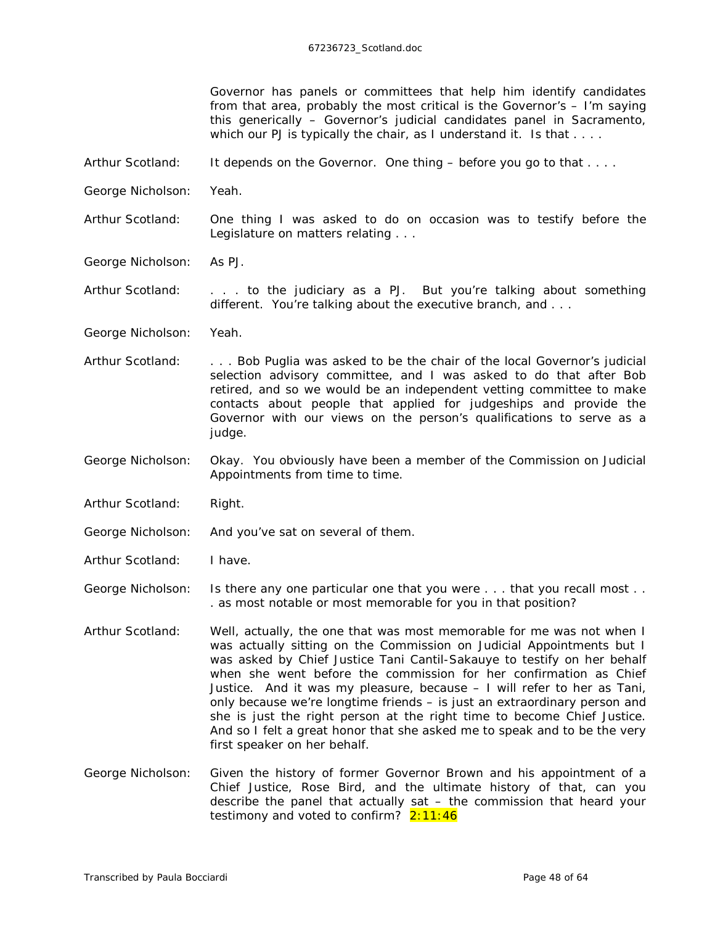Governor has panels or committees that help him identify candidates from that area, probably the most critical is the Governor's – I'm saying this generically – Governor's judicial candidates panel in Sacramento, which our PJ is typically the chair, as I understand it. Is that . . . .

- Arthur Scotland: It depends on the Governor. One thing before you go to that ...
- George Nicholson: Yeah.
- Arthur Scotland: One thing I was asked to do on occasion was to testify before the Legislature on matters relating . . .
- George Nicholson: As PJ.
- Arthur Scotland: . . . . to the judiciary as a PJ. But you're talking about something different. You're talking about the executive branch, and . . .
- George Nicholson: Yeah.
- Arthur Scotland: . . . Bob Puglia was asked to be the chair of the local Governor's judicial selection advisory committee, and I was asked to do that after Bob retired, and so we would be an independent vetting committee to make contacts about people that applied for judgeships and provide the Governor with our views on the person's qualifications to serve as a judge.
- George Nicholson: Okay. You obviously have been a member of the Commission on Judicial Appointments from time to time.
- Arthur Scotland: Right.
- George Nicholson: And you've sat on several of them.
- Arthur Scotland: I have.

George Nicholson: Is there any one particular one that you were . . . that you recall most . . . as most notable or most memorable for you in that position?

- Arthur Scotland: Well, actually, the one that was most memorable for me was not when I was actually sitting on the Commission on Judicial Appointments but I was asked by Chief Justice Tani Cantil-Sakauye to testify on her behalf when she went before the commission for her confirmation as Chief Justice. And it was my pleasure, because – I will refer to her as Tani, only because we're longtime friends – is just an extraordinary person and she is just the right person at the right time to become Chief Justice. And so I felt a great honor that she asked me to speak and to be the very first speaker on her behalf.
- George Nicholson: Given the history of former Governor Brown and his appointment of a Chief Justice, Rose Bird, and the ultimate history of that, can you describe the panel that actually  $sat - the$  commission that heard your testimony and voted to confirm?  $2:11:46$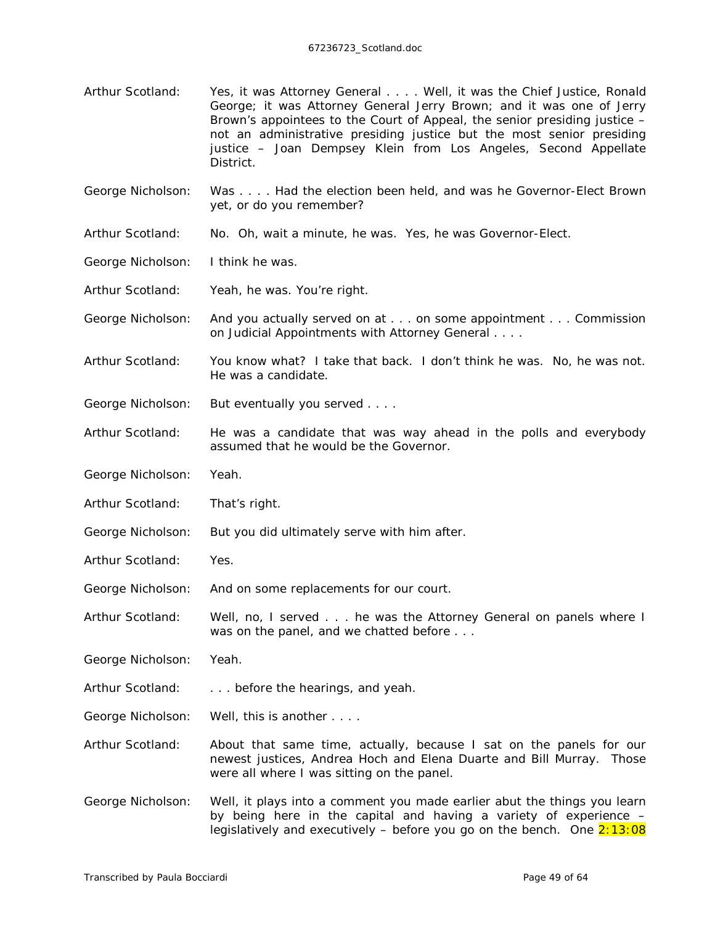Arthur Scotland: Yes, it was Attorney General . . . . Well, it was the Chief Justice, Ronald George; it was Attorney General Jerry Brown; and it was one of Jerry Brown's appointees to the Court of Appeal, the senior presiding justice – not an administrative presiding justice but the most senior presiding justice – Joan Dempsey Klein from Los Angeles, Second Appellate District.

George Nicholson: Was . . . . Had the election been held, and was he Governor-Elect Brown yet, or do you remember?

Arthur Scotland: No. Oh, wait a minute, he *was*. Yes, he *was* Governor-Elect.

George Nicholson: I think he was.

Arthur Scotland: Yeah, he was. You're right.

- George Nicholson: And you actually served on at . . . on some appointment . . . Commission on Judicial Appointments with Attorney General . . . .
- Arthur Scotland: You know what? I take that back. I don't think he was. No, he was not. He was a candidate.
- George Nicholson: But eventually you served . . . .
- Arthur Scotland: He was a candidate that was way ahead in the polls and everybody *assumed* that he would be the Governor.
- George Nicholson: Yeah.
- Arthur Scotland: That's right.
- George Nicholson: But you did ultimately serve with him after.
- Arthur Scotland: Yes.
- George Nicholson: And on some replacements for *our* court.
- Arthur Scotland: Well, no, I served . . . he was the Attorney General on panels where I was on the panel, and we chatted before . . .

George Nicholson: Yeah.

- Arthur Scotland: . . . . before the hearings, and yeah.
- George Nicholson: Well, this is another . . . .
- Arthur Scotland: About that same time, actually, because I sat on the panels for our newest justices, Andrea Hoch and Elena Duarte and Bill Murray. Those were all where I was sitting on the panel.
- George Nicholson: Well, it plays into a comment you made earlier abut the things you learn by being here in the capital and having a variety of experience – legislatively and executively – before you go on the bench. One  $2:13:08$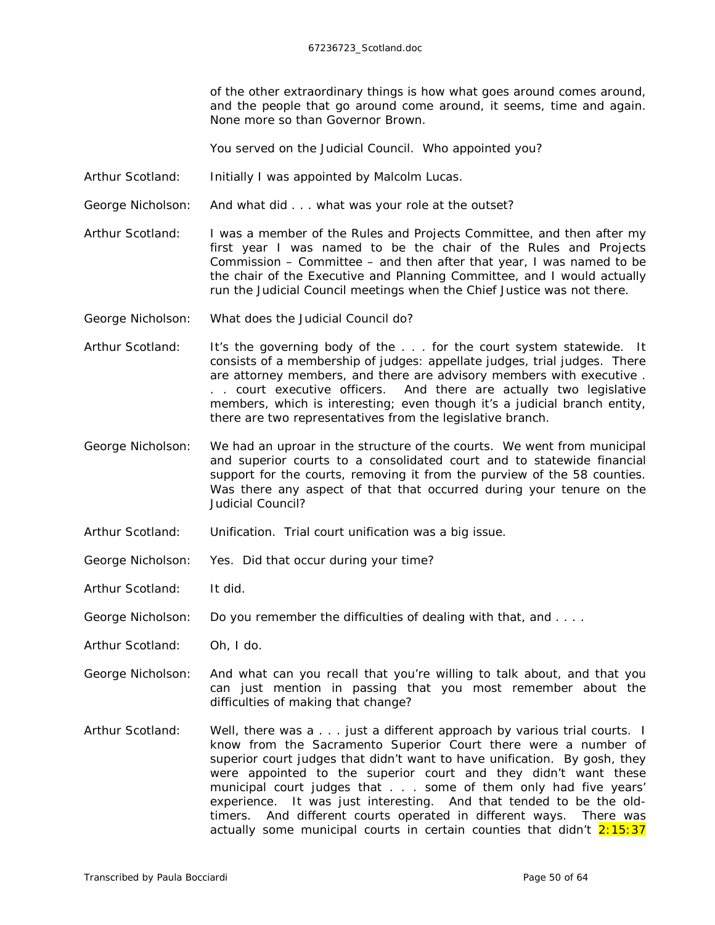of the other extraordinary things is how what goes around comes around, and the *people* that go around come around, it seems, time and again. None more so than Governor Brown.

You served on the Judicial Council. Who appointed you?

- Arthur Scotland: Initially I was appointed by Malcolm Lucas.
- George Nicholson: And what did . . . what was your role at the outset?
- Arthur Scotland: I was a member of the Rules and Projects Committee, and then after my first year I was named to be the chair of the Rules and Projects Commission – Committee – and then after that year, I was named to be the chair of the Executive and Planning Committee, and I would actually run the Judicial Council meetings when the Chief Justice was not there.
- George Nicholson: What does the Judicial Council do?
- Arthur Scotland: It's the governing body of the . . . for the court system statewide. It consists of a membership of judges: appellate judges, trial judges. There are attorney members, and there are advisory members with executive . . . court executive officers. And there are actually two legislative members, which is interesting; even though it's a judicial branch entity, there are two representatives from the legislative branch.
- George Nicholson: We had an uproar in the structure of the courts. We went from municipal and superior courts to a consolidated court and to statewide financial support for the courts, removing it from the purview of the 58 counties. Was there any aspect of that that occurred during your tenure on the Judicial Council?
- Arthur Scotland: Unification. Trial court unification was a big issue.
- George Nicholson: Yes. Did that occur during your time?
- Arthur Scotland: It did.
- George Nicholson: Do you remember the difficulties of dealing with that, and ....
- Arthur Scotland: Oh, I do.
- George Nicholson: And what can you recall that you're willing to talk about, and that you can just mention in passing that you most remember about the difficulties of making that change?
- Arthur Scotland: Well, there was a . . . just a different approach by various trial courts. I know from the Sacramento Superior Court there were a number of superior court judges that didn't want to have unification. By gosh, they were appointed to the superior court and they didn't want these municipal court judges that . . . some of them only had five years' experience. It was just interesting. And that tended to be the oldtimers. And different courts operated in different ways. There was actually some municipal courts in certain counties that didn't  $2:15:37$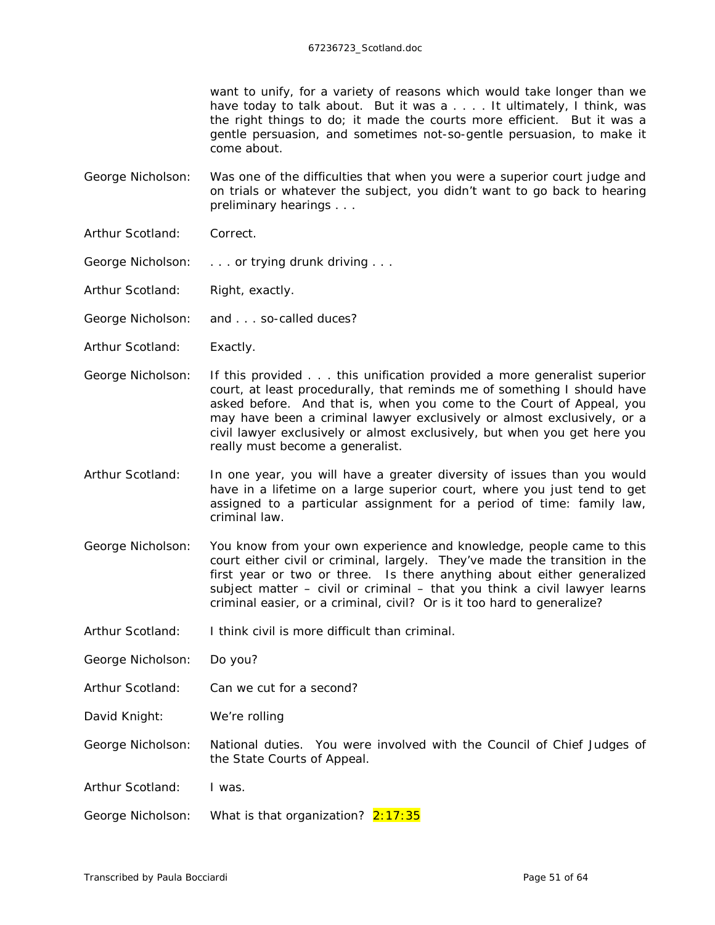want to unify, for a variety of reasons which would take longer than we have today to talk about. But it was a . . . . It ultimately, I think, was the right things to do; it made the courts more efficient. But it was a gentle persuasion, and sometimes not-so-gentle persuasion, to make it come about.

George Nicholson: Was one of the difficulties that when you were a superior court judge and on trials or whatever the subject, you didn't want to go back to hearing preliminary hearings . . .

- Arthur Scotland: Correct.
- George Nicholson: . . . . or trying drunk driving . . .
- Arthur Scotland: Right, exactly.
- George Nicholson: and . . . so-called *duces*?
- Arthur Scotland: Exactly.
- George Nicholson: If this provided . . . this unification provided a more generalist superior court, at least procedurally, that reminds me of something I should have asked before. And that is, when you come to the Court of Appeal, you may have been a criminal lawyer exclusively or almost exclusively, or a civil lawyer exclusively or almost exclusively, but when you get here you really must become a generalist.
- Arthur Scotland: In one year, you will have a greater diversity of issues than you would have in a lifetime on a large superior court, where you just tend to get assigned to a particular assignment for a period of time: family law, criminal law.
- George Nicholson: You know from your own experience and knowledge, people came to this court either civil or criminal, largely. They've made the transition in the first year or two or three. Is there anything about either generalized subject matter – civil or criminal – that you think a civil lawyer learns criminal easier, or a criminal, civil? Or is it too hard to generalize?
- Arthur Scotland: I think civil is more difficult than criminal.
- George Nicholson: Do you?
- Arthur Scotland: Can we cut for a second?
- David Knight: We're rolling

George Nicholson: National duties. You were involved with the Council of Chief Judges of the State Courts of Appeal.

- Arthur Scotland: I was.
- George Nicholson: What is that organization? 2:17:35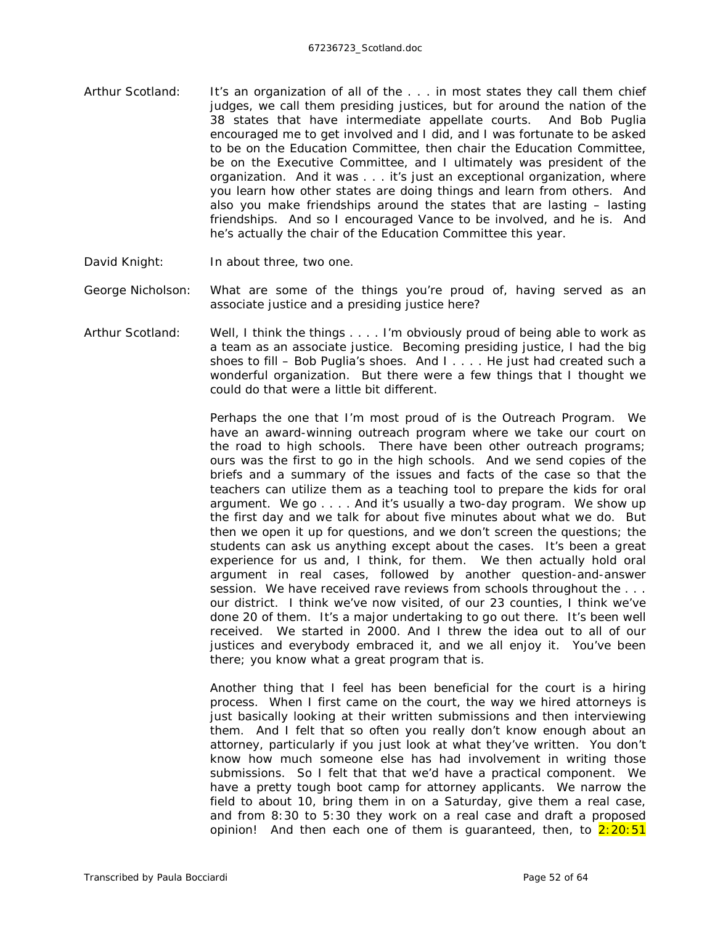- Arthur Scotland: It's an organization of all of the . . . in most states they call them chief judges, we call them presiding justices, but for around the nation of the 38 states that have intermediate appellate courts. And Bob Puglia encouraged me to get involved and I did, and I was fortunate to be asked to be on the Education Committee, then chair the Education Committee, be on the Executive Committee, and I ultimately was president of the organization. And it was . . . it's just an *exceptional* organization, where you learn how other states are doing things and learn from others. And also you make friendships around the states that are lasting – lasting friendships. And so I encouraged Vance to be involved, and he is. And he's actually the chair of the Education Committee this year.
- David Knight: In about three, two one.
- George Nicholson: What are some of the things you're proud of, having served as an associate justice and a presiding justice here?
- Arthur Scotland: Well, I think the things . . . . I'm obviously proud of being able to work as a team as an associate justice. Becoming presiding justice, I had the big shoes to fill – Bob Puglia's shoes. And I . . . . He just had created such a wonderful organization. But there were a few things that I thought we could do that were a little bit different.

Perhaps the one that I'm *most* proud of is the Outreach Program. We have an award-winning outreach program where we take our court on the road to high schools. There have been other outreach programs; ours was the first to go *in* the high schools. And we send copies of the briefs and a summary of the issues and facts of the case so that the teachers can utilize them as a teaching tool to prepare the kids for oral argument. We go . . . . And it's usually a two-day program. We show up the first day and we talk for about five minutes about what we do. But then we open it up for questions, and we don't screen the questions; the students can ask us anything except about the cases. It's been a great experience for us and, I think, for them. We then actually hold oral argument in real cases, followed by another question-and-answer session. We have received rave reviews from schools throughout the . . . our district. I think we've now visited, of our 23 counties, I think we've done 20 of them. It's a major undertaking to go out there. It's been well received. We started in 2000. And I threw the idea out to all of our justices and everybody embraced it, and we all enjoy it. You've been there; you know what a great program that is.

Another thing that I feel has been beneficial for the court is a hiring process. When I first came on the court, the way we hired attorneys is just basically looking at their written submissions and then interviewing them. And I felt that so often you really don't know enough about an attorney, particularly if you just look at what they've written. You don't know how much someone else has had involvement in writing those submissions. So I felt that that we'd have a practical component. We have a pretty tough boot camp for attorney applicants. We narrow the field to about 10, bring them in on a Saturday, give them a real case, and from 8:30 to 5:30 they work on a real case and draft a proposed opinion! And then each one of them is quaranteed, then, to  $2:20:51$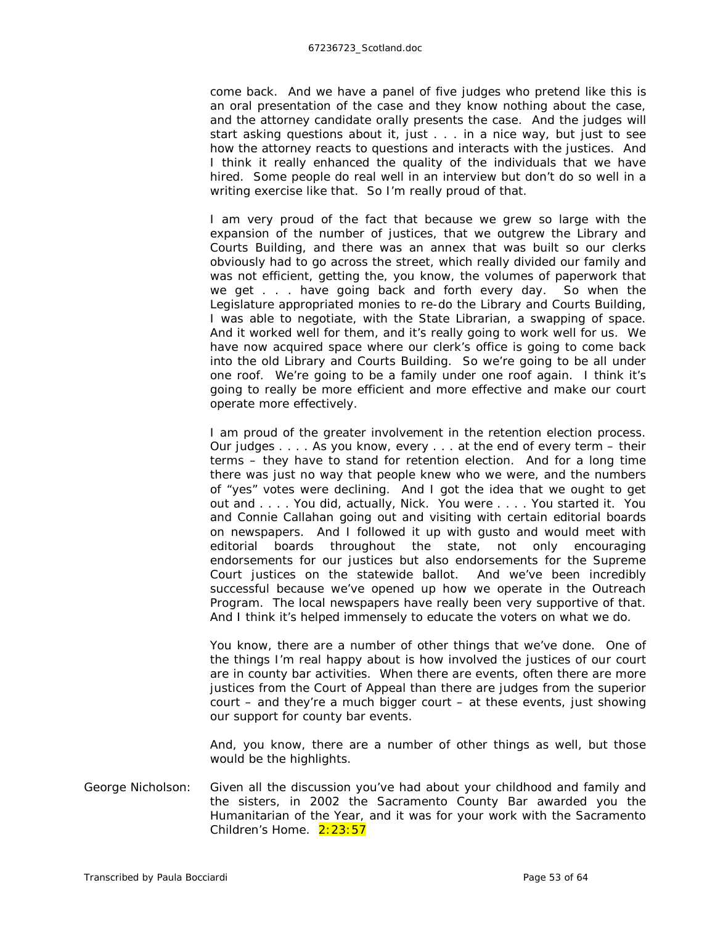come back. And we have a panel of five judges who pretend like this is an oral presentation of the case and they know nothing about the case, and the attorney candidate orally presents the case. And the judges will start asking questions about it, just . . . in a nice way, but just to see how the attorney reacts to questions and interacts with the justices. And I think it really enhanced the quality of the individuals that we have hired. Some people do real well in an interview but don't do so well in a writing exercise like that. So I'm really proud of that.

I am very proud of the fact that because we grew so large with the expansion of the number of justices, that we outgrew the Library and Courts Building, and there was an annex that was built so our clerks obviously had to go across the street, which really divided our family and was not efficient, getting the, you know, the volumes of paperwork that we get . . . have going back and forth every day. So when the Legislature appropriated monies to re-do the Library and Courts Building, I was able to negotiate, with the State Librarian, a swapping of space. And it worked well for them, and it's *really* going to work well for us. We have now acquired space where our clerk's office is going to come *back* into the old Library and Courts Building. So we're going to be all under one roof. We're going to be a family under one roof again. I think it's going to *really* be more efficient and more effective and make our court operate more effectively.

I am proud of the greater involvement in the retention election process. Our judges . . . . As you know, every . . . at the end of every term – their terms – they have to stand for retention election. And for a long time there was just no way that people knew who we were, and the numbers of "yes" votes were declining. And I got the idea that we ought to get out and . . . . You did, actually, Nick. You were . . . . You started it. You and Connie Callahan going out and visiting with certain editorial boards on newspapers. And I followed it up with gusto and would meet with editorial boards throughout the state, not only encouraging endorsements for our justices but also endorsements for the Supreme Court justices on the statewide ballot. And we've been incredibly successful because we've opened up how we operate in the Outreach Program. The local newspapers have *really* been very supportive of that. And I think it's helped immensely to educate the voters on what we do.

You know, there are a number of other things that we've done. One of the things I'm real happy about is how involved the justices of *our* court are in county bar activities. When there are events, often there are more justices from the Court of Appeal than there are judges from the superior court – and they're a much bigger court – at these events, just showing our support for county bar events.

And, you know, there are a number of other things as well, but those would be the highlights.

George Nicholson: Given all the discussion you've had about your childhood and family and the sisters, in 2002 the Sacramento County Bar awarded you the Humanitarian of the Year, and it was for your work with the Sacramento Children's Home. 2:23:57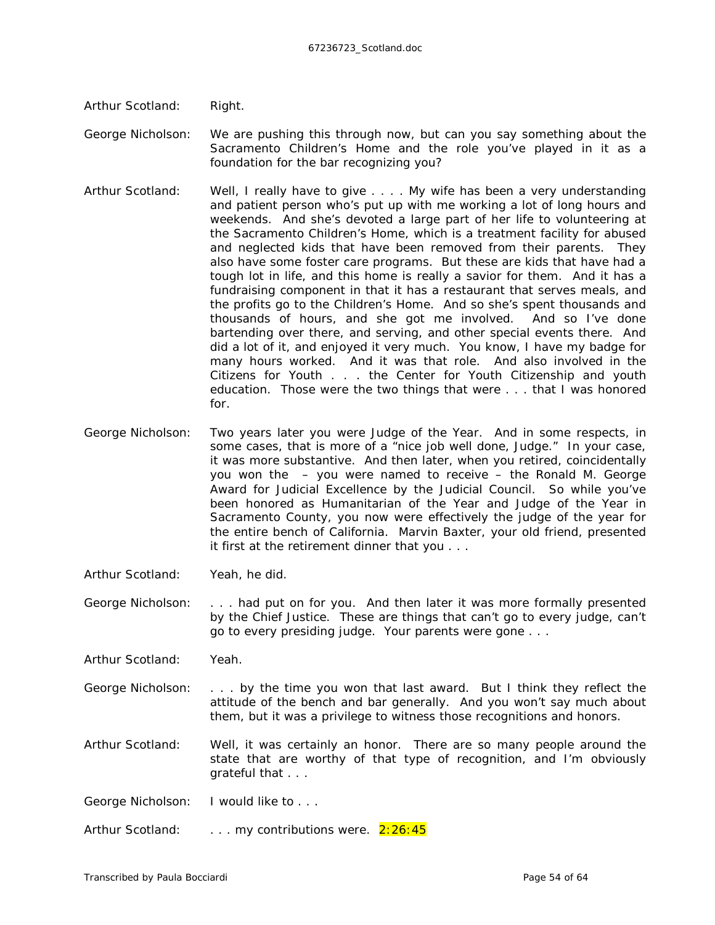Arthur Scotland: Right.

George Nicholson: We are pushing this through now, but can you say something about the Sacramento Children's Home and the role you've played in it as a foundation for the bar recognizing you?

- Arthur Scotland: Well, I really have to give . . . . My wife has been a very understanding and patient person who's put up with me working a lot of long hours and weekends. And she's devoted a large part of her life to volunteering at the Sacramento Children's Home, which is a treatment facility for abused and neglected kids that have been removed from their parents. They also have some foster care programs. But these are kids that have had a tough lot in life, and this home is really a savior for them. And it has a fundraising component in that it has a restaurant that serves meals, and the profits go to the Children's Home. And so she's spent thousands and thousands of hours, and she got me involved. And so I've done bartending over there, and serving, and other special events there. And did a lot of it, and enjoyed it very much. You know, I have my badge for many hours worked. And it was that role. And also involved in the Citizens for Youth . . . the Center for Youth Citizenship and youth education. Those were the two things that were . . . that I was honored for.
- George Nicholson: Two years later you were Judge of the Year. And in some respects, in some cases, that is more of a "nice job well done, Judge." In your case, it was more substantive. And then later, when you retired, coincidentally you won the – you were named to receive – the Ronald M. George Award for Judicial Excellence by the Judicial Council. So while you've been honored as Humanitarian of the Year and Judge of the Year in Sacramento County, you now were effectively the judge of the year for the entire bench of California. Marvin Baxter, your old friend, presented it first at the retirement dinner that you . . .
- Arthur Scotland: Yeah, he did.
- George Nicholson: . . . had put on for you. And then later it was more formally presented by the Chief Justice. These are things that can't go to every judge, can't go to every presiding judge. Your parents were gone . . .

Arthur Scotland: Yeah.

George Nicholson: . . . by the time you won that last award. But I think they reflect the attitude of the bench and bar generally. And you won't say much about them, but it was a privilege to witness those recognitions and honors.

Arthur Scotland: Well, it was certainly an honor. There are *so* many people around the state that are worthy of that type of recognition, and I'm obviously grateful that . . .

George Nicholson: I would like to . . .

Arthur Scotland: ... *my* contributions were. 2:26:45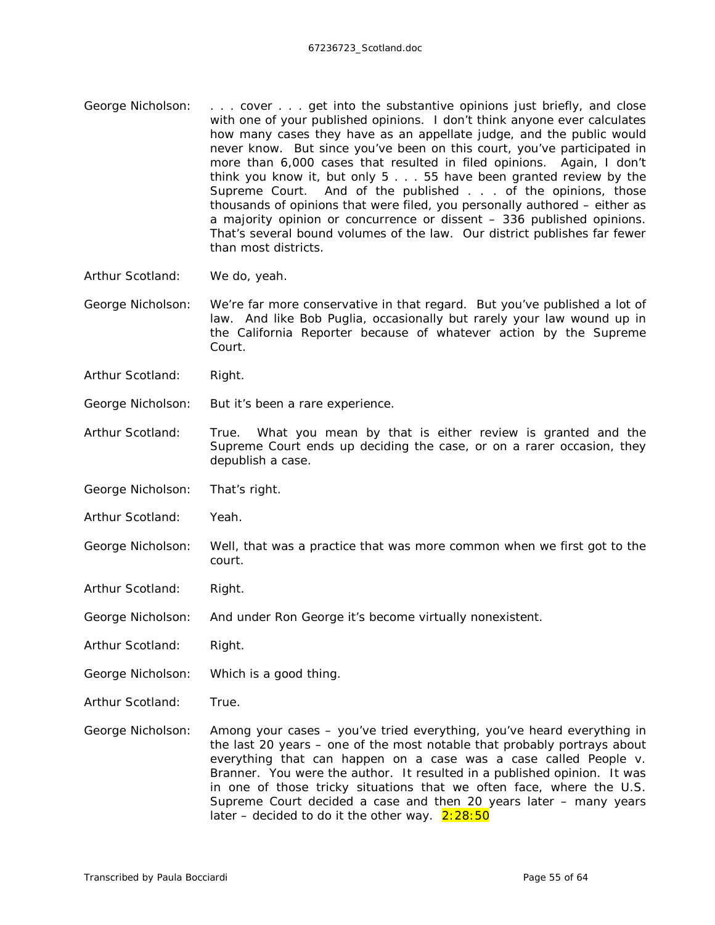- George Nicholson: . . . cover . . . get into the substantive opinions just briefly, and close with one of your published opinions. I don't think anyone ever calculates how many cases they have as an appellate judge, and the public would never know. But since you've been on this court, you've participated in more than 6,000 cases that resulted in filed opinions. Again, I don't think you know it, but only 5 . . . 55 have been granted review by the Supreme Court. And of the published . . . of the opinions, those thousands of opinions that were filed, you personally authored – either as a majority opinion or concurrence or dissent – 336 published opinions. That's several bound volumes of the law. Our district publishes far fewer than most districts.
- Arthur Scotland: We do, yeah.
- George Nicholson: We're far more conservative in that regard. But you've published a lot of law. And like Bob Puglia, occasionally but rarely your law wound up in the *California Reporter* because of whatever action by the Supreme Court.
- Arthur Scotland: Right.
- George Nicholson: But it's been a rare experience.
- Arthur Scotland: True. What you mean by that is either review is granted and the Supreme Court ends up deciding the case, or on a rarer occasion, they depublish a case.
- George Nicholson: That's right.
- Arthur Scotland: Yeah.
- George Nicholson: Well, that was a practice that was more common when we first got to the court.
- Arthur Scotland: Right.
- George Nicholson: And under Ron George it's become virtually nonexistent.
- Arthur Scotland: Right.
- George Nicholson: Which is a good thing.
- Arthur Scotland: True.
- George Nicholson: Among your cases you've tried everything, you've heard everything in the last 20 years – one of the most notable that probably portrays about everything that can happen on a case was a case called *People v. Branner*. You were the author. It resulted in a published opinion. It was in one of those tricky situations that we often face, where the U.S. Supreme Court decided a case and then 20 years later – many years later – decided to do it the other way.  $2:28:50$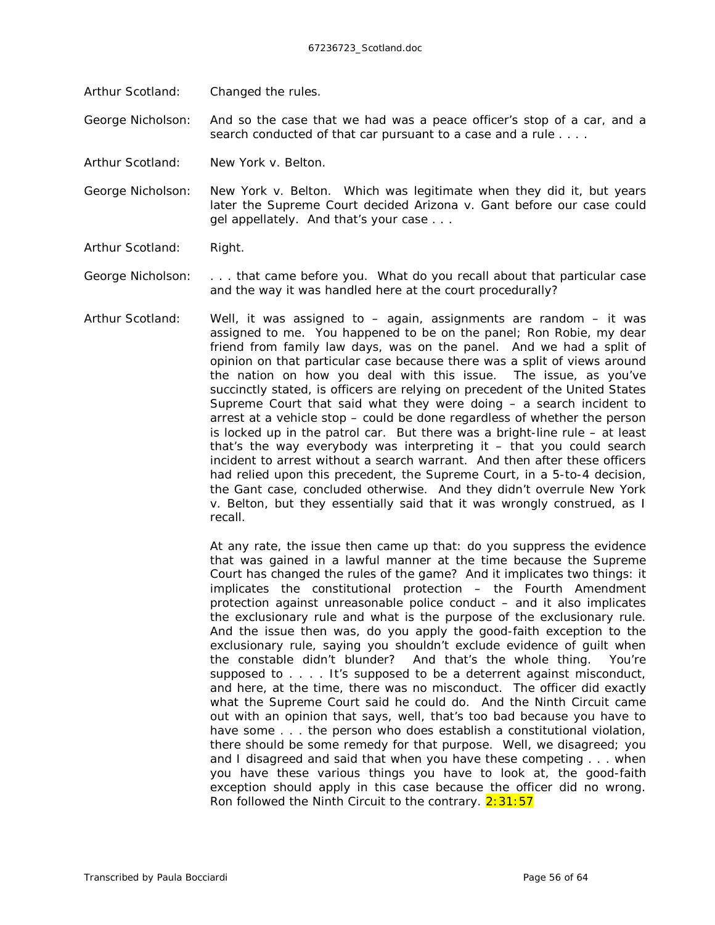Arthur Scotland: Changed the rules.

George Nicholson: And so the case that we had was a peace officer's stop of a car, and a search conducted of that car pursuant to a case and a rule . . . .

Arthur Scotland: *New York v. Belton.*

George Nicholson: *New York v. Belton.* Which was legitimate when they did it, but years later the Supreme Court decided *Arizona v. Gant* before our case could gel appellately. And that's your case . . .

Arthur Scotland: Right.

George Nicholson: . . . that came before you. What do you recall about that particular case and the way it was handled here at the court procedurally?

Arthur Scotland: Well, it was assigned to – again, assignments are random – it was assigned to me. You happened to be on the panel; Ron Robie, my dear friend from family law days, was on the panel. And we had a split of opinion on that particular case because there was a split of views around the nation on how you deal with this issue. The issue, as you've succinctly stated, is officers are relying on precedent of the United States Supreme Court that said what they were doing – a search incident to arrest at a vehicle stop – could be done regardless of whether the person is locked up in the patrol car. But there was a bright-line rule – at least that's the way everybody was interpreting it – that you could search incident to arrest without a search warrant. And then after these officers had relied upon this precedent, the Supreme Court, in a 5-to-4 decision, the *Gant* case, concluded otherwise. And they didn't overrule *New York v. Belton,* but they essentially said that it was wrongly construed, as I recall.

> At any rate, the issue then came up that: do you suppress the evidence that was gained in a lawful manner at the time because the Supreme Court has changed the rules of the game? And it implicates two things: it implicates the constitutional protection – the Fourth Amendment protection against unreasonable police conduct – and it also implicates the exclusionary rule and what is the purpose of the exclusionary rule. And the issue then was, do you apply the good-faith exception to the exclusionary rule, saying you shouldn't exclude evidence of guilt when the constable didn't blunder? And that's the whole thing. You're supposed to . . . . It's supposed to be a deterrent against misconduct, and here, at the time, there was no misconduct. The officer did exactly what the Supreme Court said he could do. And the Ninth Circuit came out with an opinion that says, well, that's too bad because you have to have some . . . the person who does establish a constitutional violation, there should be some remedy for that purpose. Well, we disagreed; you and I disagreed and said that when you have these competing . . . when you have these various things you have to look at, the good-faith exception should apply in this case because the officer did no wrong. Ron followed the Ninth Circuit to the contrary.  $2:31:57$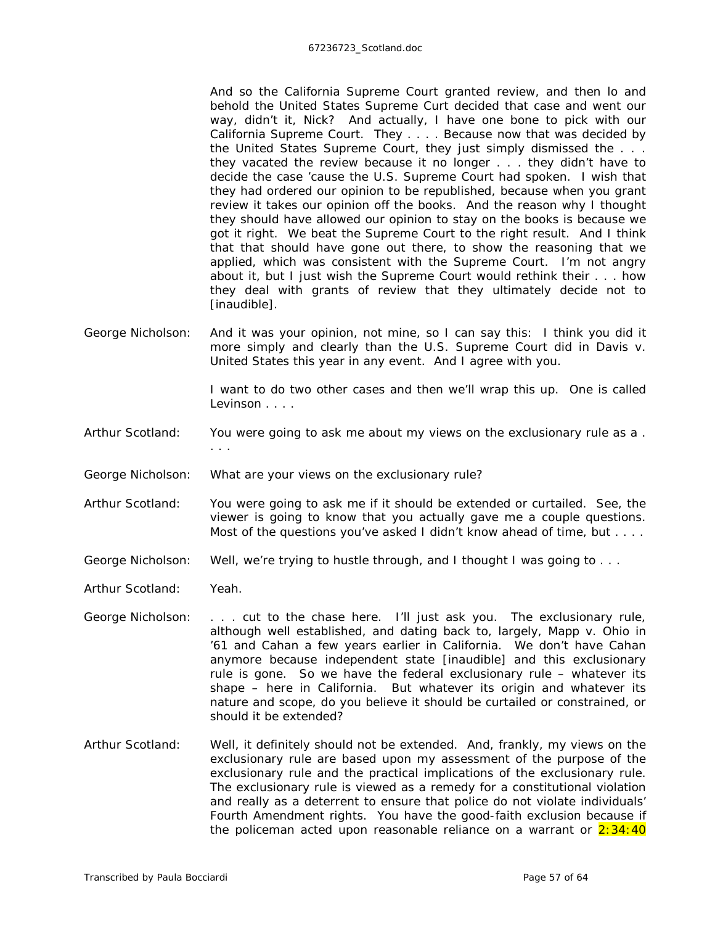And so the California Supreme Court granted review, and then lo and behold the United States Supreme Curt decided that case and went our way, didn't it, Nick? And actually, I have one bone to pick with *our* California Supreme Court. They . . . . Because now that was decided by the United States Supreme Court, they just simply dismissed the . . . they vacated the review because it no longer . . . they didn't have to decide the case 'cause the U.S. Supreme Court had spoken. I wish that they had ordered our opinion to be republished, because when you grant review it takes our opinion off the books. And the reason why I thought they should have allowed our opinion to stay on the books is because we got it right. We beat the Supreme Court to the right result. And I think that that should have gone out there, to show the reasoning that we applied, which was consistent with the Supreme Court. I'm not angry about it, but I just wish the Supreme Court would rethink their . . . how they deal with grants of review that they ultimately decide not to *[inaudible]*.

George Nicholson: And it was your opinion, not mine, so I can say this: I think you did it more simply and clearly than the U.S. Supreme Court did in *Davis v. United States* this year in any event. And I agree with you.

> I want to do two other cases and then we'll wrap this up. One is called *Levinson* . . . .

- Arthur Scotland: You were going to ask me about my views on the exclusionary rule as a . . . .
- George Nicholson: What *are* your views on the exclusionary rule?
- Arthur Scotland: You were going to ask me if it should be extended or curtailed. See, the viewer is going to know that you actually gave me a *couple* questions. Most of the questions you've asked I didn't know ahead of time, but . . . .
- George Nicholson: Well, we're trying to hustle through, and I thought I was going to . . .
- Arthur Scotland: Yeah.
- George Nicholson: . . . cut to the chase here. I'll just ask you. The exclusionary rule, although well established, and dating back to, largely, *Mapp v. Ohio* in '61 and *Cahan* a few years earlier in California. We don't have *Cahan* anymore because independent state *[inaudible]* and this exclusionary rule is gone. So we have the federal exclusionary rule – whatever its shape – here in California. But whatever its origin and whatever its nature and scope, do you *believe* it should be curtailed or constrained, or should it be extended?
- Arthur Scotland: Well, it definitely should not be extended. And, frankly, my views on the exclusionary rule are based upon my assessment of the purpose of the exclusionary rule and the practical implications of the exclusionary rule. The exclusionary rule is viewed as a remedy for a constitutional violation and really as a deterrent to ensure that police do not violate individuals' Fourth Amendment rights. You have the good-faith exclusion because if the policeman acted upon reasonable reliance on a warrant or  $2:34:40$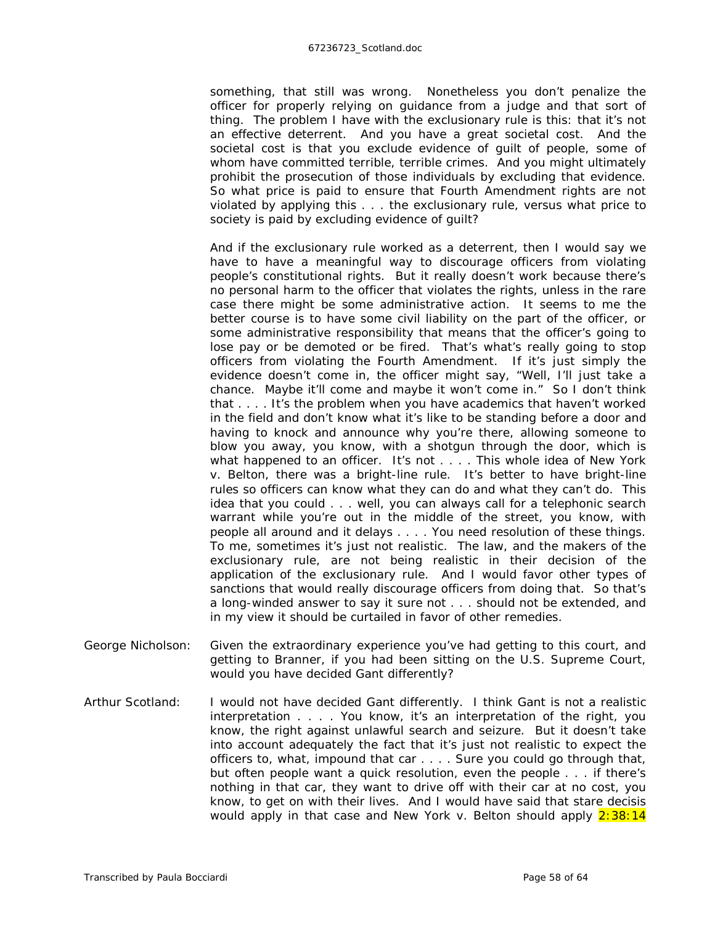something, that still was wrong. Nonetheless you don't penalize the officer for properly relying on guidance from a judge and that sort of thing. The problem I have with the exclusionary rule is this: that it's not an effective deterrent. And you have a great societal cost. And the societal cost is that you exclude evidence of guilt of people, some of whom have committed terrible, terrible crimes. And you might ultimately prohibit the prosecution of those individuals by excluding that evidence. So what price is paid to ensure that Fourth Amendment rights are not violated by applying this . . . the exclusionary rule, versus what price to society is paid by excluding evidence of guilt?

And if the exclusionary rule worked as a deterrent, then I would say we have to have a meaningful way to discourage officers from violating people's constitutional rights. But it really doesn't work because there's no personal harm to the officer that violates the rights, unless in the rare case there might be some administrative action. It seems to me the better course is to have some civil liability on the part of the officer, or some administrative responsibility that means that the officer's going to lose pay or be demoted or be fired. That's what's *really* going to stop officers from violating the Fourth Amendment. If it's just simply the evidence doesn't come in, the officer might say, "Well, I'll just take a chance. Maybe it'll come and maybe it won't come in." So I don't think that . . . . It's the problem when you have academics that haven't worked in the field and don't know what it's like to be standing before a door and having to knock and announce why you're there, allowing someone to blow you away, you know, with a shotgun through the door, which is what happened to an officer. It's not . . . . This whole idea of *New York v. Belton,* there was a bright-line rule. It's better to have bright-line rules so officers can know what they can do and what they can't do. This idea that you could . . . well, you can always call for a telephonic search warrant while you're out in the middle of the street, you know, with people all around and it delays . . . . You need resolution of these things. To me, sometimes it's just not realistic. The law, and the makers of the exclusionary rule, are not being realistic in their decision of the application of the exclusionary rule. And I would favor other types of sanctions that would *really* discourage officers from doing that. So that's a long-winded answer to say it sure not . . . should not be extended, and in my view it should be curtailed in favor of other remedies.

- George Nicholson: Given the extraordinary experience you've had getting to this court, and getting to *Branner,* if you had been sitting on the U.S. Supreme Court, would you have decided *Gant* differently?
- Arthur Scotland: I would *not* have decided *Gant* differently. I think *Gant* is not a realistic interpretation . . . . You know, it's an interpretation of the right, you know, the right against unlawful search and seizure. But it doesn't take into account adequately the fact that it's just not realistic to expect the officers to, what, impound that car . . . . Sure you could go through that, but often people want a quick resolution, even the people . . . if there's nothing *in* that car, they want to drive off with their car at no cost, you know, to get on with their lives. And I would have said that *stare decisis* would apply in that case and *New York v. Belton* should apply 2:38:14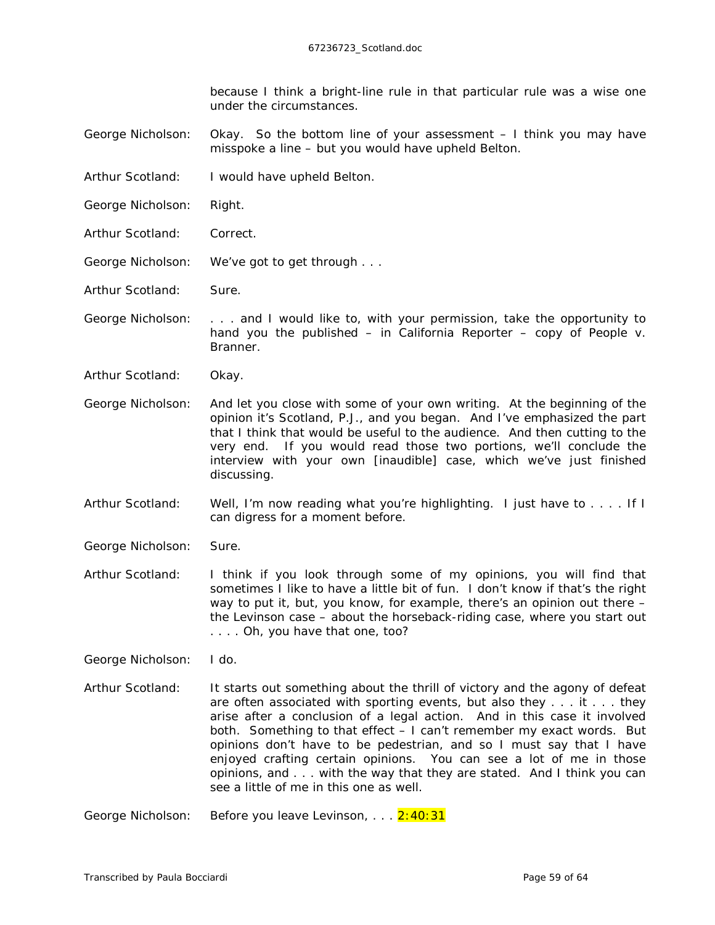because I think a bright-line rule in that particular rule was a wise one under the circumstances.

George Nicholson: Okay. So the bottom line of your assessment – I think you may have misspoke a line – but you would have upheld *Belton*.

- Arthur Scotland: I would have upheld *Belton.*
- George Nicholson: Right.
- Arthur Scotland: Correct.
- George Nicholson: We've got to get through . . .
- Arthur Scotland: Sure.
- George Nicholson: . . . and I would like to, with your permission, take the opportunity to hand you the published – in *California Reporter* – copy of *People v. Branner*.
- Arthur Scotland: Okay.
- George Nicholson: And let you close with some of your own writing. At the beginning of the opinion it's Scotland, P.J., and you began. And I've emphasized the part that I think that would be useful to the audience. And then cutting to the very end. If you would read those two portions, we'll conclude the interview with your own *[inaudible]* case, which we've just finished discussing.
- Arthur Scotland: Well, I'm now reading what you're highlighting. I just have to . . . . If I can digress for a moment before.
- George Nicholson: Sure.
- Arthur Scotland: I think if you look through some of my opinions, you will find that sometimes I like to have a little bit of fun. I don't know if that's the right way to put it, but, you know, for example, there's an opinion out there – the *Levinson* case – about the horseback-riding case, where you start out . . . . Oh, you have that one, too?
- George Nicholson: I do.
- Arthur Scotland: It starts out something about the thrill of victory and the agony of defeat are often associated with sporting events, but also they  $\dots$  it  $\dots$  they arise after a conclusion of a legal action. And in this case it involved both. Something to that effect – I can't remember my exact words. But opinions don't have to be pedestrian, and so I must say that I have enjoyed crafting certain opinions. You can see a lot of me in those opinions, and . . . with the way that they are stated. And I think you can see a little of me in this one as well.
- George Nicholson: Before you leave *Levinson, . . .* 2:40:31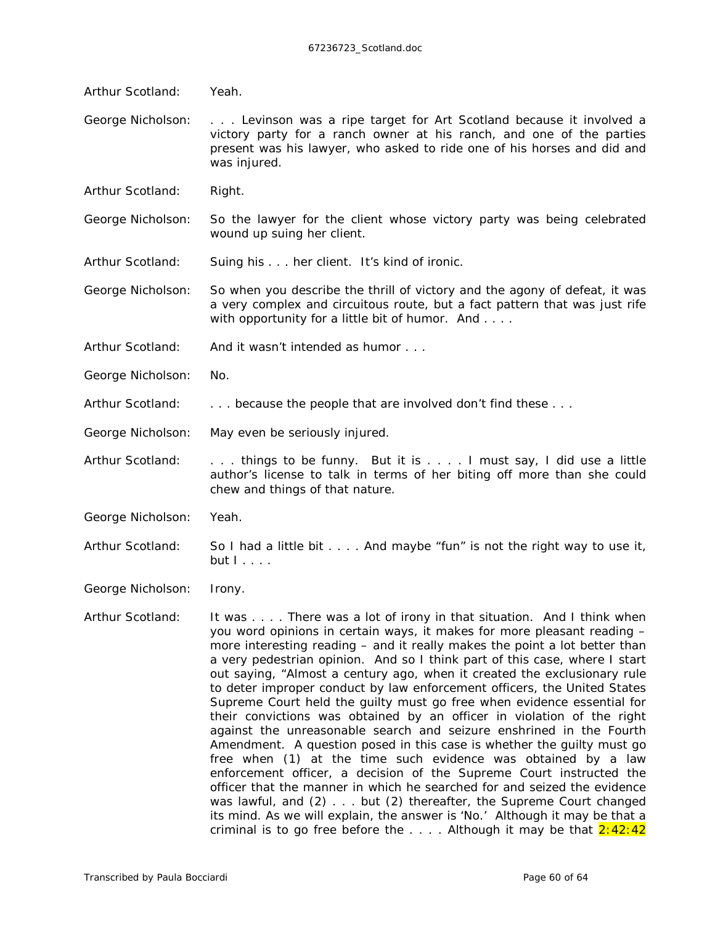- Arthur Scotland: Yeah.
- George Nicholson: . . . *Levinson* was a ripe target for Art Scotland because it involved a victory party for a ranch owner at his ranch, and one of the parties present was his lawyer, who asked to ride one of his horses and did and was injured.

Arthur Scotland: Right.

George Nicholson: So the lawyer for the client whose victory party was being celebrated wound up suing her client.

Arthur Scotland: Suing his . . . her client. It's kind of ironic.

George Nicholson: So when you describe the thrill of victory and the agony of defeat, it was a very complex and circuitous route, but a fact pattern that was just rife with opportunity for a little bit of humor. And . . . .

Arthur Scotland: And it wasn't intended as humor . . .

- George Nicholson: No.
- Arthur Scotland: . . . because the people that are involved don't find these . . .

George Nicholson: May even be seriously injured.

Arthur Scotland: ... things to be funny. But it is .... I must say, I did use a little author's license to talk in terms of her biting off more than she could chew and things of that nature.

George Nicholson: Yeah.

Arthur Scotland: So I had a little bit . . . . And maybe "fun" is not the right way to use it, but I . . . .

George Nicholson: Irony.

Arthur Scotland: It was . . . . There was a lot of irony in that situation. And I think when you word opinions in certain ways, it makes for more pleasant reading – more interesting reading – and it really makes the point a lot better than a very pedestrian opinion. And so I think part of this case, where I start out saying, "Almost a century ago, when it created the exclusionary rule to deter improper conduct by law enforcement officers, the United States Supreme Court held the guilty must go free when evidence essential for their convictions was obtained by an officer in violation of the right against the unreasonable search and seizure enshrined in the Fourth Amendment. A question posed in this case is whether the *guilty* must go free when (1) at the time such evidence was obtained by a law enforcement officer, a decision of the Supreme Court instructed the officer that the manner in which he searched for and seized the evidence was lawful, and (2) . . . *but* (2) thereafter, the Supreme Court changed its mind. As we will explain, the answer is 'No.' Although it may be that a criminal is to go free before the  $\dots$ . Although it may be that  $2:42:42$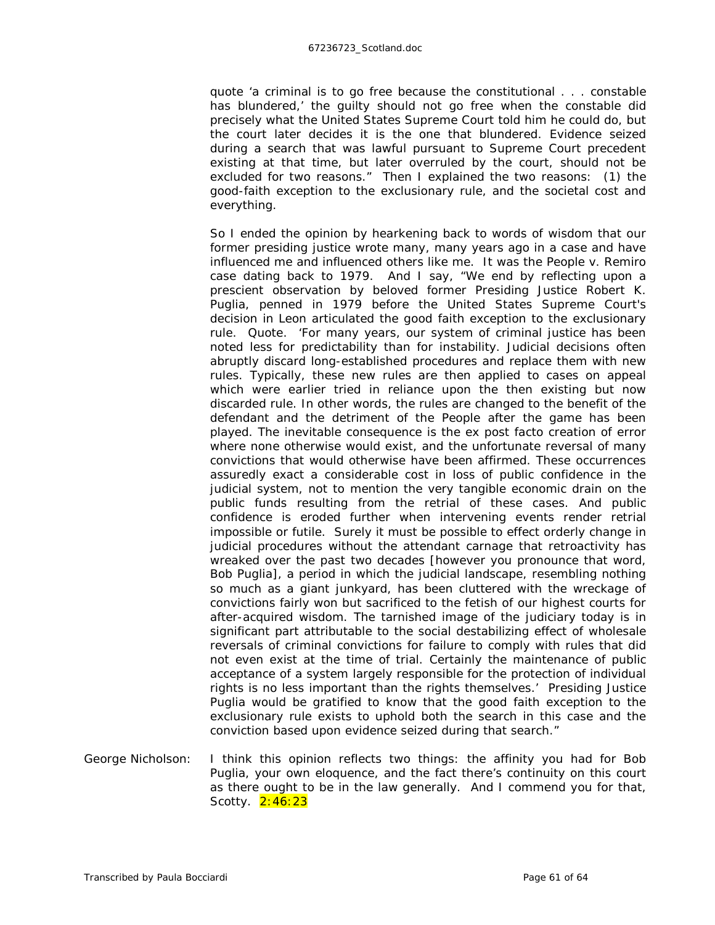quote 'a criminal is to go free because the constitutional . . . constable has blundered,' the *guilty* should not go free when the constable did precisely what the United States Supreme Court told him he could do, but the court later decides *it* is the one that blundered. Evidence seized during a search that was lawful pursuant to Supreme Court precedent existing at that time, but later overruled by the court, should not be excluded for two reasons." Then I explained the two reasons: (1) the good-faith exception to the exclusionary rule, and the societal cost and everything.

So I ended the opinion by hearkening back to words of wisdom that our former presiding justice wrote many, many years ago in a case and have influenced me and influenced others like me. It was the *People v. Remiro* case dating back to 1979. And I say, "We end by reflecting upon a prescient observation by beloved former Presiding Justice Robert K. Puglia, penned in 1979 before the United States Supreme Court's decision in *Leon* articulated the good faith exception to the exclusionary rule. Quote. 'For many years, our system of criminal justice has been noted less for predictability than for instability. Judicial decisions often abruptly discard long-established procedures and replace them with new rules. Typically, these new rules are then applied to cases on appeal which were earlier tried in reliance upon the then existing but now discarded rule. In other words, the rules are changed to the benefit of the defendant and the detriment of the People after the game has been played. The inevitable consequence is the ex post facto creation of error where none otherwise would exist, and the unfortunate reversal of many convictions that would otherwise have been affirmed. These occurrences assuredly exact a considerable cost in loss of public confidence in the judicial system, not to mention the very tangible economic drain on the public funds resulting from the retrial of these cases. And public confidence is eroded further when intervening events render retrial impossible or futile. Surely it must be possible to effect orderly change in judicial procedures without the attendant carnage that retroactivity has wreaked over the past two decades [however you pronounce that word, Bob Puglia], a period in which the judicial landscape, resembling nothing so much as a giant junkyard, has been cluttered with the wreckage of convictions fairly won but sacrificed to the fetish of our highest courts for after-acquired wisdom. The tarnished image of the judiciary today is in significant part attributable to the social destabilizing effect of wholesale reversals of criminal convictions for failure to comply with rules that did not even *exist* at the time of trial. Certainly the maintenance of public acceptance of a system largely responsible for the protection of individual rights is no less important than the rights themselves.' Presiding Justice Puglia would be gratified to know that the good faith exception to the exclusionary rule exists to uphold both the search in this case and the conviction based upon evidence seized during that search."

George Nicholson: I think this opinion reflects two things: the affinity you had for Bob Puglia, your own eloquence, and the fact there's continuity on this court as there ought to be in the law generally. And I commend you for that, Scotty. 2:46:23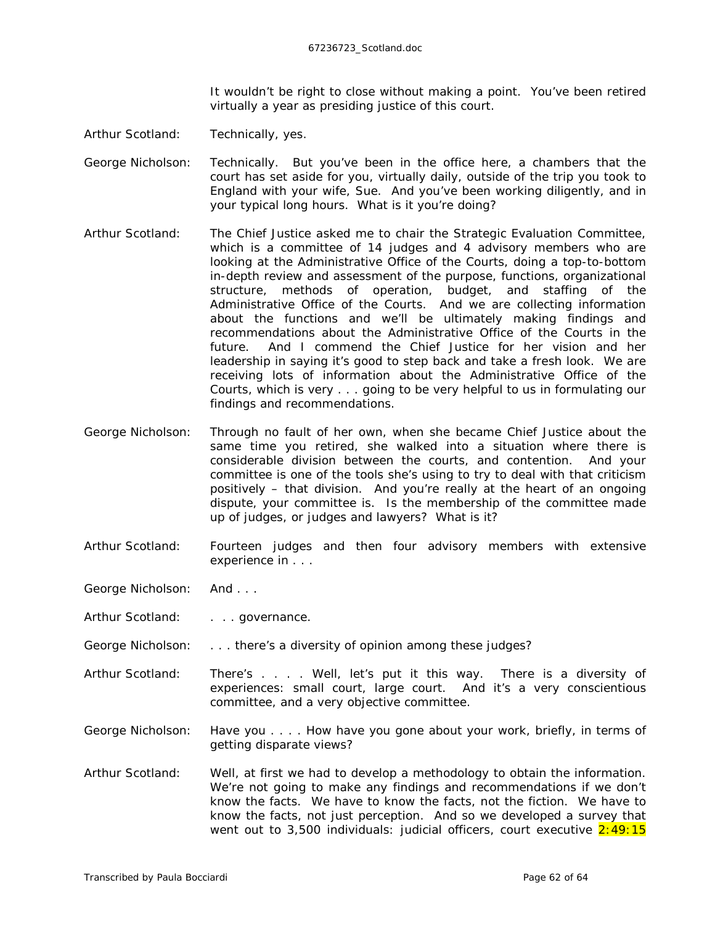It wouldn't be right to close without making a point. You've been retired virtually a year as presiding justice of this court.

- Arthur Scotland: Technically, yes.
- George Nicholson: Technically. But you've been in the office here, a chambers that the court has set aside for you, virtually daily, outside of the trip you took to England with your wife, Sue. And you've been working diligently, and in your typical long hours. What is it you're doing?
- Arthur Scotland: The Chief Justice asked me to chair the Strategic Evaluation Committee, which is a committee of 14 judges and 4 advisory members who are looking at the Administrative Office of the Courts, doing a top-to-bottom in-depth review and assessment of the purpose, functions, organizational structure, methods of operation, budget, and staffing of the Administrative Office of the Courts. And we are collecting information about the functions and we'll be ultimately making findings and recommendations about the Administrative Office of the Courts in the future. And I commend the Chief Justice for her vision and her leadership in saying it's good to step back and take a fresh look. We are receiving lots of information about the Administrative Office of the Courts, which is very . . . going to be very helpful to us in formulating our findings and recommendations.
- George Nicholson: Through no fault of her own, when she became Chief Justice about the same time you retired, she walked into a situation where there is considerable division between the courts, and contention. And your committee is one of the tools she's using to try to deal with that criticism positively – that division. And you're really at the heart of an ongoing dispute, your committee is. Is the membership of the committee made up of judges, or judges and lawyers? What is it?
- Arthur Scotland: Fourteen judges and then four advisory members with extensive experience in . . .
- George Nicholson: And . . .
- Arthur Scotland: . . . . governance.
- George Nicholson: . . . . there's a diversity of opinion among these judges?
- Arthur Scotland: There's . . . . Well, let's put it this way. There is a diversity of experiences: small court, large court. And it's a very conscientious committee, and a very objective committee.
- George Nicholson: Have you . . . . How have you gone about your work, briefly, in terms of getting disparate views?
- Arthur Scotland: Well, at first we had to develop a methodology to obtain the information. We're not going to make any findings and recommendations if we don't know the facts. We have to know the facts, not the fiction. We have to know the facts, not just perception. And so we developed a survey that went out to 3,500 individuals: judicial officers, court executive  $2:49:15$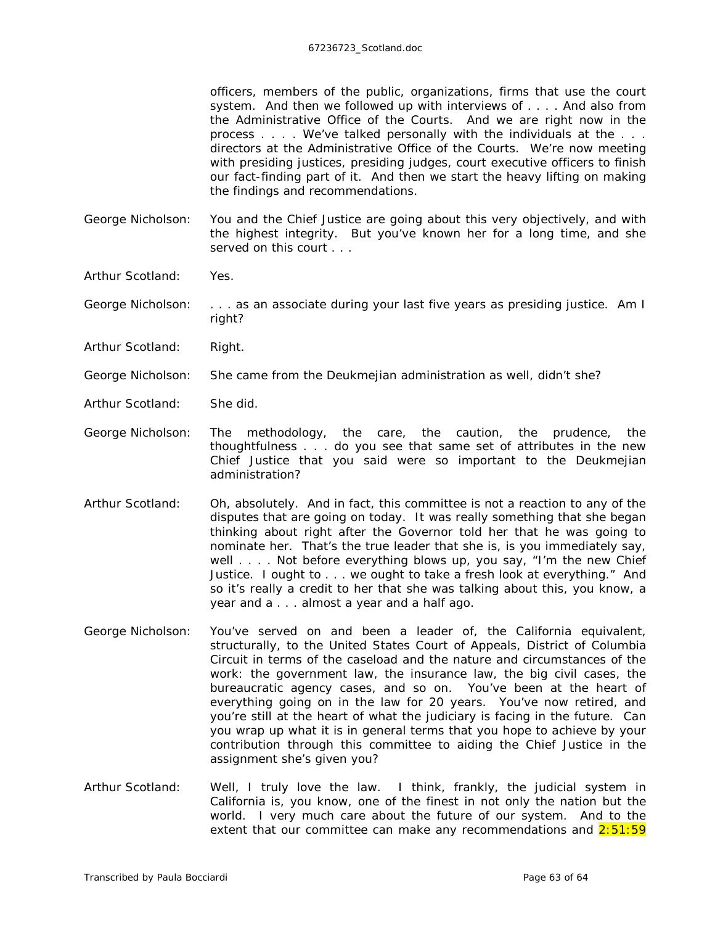officers, members of the public, organizations, firms that use the court system. And then we followed up with interviews of . . . . And also from the Administrative Office of the Courts. And we are right now in the process . . . . We've talked personally with the individuals at the . . . directors at the Administrative Office of the Courts. We're now meeting with presiding justices, presiding judges, court executive officers to finish our fact-finding part of it. And then we start the heavy lifting on making the findings and recommendations.

- George Nicholson: You and the Chief Justice are going about this very objectively, and with the highest integrity. But you've known her for a long time, and she served on this court . . .
- Arthur Scotland: Yes.
- George Nicholson: . . . as an associate during your last five years as presiding justice. Am I right?
- Arthur Scotland: Right.
- George Nicholson: She came from the Deukmejian administration as well, didn't she?
- Arthur Scotland: She did.
- George Nicholson: The methodology, the care, the caution, the prudence, the thoughtfulness . . . do you see that same set of attributes in the new Chief Justice that you said were so important to the Deukmejian administration?
- Arthur Scotland: Oh, absolutely. And in fact, this committee is not a reaction to any of the disputes that are going on today. It was really something that she began thinking about right after the Governor told her that he was going to nominate her. That's the true leader that she is, is you immediately say, well . . . . Not before everything blows up, you say, "I'm the new Chief Justice. I ought to . . . we ought to take a fresh look at everything." And so it's really a credit to her that she was talking about this, you know, a year and a . . . almost a year and a half ago.
- George Nicholson: You've served on and been a leader of, the California equivalent, structurally, to the United States Court of Appeals, District of Columbia Circuit in terms of the caseload and the nature and circumstances of the work: the government law, the insurance law, the big civil cases, the bureaucratic agency cases, and so on. You've been at the heart of everything going on in the law for 20 years. You've now retired, and you're still at the heart of what the judiciary is facing in the future. Can you wrap up what it is in general terms that you hope to achieve by your contribution through this committee to aiding the Chief Justice in the assignment she's given you?
- Arthur Scotland: Well, I truly love the law. I think, frankly, the judicial system in California is, you know, one of the finest in not only the nation but the world. I very much care about the future of our system. And to the extent that our committee can make any recommendations and  $2:51:59$